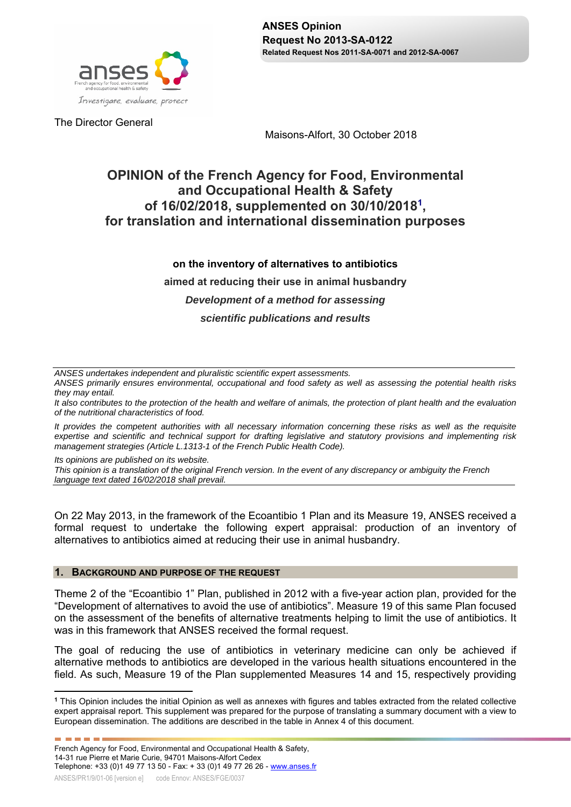

The Director General

Maisons-Alfort, 30 October 2018

# **OPINION of the French Agency for Food, Environmental and Occupational Health & Safety of 16/02/2018, supplemented on 30/10/20181 , for translation and international dissemination purposes**

# **on the inventory of alternatives to antibiotics**

**aimed at reducing their use in animal husbandry** 

### *Development of a method for assessing*

## *scientific publications and results*

*ANSES undertakes independent and pluralistic scientific expert assessments.* 

*ANSES primarily ensures environmental, occupational and food safety as well as assessing the potential health risks they may entail.* 

*It also contributes to the protection of the health and welfare of animals, the protection of plant health and the evaluation of the nutritional characteristics of food.* 

*It provides the competent authorities with all necessary information concerning these risks as well as the requisite expertise and scientific and technical support for drafting legislative and statutory provisions and implementing risk management strategies (Article L.1313-1 of the French Public Health Code).* 

*Its opinions are published on its website.* 

-----

*This opinion is a translation of the original French version. In the event of any discrepancy or ambiguity the French language text dated 16/02/2018 shall prevail.*

On 22 May 2013, in the framework of the Ecoantibio 1 Plan and its Measure 19, ANSES received a formal request to undertake the following expert appraisal: production of an inventory of alternatives to antibiotics aimed at reducing their use in animal husbandry.

### **1. BACKGROUND AND PURPOSE OF THE REQUEST**

Theme 2 of the "Ecoantibio 1" Plan, published in 2012 with a five-year action plan, provided for the "Development of alternatives to avoid the use of antibiotics". Measure 19 of this same Plan focused on the assessment of the benefits of alternative treatments helping to limit the use of antibiotics. It was in this framework that ANSES received the formal request.

The goal of reducing the use of antibiotics in veterinary medicine can only be achieved if alternative methods to antibiotics are developed in the various health situations encountered in the field. As such, Measure 19 of the Plan supplemented Measures 14 and 15, respectively providing

 $\overline{a}$ **<sup>1</sup>** This Opinion includes the initial Opinion as well as annexes with figures and tables extracted from the related collective expert appraisal report. This supplement was prepared for the purpose of translating a summary document with a view to European dissemination. The additions are described in the table in Annex 4 of this document.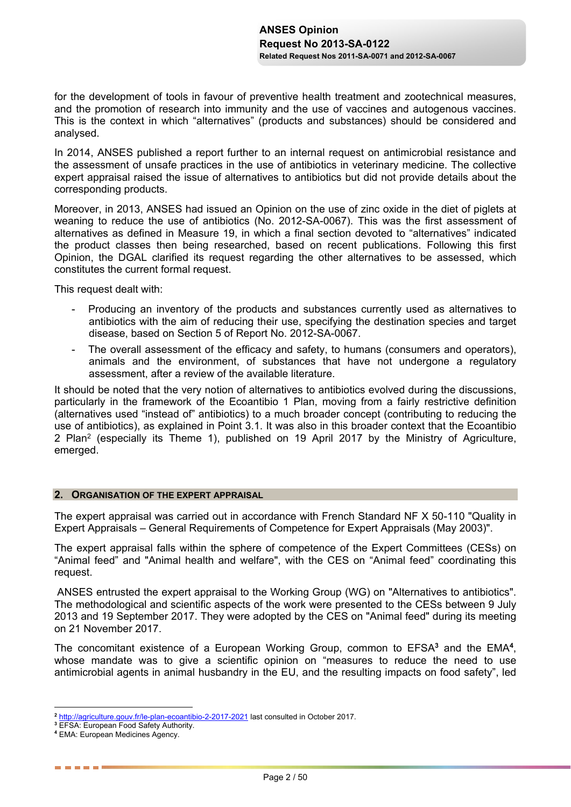for the development of tools in favour of preventive health treatment and zootechnical measures, and the promotion of research into immunity and the use of vaccines and autogenous vaccines. This is the context in which "alternatives" (products and substances) should be considered and analysed.

In 2014, ANSES published a report further to an internal request on antimicrobial resistance and the assessment of unsafe practices in the use of antibiotics in veterinary medicine. The collective expert appraisal raised the issue of alternatives to antibiotics but did not provide details about the corresponding products.

Moreover, in 2013, ANSES had issued an Opinion on the use of zinc oxide in the diet of piglets at weaning to reduce the use of antibiotics (No. 2012-SA-0067). This was the first assessment of alternatives as defined in Measure 19, in which a final section devoted to "alternatives" indicated the product classes then being researched, based on recent publications. Following this first Opinion, the DGAL clarified its request regarding the other alternatives to be assessed, which constitutes the current formal request.

This request dealt with:

- Producing an inventory of the products and substances currently used as alternatives to antibiotics with the aim of reducing their use, specifying the destination species and target disease, based on Section 5 of Report No. 2012-SA-0067.
- The overall assessment of the efficacy and safety, to humans (consumers and operators), animals and the environment, of substances that have not undergone a regulatory assessment, after a review of the available literature.

It should be noted that the very notion of alternatives to antibiotics evolved during the discussions, particularly in the framework of the Ecoantibio 1 Plan, moving from a fairly restrictive definition (alternatives used "instead of" antibiotics) to a much broader concept (contributing to reducing the use of antibiotics), as explained in Point 3.1. It was also in this broader context that the Ecoantibio 2 Plan<sup>2</sup> (especially its Theme 1), published on 19 April 2017 by the Ministry of Agriculture, emerged.

### **2. ORGANISATION OF THE EXPERT APPRAISAL**

The expert appraisal was carried out in accordance with French Standard NF X 50-110 "Quality in Expert Appraisals – General Requirements of Competence for Expert Appraisals (May 2003)".

The expert appraisal falls within the sphere of competence of the Expert Committees (CESs) on "Animal feed" and "Animal health and welfare", with the CES on "Animal feed" coordinating this request.

ANSES entrusted the expert appraisal to the Working Group (WG) on "Alternatives to antibiotics". The methodological and scientific aspects of the work were presented to the CESs between 9 July 2013 and 19 September 2017. They were adopted by the CES on "Animal feed" during its meeting on 21 November 2017.

The concomitant existence of a European Working Group, common to EFSA**<sup>3</sup>** and the EMA**<sup>4</sup>** , whose mandate was to give a scientific opinion on "measures to reduce the need to use antimicrobial agents in animal husbandry in the EU, and the resulting impacts on food safety", led

 $\overline{a}$ **<sup>2</sup>** http://agriculture.gouv.fr/le-plan-ecoantibio-2-2017-2021 last consulted in October 2017.

**<sup>3</sup>** EFSA: European Food Safety Authority.

**<sup>4</sup>** EMA: European Medicines Agency.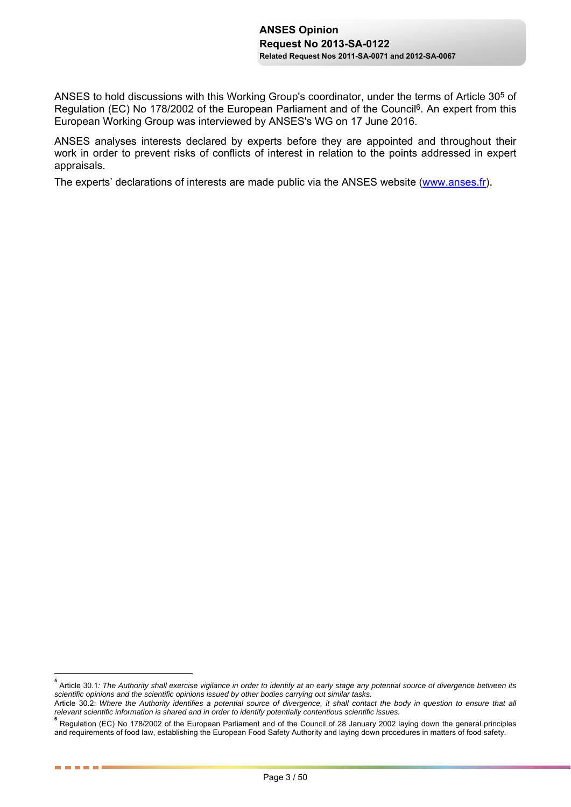ANSES to hold discussions with this Working Group's coordinator, under the terms of Article 305 of Regulation (EC) No 178/2002 of the European Parliament and of the Council<sup>6</sup>. An expert from this European Working Group was interviewed by ANSES's WG on 17 June 2016.

ANSES analyses interests declared by experts before they are appointed and throughout their work in order to prevent risks of conflicts of interest in relation to the points addressed in expert appraisals.

The experts' declarations of interests are made public via the ANSES website (www.anses.fr).

 $\overline{a}$ 

. . . . . .

**<sup>5</sup>** Article 30.1*: The Authority shall exercise vigilance in order to identify at an early stage any potential source of divergence between its scientific opinions and the scientific opinions issued by other bodies carrying out similar tasks.*

Article 30.2: *Where the Authority identifies a potential source of divergence, it shall contact the body in question to ensure that all relevant scientific information is shared and in order to identify potentially contentious scientific issues.*

**<sup>6</sup>** Regulation (EC) No 178/2002 of the European Parliament and of the Council of 28 January 2002 laying down the general principles and requirements of food law, establishing the European Food Safety Authority and laying down procedures in matters of food safety.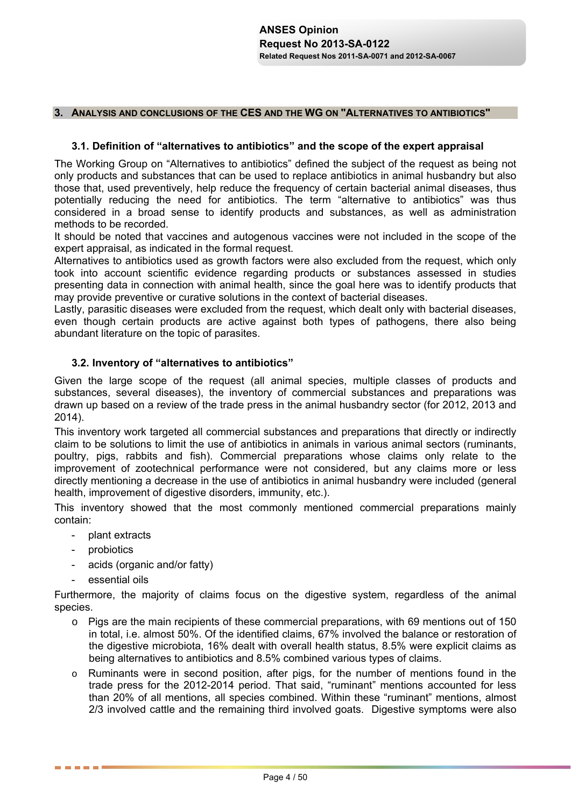### **3. ANALYSIS AND CONCLUSIONS OF THE CES AND THE WG ON "ALTERNATIVES TO ANTIBIOTICS"**

### **3.1. Definition of "alternatives to antibiotics" and the scope of the expert appraisal**

The Working Group on "Alternatives to antibiotics" defined the subject of the request as being not only products and substances that can be used to replace antibiotics in animal husbandry but also those that, used preventively, help reduce the frequency of certain bacterial animal diseases, thus potentially reducing the need for antibiotics. The term "alternative to antibiotics" was thus considered in a broad sense to identify products and substances, as well as administration methods to be recorded.

It should be noted that vaccines and autogenous vaccines were not included in the scope of the expert appraisal, as indicated in the formal request.

Alternatives to antibiotics used as growth factors were also excluded from the request, which only took into account scientific evidence regarding products or substances assessed in studies presenting data in connection with animal health, since the goal here was to identify products that may provide preventive or curative solutions in the context of bacterial diseases.

Lastly, parasitic diseases were excluded from the request, which dealt only with bacterial diseases, even though certain products are active against both types of pathogens, there also being abundant literature on the topic of parasites.

### **3.2. Inventory of "alternatives to antibiotics"**

Given the large scope of the request (all animal species, multiple classes of products and substances, several diseases), the inventory of commercial substances and preparations was drawn up based on a review of the trade press in the animal husbandry sector (for 2012, 2013 and 2014).

This inventory work targeted all commercial substances and preparations that directly or indirectly claim to be solutions to limit the use of antibiotics in animals in various animal sectors (ruminants, poultry, pigs, rabbits and fish). Commercial preparations whose claims only relate to the improvement of zootechnical performance were not considered, but any claims more or less directly mentioning a decrease in the use of antibiotics in animal husbandry were included (general health, improvement of digestive disorders, immunity, etc.).

This inventory showed that the most commonly mentioned commercial preparations mainly contain:

- plant extracts
- probiotics

------

- acids (organic and/or fatty)
- essential oils

Furthermore, the majority of claims focus on the digestive system, regardless of the animal species.

- o Pigs are the main recipients of these commercial preparations, with 69 mentions out of 150 in total, i.e. almost 50%. Of the identified claims, 67% involved the balance or restoration of the digestive microbiota, 16% dealt with overall health status, 8.5% were explicit claims as being alternatives to antibiotics and 8.5% combined various types of claims.
- o Ruminants were in second position, after pigs, for the number of mentions found in the trade press for the 2012-2014 period. That said, "ruminant" mentions accounted for less than 20% of all mentions, all species combined. Within these "ruminant" mentions, almost 2/3 involved cattle and the remaining third involved goats. Digestive symptoms were also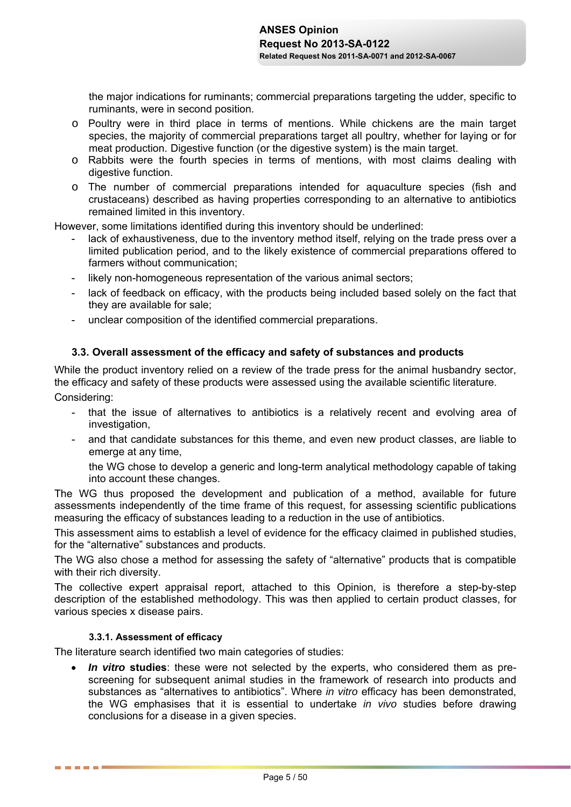the major indications for ruminants; commercial preparations targeting the udder, specific to ruminants, were in second position.

- o Poultry were in third place in terms of mentions. While chickens are the main target species, the majority of commercial preparations target all poultry, whether for laying or for meat production. Digestive function (or the digestive system) is the main target.
- o Rabbits were the fourth species in terms of mentions, with most claims dealing with digestive function.
- o The number of commercial preparations intended for aquaculture species (fish and crustaceans) described as having properties corresponding to an alternative to antibiotics remained limited in this inventory.

However, some limitations identified during this inventory should be underlined:

- lack of exhaustiveness, due to the inventory method itself, relying on the trade press over a limited publication period, and to the likely existence of commercial preparations offered to farmers without communication;
- likely non-homogeneous representation of the various animal sectors;
- lack of feedback on efficacy, with the products being included based solely on the fact that they are available for sale;
- unclear composition of the identified commercial preparations.

### **3.3. Overall assessment of the efficacy and safety of substances and products**

While the product inventory relied on a review of the trade press for the animal husbandry sector, the efficacy and safety of these products were assessed using the available scientific literature.

Considering:

. . . . . .

- that the issue of alternatives to antibiotics is a relatively recent and evolving area of investigation,
- and that candidate substances for this theme, and even new product classes, are liable to emerge at any time,

the WG chose to develop a generic and long-term analytical methodology capable of taking into account these changes.

The WG thus proposed the development and publication of a method, available for future assessments independently of the time frame of this request, for assessing scientific publications measuring the efficacy of substances leading to a reduction in the use of antibiotics.

This assessment aims to establish a level of evidence for the efficacy claimed in published studies, for the "alternative" substances and products.

The WG also chose a method for assessing the safety of "alternative" products that is compatible with their rich diversity.

The collective expert appraisal report, attached to this Opinion, is therefore a step-by-step description of the established methodology. This was then applied to certain product classes, for various species x disease pairs.

### **3.3.1.Assessment of efficacy**

The literature search identified two main categories of studies:

 *In vitro* **studies**: these were not selected by the experts, who considered them as prescreening for subsequent animal studies in the framework of research into products and substances as "alternatives to antibiotics". Where *in vitro* efficacy has been demonstrated, the WG emphasises that it is essential to undertake *in vivo* studies before drawing conclusions for a disease in a given species.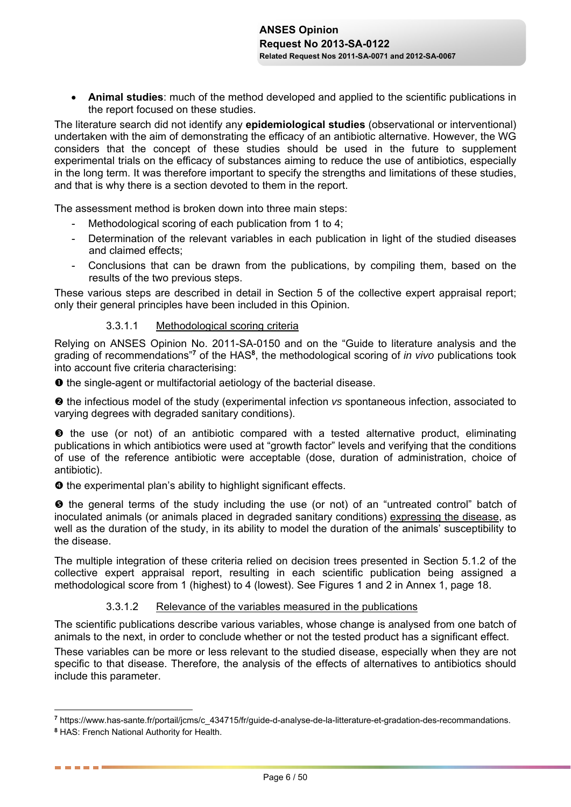**Animal studies**: much of the method developed and applied to the scientific publications in the report focused on these studies.

The literature search did not identify any **epidemiological studies** (observational or interventional) undertaken with the aim of demonstrating the efficacy of an antibiotic alternative. However, the WG considers that the concept of these studies should be used in the future to supplement experimental trials on the efficacy of substances aiming to reduce the use of antibiotics, especially in the long term. It was therefore important to specify the strengths and limitations of these studies, and that is why there is a section devoted to them in the report.

The assessment method is broken down into three main steps:

- Methodological scoring of each publication from 1 to 4;
- Determination of the relevant variables in each publication in light of the studied diseases and claimed effects;
- Conclusions that can be drawn from the publications, by compiling them, based on the results of the two previous steps.

These various steps are described in detail in Section 5 of the collective expert appraisal report; only their general principles have been included in this Opinion.

### 3.3.1.1 Methodological scoring criteria

Relying on ANSES Opinion No. 2011-SA-0150 and on the "Guide to literature analysis and the grading of recommendations"**<sup>7</sup>** of the HAS**<sup>8</sup>** , the methodological scoring of *in vivo* publications took into account five criteria characterising:

 $\bullet$  the single-agent or multifactorial aetiology of the bacterial disease.

 $\Theta$  the infectious model of the study (experimental infection *vs* spontaneous infection, associated to varying degrees with degraded sanitary conditions).

 $\bullet$  the use (or not) of an antibiotic compared with a tested alternative product, eliminating publications in which antibiotics were used at "growth factor" levels and verifying that the conditions of use of the reference antibiotic were acceptable (dose, duration of administration, choice of antibiotic).

 $\bullet$  the experimental plan's ability to highlight significant effects.

 $\Theta$  the general terms of the study including the use (or not) of an "untreated control" batch of inoculated animals (or animals placed in degraded sanitary conditions) expressing the disease, as well as the duration of the study, in its ability to model the duration of the animals' susceptibility to the disease.

The multiple integration of these criteria relied on decision trees presented in Section 5.1.2 of the collective expert appraisal report, resulting in each scientific publication being assigned a methodological score from 1 (highest) to 4 (lowest). See Figures 1 and 2 in Annex 1, page 18.

## 3.3.1.2 Relevance of the variables measured in the publications

The scientific publications describe various variables, whose change is analysed from one batch of animals to the next, in order to conclude whether or not the tested product has a significant effect.

These variables can be more or less relevant to the studied disease, especially when they are not specific to that disease. Therefore, the analysis of the effects of alternatives to antibiotics should include this parameter.

 $\overline{a}$ 

**<sup>7</sup>** https://www.has-sante.fr/portail/jcms/c\_434715/fr/guide-d-analyse-de-la-litterature-et-gradation-des-recommandations.

**<sup>8</sup>** HAS: French National Authority for Health.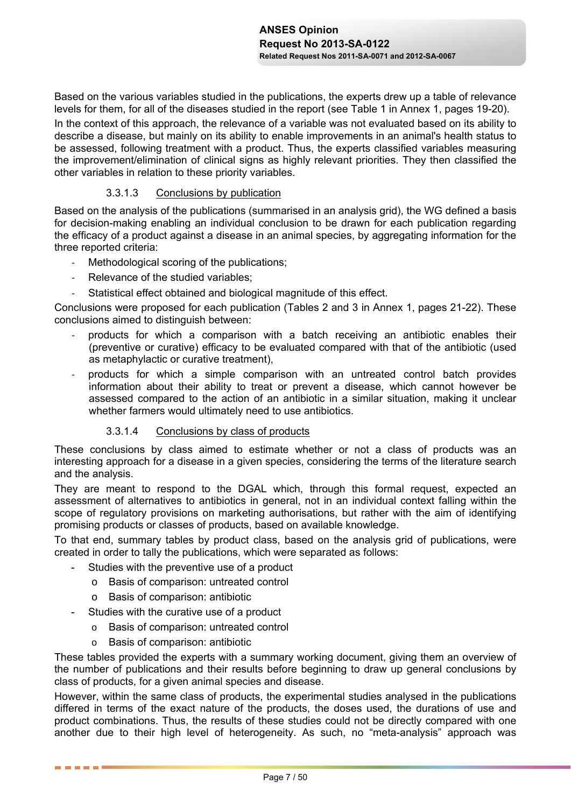Based on the various variables studied in the publications, the experts drew up a table of relevance levels for them, for all of the diseases studied in the report (see Table 1 in Annex 1, pages 19-20). In the context of this approach, the relevance of a variable was not evaluated based on its ability to describe a disease, but mainly on its ability to enable improvements in an animal's health status to be assessed, following treatment with a product. Thus, the experts classified variables measuring the improvement/elimination of clinical signs as highly relevant priorities. They then classified the other variables in relation to these priority variables.

### 3.3.1.3 Conclusions by publication

Based on the analysis of the publications (summarised in an analysis grid), the WG defined a basis for decision-making enabling an individual conclusion to be drawn for each publication regarding the efficacy of a product against a disease in an animal species, by aggregating information for the three reported criteria:

- Methodological scoring of the publications;
- Relevance of the studied variables;
- Statistical effect obtained and biological magnitude of this effect.

Conclusions were proposed for each publication (Tables 2 and 3 in Annex 1, pages 21-22). These conclusions aimed to distinguish between:

- ‐ products for which a comparison with a batch receiving an antibiotic enables their (preventive or curative) efficacy to be evaluated compared with that of the antibiotic (used as metaphylactic or curative treatment),
- ‐ products for which a simple comparison with an untreated control batch provides information about their ability to treat or prevent a disease, which cannot however be assessed compared to the action of an antibiotic in a similar situation, making it unclear whether farmers would ultimately need to use antibiotics.

### 3.3.1.4 Conclusions by class of products

These conclusions by class aimed to estimate whether or not a class of products was an interesting approach for a disease in a given species, considering the terms of the literature search and the analysis.

They are meant to respond to the DGAL which, through this formal request, expected an assessment of alternatives to antibiotics in general, not in an individual context falling within the scope of regulatory provisions on marketing authorisations, but rather with the aim of identifying promising products or classes of products, based on available knowledge.

To that end, summary tables by product class, based on the analysis grid of publications, were created in order to tally the publications, which were separated as follows:

- Studies with the preventive use of a product
	- o Basis of comparison: untreated control
	- o Basis of comparison: antibiotic
- Studies with the curative use of a product
	- o Basis of comparison: untreated control
	- o Basis of comparison: antibiotic

------

These tables provided the experts with a summary working document, giving them an overview of the number of publications and their results before beginning to draw up general conclusions by class of products, for a given animal species and disease.

However, within the same class of products, the experimental studies analysed in the publications differed in terms of the exact nature of the products, the doses used, the durations of use and product combinations. Thus, the results of these studies could not be directly compared with one another due to their high level of heterogeneity. As such, no "meta-analysis" approach was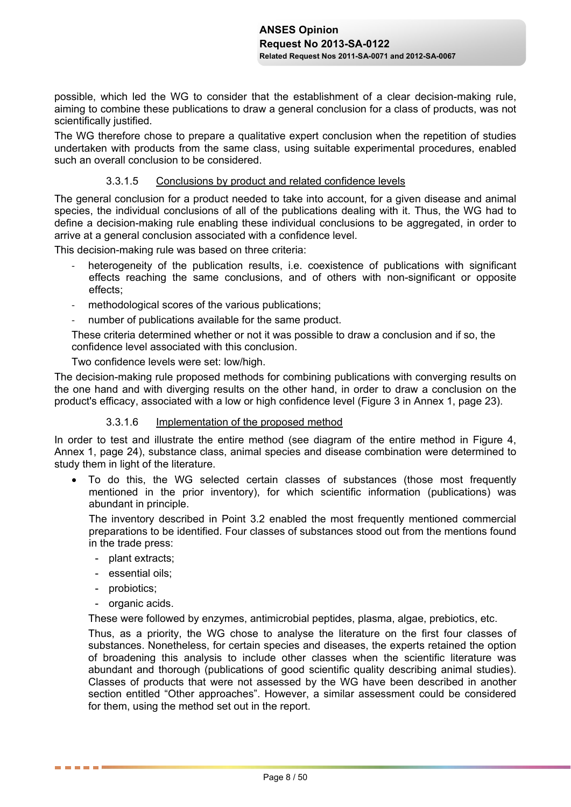possible, which led the WG to consider that the establishment of a clear decision-making rule, aiming to combine these publications to draw a general conclusion for a class of products, was not scientifically justified.

The WG therefore chose to prepare a qualitative expert conclusion when the repetition of studies undertaken with products from the same class, using suitable experimental procedures, enabled such an overall conclusion to be considered.

### 3.3.1.5 Conclusions by product and related confidence levels

The general conclusion for a product needed to take into account, for a given disease and animal species, the individual conclusions of all of the publications dealing with it. Thus, the WG had to define a decision-making rule enabling these individual conclusions to be aggregated, in order to arrive at a general conclusion associated with a confidence level.

This decision-making rule was based on three criteria:

- heterogeneity of the publication results, i.e. coexistence of publications with significant effects reaching the same conclusions, and of others with non-significant or opposite effects;
- methodological scores of the various publications;
- number of publications available for the same product.

These criteria determined whether or not it was possible to draw a conclusion and if so, the confidence level associated with this conclusion.

Two confidence levels were set: low/high.

The decision-making rule proposed methods for combining publications with converging results on the one hand and with diverging results on the other hand, in order to draw a conclusion on the product's efficacy, associated with a low or high confidence level (Figure 3 in Annex 1, page 23).

### 3.3.1.6 Implementation of the proposed method

In order to test and illustrate the entire method (see diagram of the entire method in Figure 4, Annex 1, page 24), substance class, animal species and disease combination were determined to study them in light of the literature.

 To do this, the WG selected certain classes of substances (those most frequently mentioned in the prior inventory), for which scientific information (publications) was abundant in principle.

The inventory described in Point 3.2 enabled the most frequently mentioned commercial preparations to be identified. Four classes of substances stood out from the mentions found in the trade press:

- plant extracts;
- essential oils;
- probiotics;

------

- organic acids.

These were followed by enzymes, antimicrobial peptides, plasma, algae, prebiotics, etc.

Thus, as a priority, the WG chose to analyse the literature on the first four classes of substances. Nonetheless, for certain species and diseases, the experts retained the option of broadening this analysis to include other classes when the scientific literature was abundant and thorough (publications of good scientific quality describing animal studies). Classes of products that were not assessed by the WG have been described in another section entitled "Other approaches". However, a similar assessment could be considered for them, using the method set out in the report.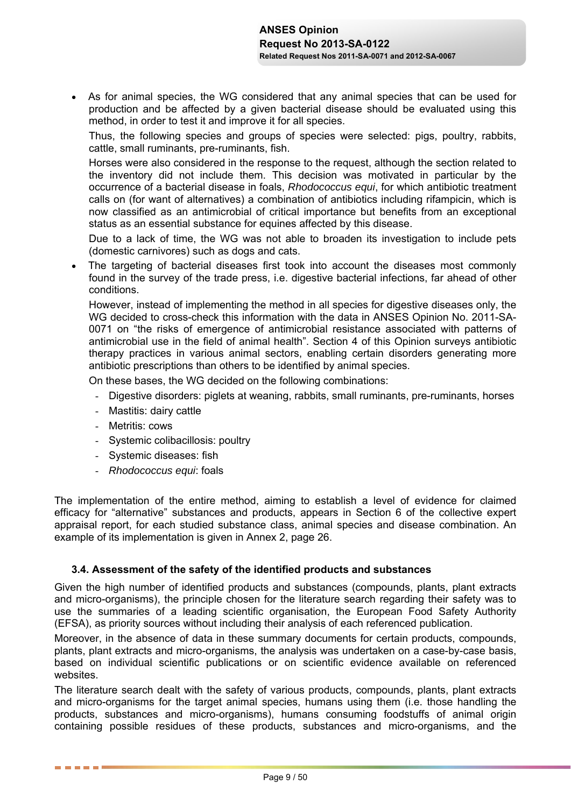As for animal species, the WG considered that any animal species that can be used for production and be affected by a given bacterial disease should be evaluated using this method, in order to test it and improve it for all species.

Thus, the following species and groups of species were selected: pigs, poultry, rabbits, cattle, small ruminants, pre-ruminants, fish.

Horses were also considered in the response to the request, although the section related to the inventory did not include them. This decision was motivated in particular by the occurrence of a bacterial disease in foals, *Rhodococcus equi*, for which antibiotic treatment calls on (for want of alternatives) a combination of antibiotics including rifampicin, which is now classified as an antimicrobial of critical importance but benefits from an exceptional status as an essential substance for equines affected by this disease.

Due to a lack of time, the WG was not able to broaden its investigation to include pets (domestic carnivores) such as dogs and cats.

 The targeting of bacterial diseases first took into account the diseases most commonly found in the survey of the trade press, i.e. digestive bacterial infections, far ahead of other conditions.

However, instead of implementing the method in all species for digestive diseases only, the WG decided to cross-check this information with the data in ANSES Opinion No. 2011-SA-0071 on "the risks of emergence of antimicrobial resistance associated with patterns of antimicrobial use in the field of animal health". Section 4 of this Opinion surveys antibiotic therapy practices in various animal sectors, enabling certain disorders generating more antibiotic prescriptions than others to be identified by animal species.

On these bases, the WG decided on the following combinations:

- Digestive disorders: piglets at weaning, rabbits, small ruminants, pre-ruminants, horses
- Mastitis: dairy cattle
- Metritis: cows

------

- Systemic colibacillosis: poultry
- Systemic diseases: fish
- *Rhodococcus equi*: foals

The implementation of the entire method, aiming to establish a level of evidence for claimed efficacy for "alternative" substances and products, appears in Section 6 of the collective expert appraisal report, for each studied substance class, animal species and disease combination. An example of its implementation is given in Annex 2, page 26.

### **3.4. Assessment of the safety of the identified products and substances**

Given the high number of identified products and substances (compounds, plants, plant extracts and micro-organisms), the principle chosen for the literature search regarding their safety was to use the summaries of a leading scientific organisation, the European Food Safety Authority (EFSA), as priority sources without including their analysis of each referenced publication.

Moreover, in the absence of data in these summary documents for certain products, compounds, plants, plant extracts and micro-organisms, the analysis was undertaken on a case-by-case basis, based on individual scientific publications or on scientific evidence available on referenced websites.

The literature search dealt with the safety of various products, compounds, plants, plant extracts and micro-organisms for the target animal species, humans using them (i.e. those handling the products, substances and micro-organisms), humans consuming foodstuffs of animal origin containing possible residues of these products, substances and micro-organisms, and the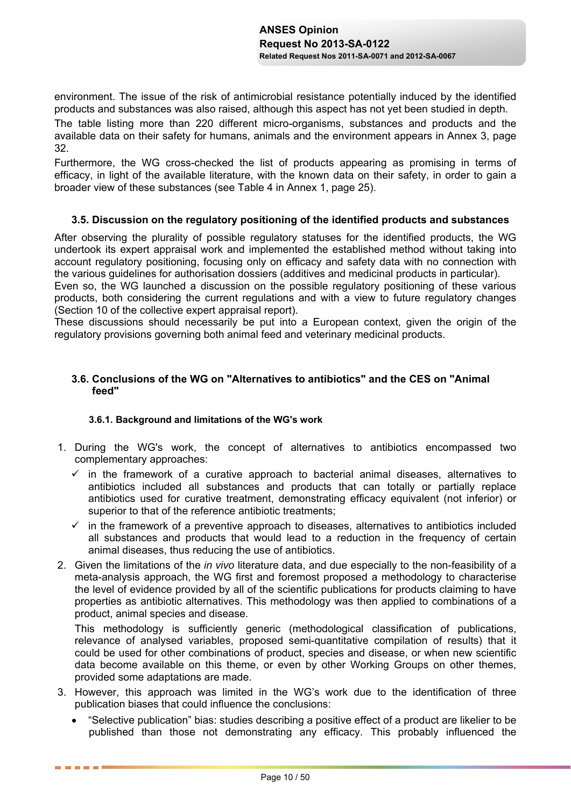environment. The issue of the risk of antimicrobial resistance potentially induced by the identified products and substances was also raised, although this aspect has not yet been studied in depth.

The table listing more than 220 different micro-organisms, substances and products and the available data on their safety for humans, animals and the environment appears in Annex 3, page 32.

Furthermore, the WG cross-checked the list of products appearing as promising in terms of efficacy, in light of the available literature, with the known data on their safety, in order to gain a broader view of these substances (see Table 4 in Annex 1, page 25).

### **3.5. Discussion on the regulatory positioning of the identified products and substances**

After observing the plurality of possible regulatory statuses for the identified products, the WG undertook its expert appraisal work and implemented the established method without taking into account regulatory positioning, focusing only on efficacy and safety data with no connection with the various guidelines for authorisation dossiers (additives and medicinal products in particular).

Even so, the WG launched a discussion on the possible regulatory positioning of these various products, both considering the current regulations and with a view to future regulatory changes (Section 10 of the collective expert appraisal report).

These discussions should necessarily be put into a European context, given the origin of the regulatory provisions governing both animal feed and veterinary medicinal products.

## **3.6. Conclusions of the WG on "Alternatives to antibiotics" and the CES on "Animal feed"**

### **3.6.1.Background and limitations of the WG's work**

------

- 1. During the WG's work, the concept of alternatives to antibiotics encompassed two complementary approaches:
	- $\checkmark$  in the framework of a curative approach to bacterial animal diseases, alternatives to antibiotics included all substances and products that can totally or partially replace antibiotics used for curative treatment, demonstrating efficacy equivalent (not inferior) or superior to that of the reference antibiotic treatments;
	- $\checkmark$  in the framework of a preventive approach to diseases, alternatives to antibiotics included all substances and products that would lead to a reduction in the frequency of certain animal diseases, thus reducing the use of antibiotics.
- 2. Given the limitations of the *in vivo* literature data, and due especially to the non-feasibility of a meta-analysis approach, the WG first and foremost proposed a methodology to characterise the level of evidence provided by all of the scientific publications for products claiming to have properties as antibiotic alternatives. This methodology was then applied to combinations of a product, animal species and disease.

This methodology is sufficiently generic (methodological classification of publications, relevance of analysed variables, proposed semi-quantitative compilation of results) that it could be used for other combinations of product, species and disease, or when new scientific data become available on this theme, or even by other Working Groups on other themes, provided some adaptations are made.

- 3. However, this approach was limited in the WG's work due to the identification of three publication biases that could influence the conclusions:
	- "Selective publication" bias: studies describing a positive effect of a product are likelier to be published than those not demonstrating any efficacy. This probably influenced the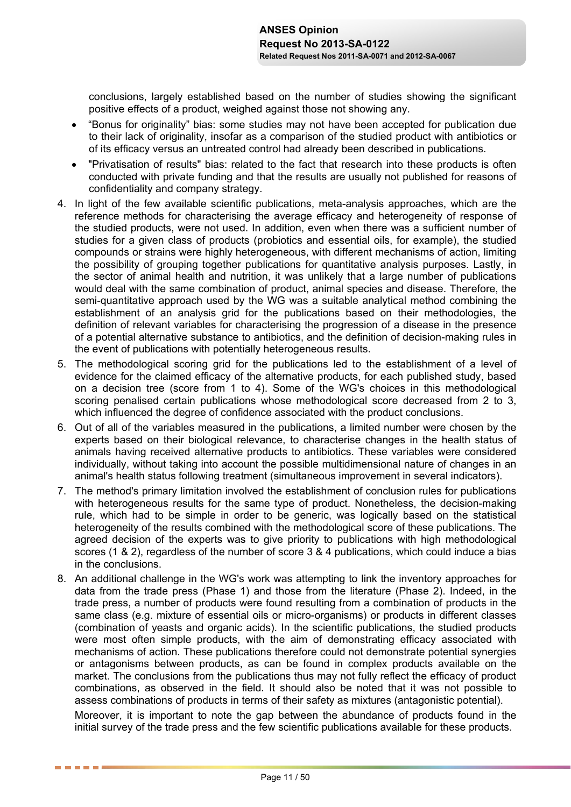conclusions, largely established based on the number of studies showing the significant positive effects of a product, weighed against those not showing any.

- "Bonus for originality" bias: some studies may not have been accepted for publication due to their lack of originality, insofar as a comparison of the studied product with antibiotics or of its efficacy versus an untreated control had already been described in publications.
- "Privatisation of results" bias: related to the fact that research into these products is often conducted with private funding and that the results are usually not published for reasons of confidentiality and company strategy.
- 4. In light of the few available scientific publications, meta-analysis approaches, which are the reference methods for characterising the average efficacy and heterogeneity of response of the studied products, were not used. In addition, even when there was a sufficient number of studies for a given class of products (probiotics and essential oils, for example), the studied compounds or strains were highly heterogeneous, with different mechanisms of action, limiting the possibility of grouping together publications for quantitative analysis purposes. Lastly, in the sector of animal health and nutrition, it was unlikely that a large number of publications would deal with the same combination of product, animal species and disease. Therefore, the semi-quantitative approach used by the WG was a suitable analytical method combining the establishment of an analysis grid for the publications based on their methodologies, the definition of relevant variables for characterising the progression of a disease in the presence of a potential alternative substance to antibiotics, and the definition of decision-making rules in the event of publications with potentially heterogeneous results.
- 5. The methodological scoring grid for the publications led to the establishment of a level of evidence for the claimed efficacy of the alternative products, for each published study, based on a decision tree (score from 1 to 4). Some of the WG's choices in this methodological scoring penalised certain publications whose methodological score decreased from 2 to 3, which influenced the degree of confidence associated with the product conclusions.
- 6. Out of all of the variables measured in the publications, a limited number were chosen by the experts based on their biological relevance, to characterise changes in the health status of animals having received alternative products to antibiotics. These variables were considered individually, without taking into account the possible multidimensional nature of changes in an animal's health status following treatment (simultaneous improvement in several indicators).
- 7. The method's primary limitation involved the establishment of conclusion rules for publications with heterogeneous results for the same type of product. Nonetheless, the decision-making rule, which had to be simple in order to be generic, was logically based on the statistical heterogeneity of the results combined with the methodological score of these publications. The agreed decision of the experts was to give priority to publications with high methodological scores (1 & 2), regardless of the number of score 3 & 4 publications, which could induce a bias in the conclusions.
- 8. An additional challenge in the WG's work was attempting to link the inventory approaches for data from the trade press (Phase 1) and those from the literature (Phase 2). Indeed, in the trade press, a number of products were found resulting from a combination of products in the same class (e.g. mixture of essential oils or micro-organisms) or products in different classes (combination of yeasts and organic acids). In the scientific publications, the studied products were most often simple products, with the aim of demonstrating efficacy associated with mechanisms of action. These publications therefore could not demonstrate potential synergies or antagonisms between products, as can be found in complex products available on the market. The conclusions from the publications thus may not fully reflect the efficacy of product combinations, as observed in the field. It should also be noted that it was not possible to assess combinations of products in terms of their safety as mixtures (antagonistic potential).

Moreover, it is important to note the gap between the abundance of products found in the initial survey of the trade press and the few scientific publications available for these products.

. . . . . .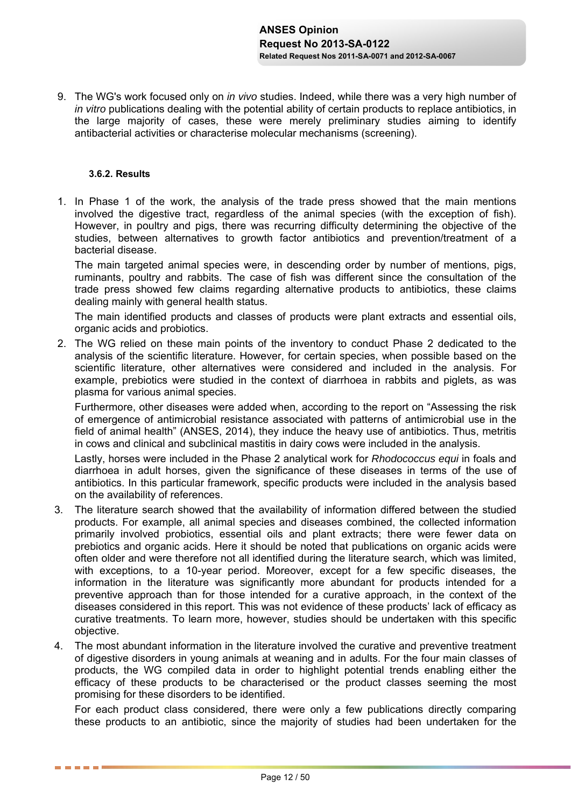9. The WG's work focused only on *in vivo* studies. Indeed, while there was a very high number of *in vitro* publications dealing with the potential ability of certain products to replace antibiotics, in the large majority of cases, these were merely preliminary studies aiming to identify antibacterial activities or characterise molecular mechanisms (screening).

### **3.6.2.Results**

. . . . . .

1. In Phase 1 of the work, the analysis of the trade press showed that the main mentions involved the digestive tract, regardless of the animal species (with the exception of fish). However, in poultry and pigs, there was recurring difficulty determining the objective of the studies, between alternatives to growth factor antibiotics and prevention/treatment of a bacterial disease.

The main targeted animal species were, in descending order by number of mentions, pigs, ruminants, poultry and rabbits. The case of fish was different since the consultation of the trade press showed few claims regarding alternative products to antibiotics, these claims dealing mainly with general health status.

The main identified products and classes of products were plant extracts and essential oils, organic acids and probiotics.

2. The WG relied on these main points of the inventory to conduct Phase 2 dedicated to the analysis of the scientific literature. However, for certain species, when possible based on the scientific literature, other alternatives were considered and included in the analysis. For example, prebiotics were studied in the context of diarrhoea in rabbits and piglets, as was plasma for various animal species.

Furthermore, other diseases were added when, according to the report on "Assessing the risk of emergence of antimicrobial resistance associated with patterns of antimicrobial use in the field of animal health" (ANSES, 2014), they induce the heavy use of antibiotics. Thus, metritis in cows and clinical and subclinical mastitis in dairy cows were included in the analysis.

Lastly, horses were included in the Phase 2 analytical work for *Rhodococcus equi* in foals and diarrhoea in adult horses, given the significance of these diseases in terms of the use of antibiotics. In this particular framework, specific products were included in the analysis based on the availability of references.

- 3. The literature search showed that the availability of information differed between the studied products. For example, all animal species and diseases combined, the collected information primarily involved probiotics, essential oils and plant extracts; there were fewer data on prebiotics and organic acids. Here it should be noted that publications on organic acids were often older and were therefore not all identified during the literature search, which was limited, with exceptions, to a 10-year period. Moreover, except for a few specific diseases, the information in the literature was significantly more abundant for products intended for a preventive approach than for those intended for a curative approach, in the context of the diseases considered in this report. This was not evidence of these products' lack of efficacy as curative treatments. To learn more, however, studies should be undertaken with this specific objective.
- 4. The most abundant information in the literature involved the curative and preventive treatment of digestive disorders in young animals at weaning and in adults. For the four main classes of products, the WG compiled data in order to highlight potential trends enabling either the efficacy of these products to be characterised or the product classes seeming the most promising for these disorders to be identified.

For each product class considered, there were only a few publications directly comparing these products to an antibiotic, since the majority of studies had been undertaken for the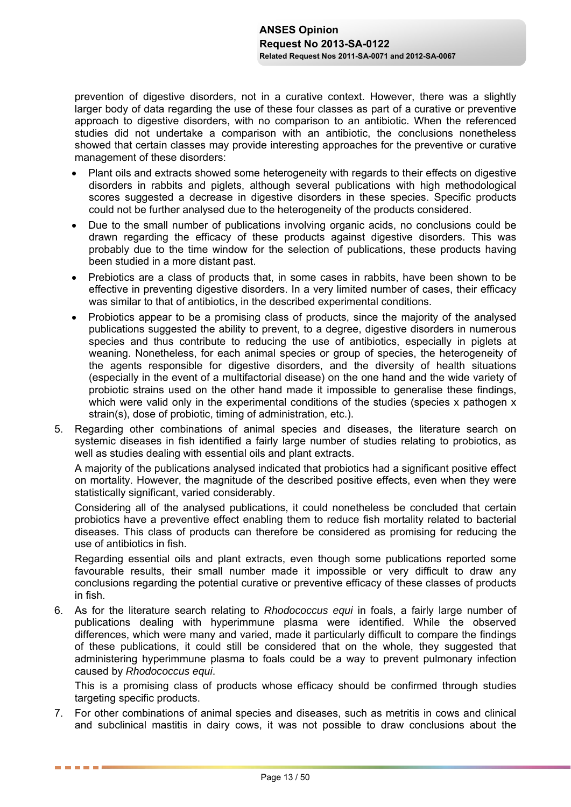prevention of digestive disorders, not in a curative context. However, there was a slightly larger body of data regarding the use of these four classes as part of a curative or preventive approach to digestive disorders, with no comparison to an antibiotic. When the referenced studies did not undertake a comparison with an antibiotic, the conclusions nonetheless showed that certain classes may provide interesting approaches for the preventive or curative management of these disorders:

- Plant oils and extracts showed some heterogeneity with regards to their effects on digestive disorders in rabbits and piglets, although several publications with high methodological scores suggested a decrease in digestive disorders in these species. Specific products could not be further analysed due to the heterogeneity of the products considered.
- Due to the small number of publications involving organic acids, no conclusions could be drawn regarding the efficacy of these products against digestive disorders. This was probably due to the time window for the selection of publications, these products having been studied in a more distant past.
- Prebiotics are a class of products that, in some cases in rabbits, have been shown to be effective in preventing digestive disorders. In a very limited number of cases, their efficacy was similar to that of antibiotics, in the described experimental conditions.
- Probiotics appear to be a promising class of products, since the majority of the analysed publications suggested the ability to prevent, to a degree, digestive disorders in numerous species and thus contribute to reducing the use of antibiotics, especially in piglets at weaning. Nonetheless, for each animal species or group of species, the heterogeneity of the agents responsible for digestive disorders, and the diversity of health situations (especially in the event of a multifactorial disease) on the one hand and the wide variety of probiotic strains used on the other hand made it impossible to generalise these findings, which were valid only in the experimental conditions of the studies (species x pathogen x strain(s), dose of probiotic, timing of administration, etc.).
- 5. Regarding other combinations of animal species and diseases, the literature search on systemic diseases in fish identified a fairly large number of studies relating to probiotics, as well as studies dealing with essential oils and plant extracts.

A majority of the publications analysed indicated that probiotics had a significant positive effect on mortality. However, the magnitude of the described positive effects, even when they were statistically significant, varied considerably.

Considering all of the analysed publications, it could nonetheless be concluded that certain probiotics have a preventive effect enabling them to reduce fish mortality related to bacterial diseases. This class of products can therefore be considered as promising for reducing the use of antibiotics in fish.

Regarding essential oils and plant extracts, even though some publications reported some favourable results, their small number made it impossible or very difficult to draw any conclusions regarding the potential curative or preventive efficacy of these classes of products in fish.

6. As for the literature search relating to *Rhodococcus equi* in foals, a fairly large number of publications dealing with hyperimmune plasma were identified. While the observed differences, which were many and varied, made it particularly difficult to compare the findings of these publications, it could still be considered that on the whole, they suggested that administering hyperimmune plasma to foals could be a way to prevent pulmonary infection caused by *Rhodococcus equi*.

This is a promising class of products whose efficacy should be confirmed through studies targeting specific products.

7. For other combinations of animal species and diseases, such as metritis in cows and clinical and subclinical mastitis in dairy cows, it was not possible to draw conclusions about the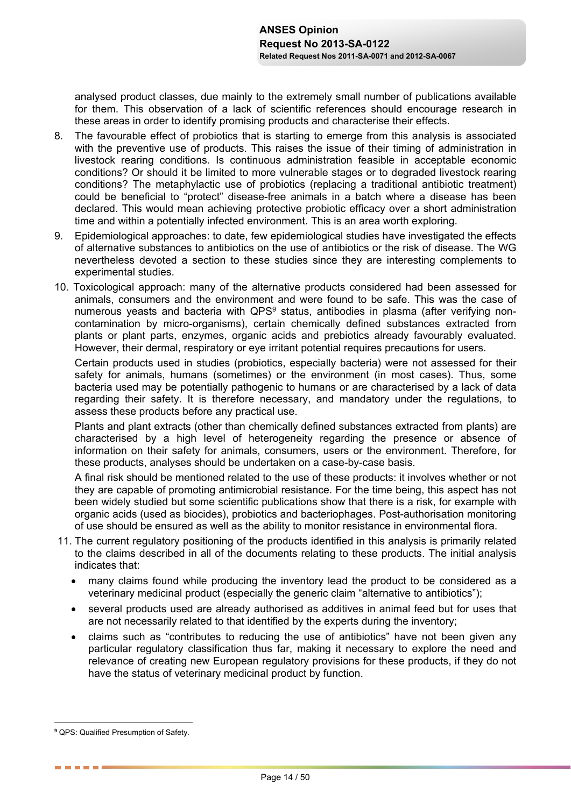analysed product classes, due mainly to the extremely small number of publications available for them. This observation of a lack of scientific references should encourage research in these areas in order to identify promising products and characterise their effects.

- 8. The favourable effect of probiotics that is starting to emerge from this analysis is associated with the preventive use of products. This raises the issue of their timing of administration in livestock rearing conditions. Is continuous administration feasible in acceptable economic conditions? Or should it be limited to more vulnerable stages or to degraded livestock rearing conditions? The metaphylactic use of probiotics (replacing a traditional antibiotic treatment) could be beneficial to "protect" disease-free animals in a batch where a disease has been declared. This would mean achieving protective probiotic efficacy over a short administration time and within a potentially infected environment. This is an area worth exploring.
- 9. Epidemiological approaches: to date, few epidemiological studies have investigated the effects of alternative substances to antibiotics on the use of antibiotics or the risk of disease. The WG nevertheless devoted a section to these studies since they are interesting complements to experimental studies.
- 10. Toxicological approach: many of the alternative products considered had been assessed for animals, consumers and the environment and were found to be safe. This was the case of numerous yeasts and bacteria with QPS<sup>9</sup> status, antibodies in plasma (after verifying noncontamination by micro-organisms), certain chemically defined substances extracted from plants or plant parts, enzymes, organic acids and prebiotics already favourably evaluated. However, their dermal, respiratory or eye irritant potential requires precautions for users.

Certain products used in studies (probiotics, especially bacteria) were not assessed for their safety for animals, humans (sometimes) or the environment (in most cases). Thus, some bacteria used may be potentially pathogenic to humans or are characterised by a lack of data regarding their safety. It is therefore necessary, and mandatory under the regulations, to assess these products before any practical use.

Plants and plant extracts (other than chemically defined substances extracted from plants) are characterised by a high level of heterogeneity regarding the presence or absence of information on their safety for animals, consumers, users or the environment. Therefore, for these products, analyses should be undertaken on a case-by-case basis.

A final risk should be mentioned related to the use of these products: it involves whether or not they are capable of promoting antimicrobial resistance. For the time being, this aspect has not been widely studied but some scientific publications show that there is a risk, for example with organic acids (used as biocides), probiotics and bacteriophages. Post-authorisation monitoring of use should be ensured as well as the ability to monitor resistance in environmental flora.

- 11. The current regulatory positioning of the products identified in this analysis is primarily related to the claims described in all of the documents relating to these products. The initial analysis indicates that:
	- many claims found while producing the inventory lead the product to be considered as a veterinary medicinal product (especially the generic claim "alternative to antibiotics");
	- several products used are already authorised as additives in animal feed but for uses that are not necessarily related to that identified by the experts during the inventory;
	- claims such as "contributes to reducing the use of antibiotics" have not been given any particular regulatory classification thus far, making it necessary to explore the need and relevance of creating new European regulatory provisions for these products, if they do not have the status of veterinary medicinal product by function.

 $\overline{a}$ **9** QPS: Qualified Presumption of Safety.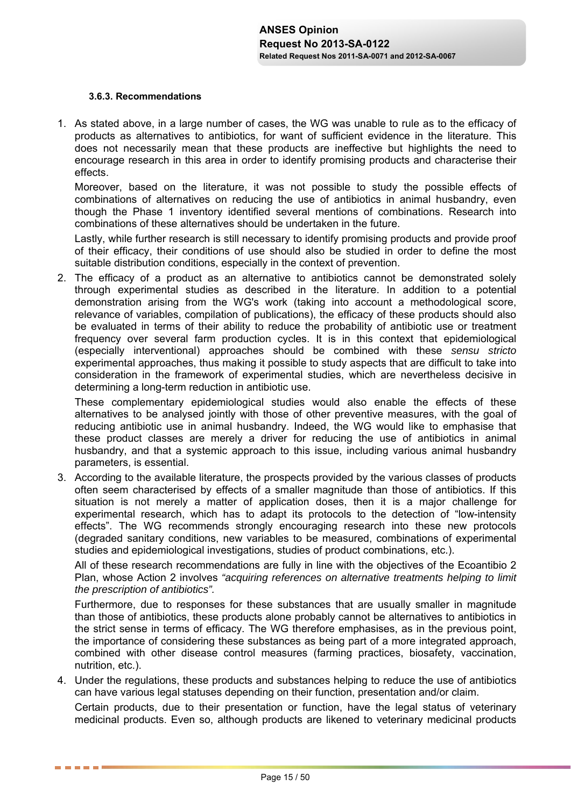### **3.6.3.Recommendations**

. . . . . .

1. As stated above, in a large number of cases, the WG was unable to rule as to the efficacy of products as alternatives to antibiotics, for want of sufficient evidence in the literature. This does not necessarily mean that these products are ineffective but highlights the need to encourage research in this area in order to identify promising products and characterise their effects.

Moreover, based on the literature, it was not possible to study the possible effects of combinations of alternatives on reducing the use of antibiotics in animal husbandry, even though the Phase 1 inventory identified several mentions of combinations. Research into combinations of these alternatives should be undertaken in the future.

Lastly, while further research is still necessary to identify promising products and provide proof of their efficacy, their conditions of use should also be studied in order to define the most suitable distribution conditions, especially in the context of prevention.

2. The efficacy of a product as an alternative to antibiotics cannot be demonstrated solely through experimental studies as described in the literature. In addition to a potential demonstration arising from the WG's work (taking into account a methodological score, relevance of variables, compilation of publications), the efficacy of these products should also be evaluated in terms of their ability to reduce the probability of antibiotic use or treatment frequency over several farm production cycles. It is in this context that epidemiological (especially interventional) approaches should be combined with these *sensu stricto* experimental approaches, thus making it possible to study aspects that are difficult to take into consideration in the framework of experimental studies, which are nevertheless decisive in determining a long-term reduction in antibiotic use.

These complementary epidemiological studies would also enable the effects of these alternatives to be analysed jointly with those of other preventive measures, with the goal of reducing antibiotic use in animal husbandry. Indeed, the WG would like to emphasise that these product classes are merely a driver for reducing the use of antibiotics in animal husbandry, and that a systemic approach to this issue, including various animal husbandry parameters, is essential.

3. According to the available literature, the prospects provided by the various classes of products often seem characterised by effects of a smaller magnitude than those of antibiotics. If this situation is not merely a matter of application doses, then it is a major challenge for experimental research, which has to adapt its protocols to the detection of "low-intensity effects". The WG recommends strongly encouraging research into these new protocols (degraded sanitary conditions, new variables to be measured, combinations of experimental studies and epidemiological investigations, studies of product combinations, etc.).

All of these research recommendations are fully in line with the objectives of the Ecoantibio 2 Plan, whose Action 2 involves *"acquiring references on alternative treatments helping to limit the prescription of antibiotics".*

Furthermore, due to responses for these substances that are usually smaller in magnitude than those of antibiotics, these products alone probably cannot be alternatives to antibiotics in the strict sense in terms of efficacy. The WG therefore emphasises, as in the previous point, the importance of considering these substances as being part of a more integrated approach, combined with other disease control measures (farming practices, biosafety, vaccination, nutrition, etc.).

4. Under the regulations, these products and substances helping to reduce the use of antibiotics can have various legal statuses depending on their function, presentation and/or claim.

Certain products, due to their presentation or function, have the legal status of veterinary medicinal products. Even so, although products are likened to veterinary medicinal products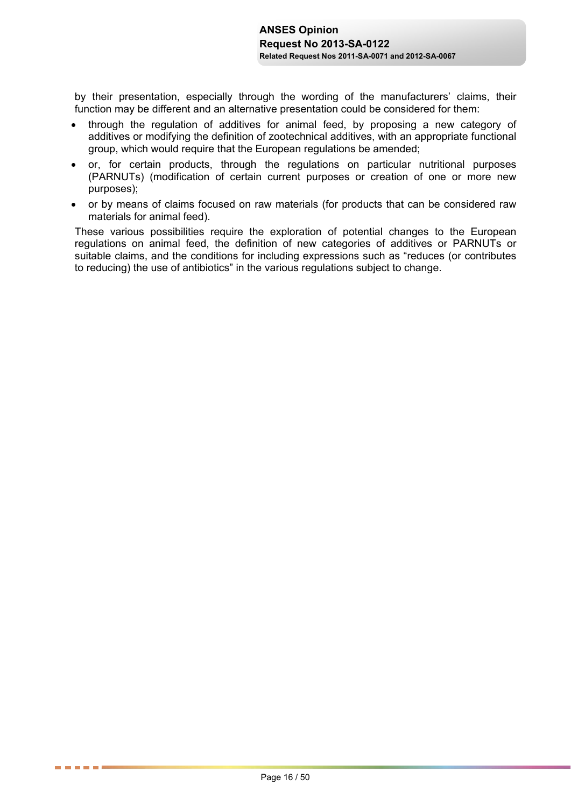by their presentation, especially through the wording of the manufacturers' claims, their function may be different and an alternative presentation could be considered for them:

- through the regulation of additives for animal feed, by proposing a new category of additives or modifying the definition of zootechnical additives, with an appropriate functional group, which would require that the European regulations be amended;
- or, for certain products, through the regulations on particular nutritional purposes (PARNUTs) (modification of certain current purposes or creation of one or more new purposes);
- or by means of claims focused on raw materials (for products that can be considered raw materials for animal feed).

These various possibilities require the exploration of potential changes to the European regulations on animal feed, the definition of new categories of additives or PARNUTs or suitable claims, and the conditions for including expressions such as "reduces (or contributes to reducing) the use of antibiotics" in the various regulations subject to change.

. . . . . .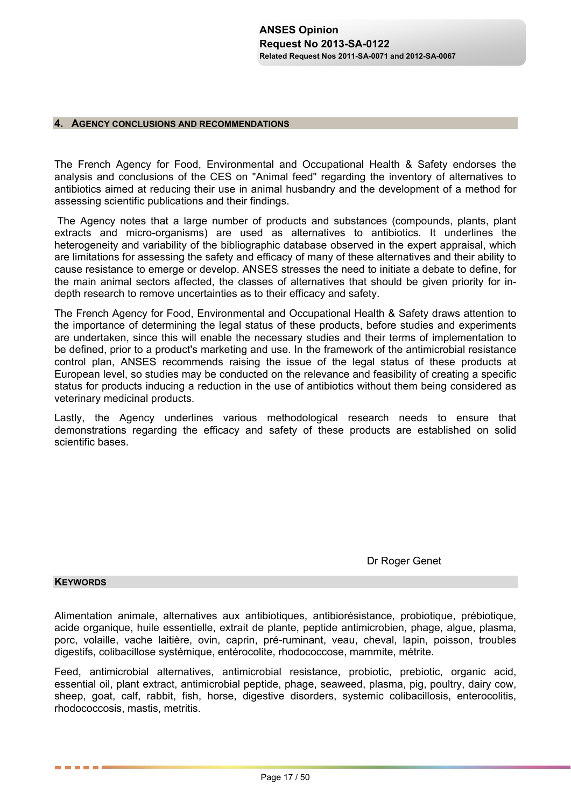#### **4. AGENCY CONCLUSIONS AND RECOMMENDATIONS**

The French Agency for Food, Environmental and Occupational Health & Safety endorses the analysis and conclusions of the CES on "Animal feed" regarding the inventory of alternatives to antibiotics aimed at reducing their use in animal husbandry and the development of a method for assessing scientific publications and their findings.

 The Agency notes that a large number of products and substances (compounds, plants, plant extracts and micro-organisms) are used as alternatives to antibiotics. It underlines the heterogeneity and variability of the bibliographic database observed in the expert appraisal, which are limitations for assessing the safety and efficacy of many of these alternatives and their ability to cause resistance to emerge or develop. ANSES stresses the need to initiate a debate to define, for the main animal sectors affected, the classes of alternatives that should be given priority for indepth research to remove uncertainties as to their efficacy and safety.

The French Agency for Food, Environmental and Occupational Health & Safety draws attention to the importance of determining the legal status of these products, before studies and experiments are undertaken, since this will enable the necessary studies and their terms of implementation to be defined, prior to a product's marketing and use. In the framework of the antimicrobial resistance control plan, ANSES recommends raising the issue of the legal status of these products at European level, so studies may be conducted on the relevance and feasibility of creating a specific status for products inducing a reduction in the use of antibiotics without them being considered as veterinary medicinal products.

Lastly, the Agency underlines various methodological research needs to ensure that demonstrations regarding the efficacy and safety of these products are established on solid scientific bases.

Dr Roger Genet

### **KEYWORDS**

------

Alimentation animale, alternatives aux antibiotiques, antibiorésistance, probiotique, prébiotique, acide organique, huile essentielle, extrait de plante, peptide antimicrobien, phage, algue, plasma, porc, volaille, vache laitière, ovin, caprin, pré-ruminant, veau, cheval, lapin, poisson, troubles digestifs, colibacillose systémique, entérocolite, rhodococcose, mammite, métrite.

Feed, antimicrobial alternatives, antimicrobial resistance, probiotic, prebiotic, organic acid, essential oil, plant extract, antimicrobial peptide, phage, seaweed, plasma, pig, poultry, dairy cow, sheep, goat, calf, rabbit, fish, horse, digestive disorders, systemic colibacillosis, enterocolitis, rhodococcosis, mastis, metritis.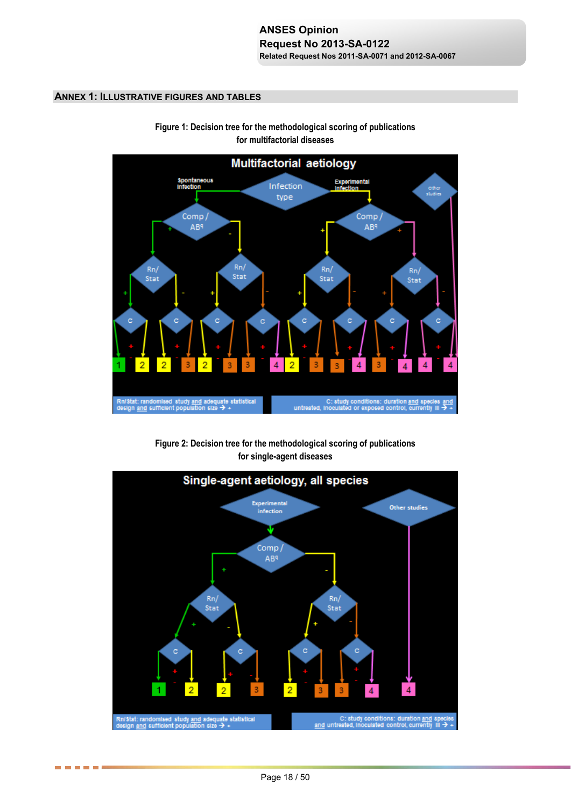### **ANNEX 1: ILLUSTRATIVE FIGURES AND TABLES**



**Figure 1: Decision tree for the methodological scoring of publications for multifactorial diseases** 

**Figure 2: Decision tree for the methodological scoring of publications for single-agent diseases** 



. . . . . .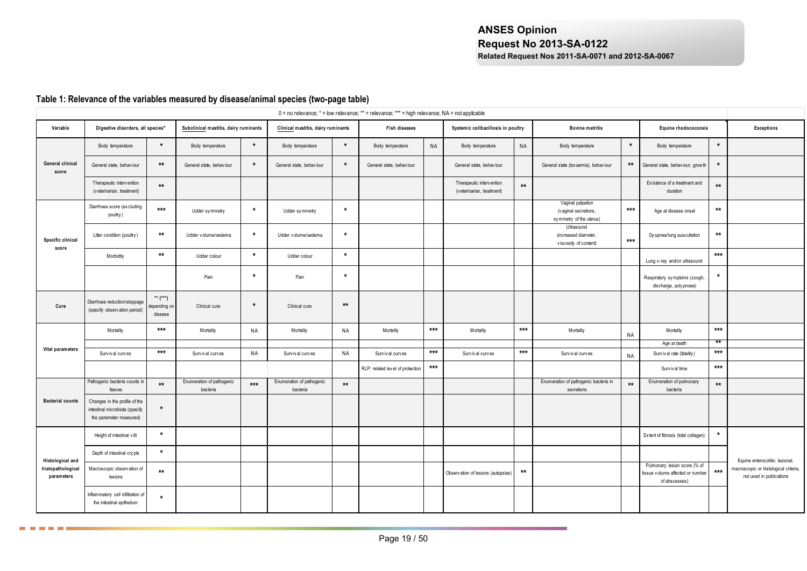## **Table 1: Relevance of the variables measured by disease/animal species (two-page table)**

**□□□□□** 

|                                 |                                                                                            |                                         |                                       |           |                                       |              | $0 =$ no relevance; $* =$ low relevance; $** =$ relevance; $*** =$ high relevance; NA = not applicable |           |                                                        |       |                                                                      |           |                                                                                   |              |                                                                   |
|---------------------------------|--------------------------------------------------------------------------------------------|-----------------------------------------|---------------------------------------|-----------|---------------------------------------|--------------|--------------------------------------------------------------------------------------------------------|-----------|--------------------------------------------------------|-------|----------------------------------------------------------------------|-----------|-----------------------------------------------------------------------------------|--------------|-------------------------------------------------------------------|
| Variable                        | Digestive disorders, all species°                                                          |                                         | Subclinical mastitis, dairy ruminants |           | Clinical mastitis, dairy ruminants    |              | Fish diseases                                                                                          |           | Systemic colibacillosis in poultry                     |       | <b>Bovine metritis</b>                                               |           | Equine rhodococcosis                                                              |              | <b>Exceptions</b>                                                 |
|                                 | Body temperature                                                                           | $\star$                                 | Body temperature                      | $\star$   | Body temperature                      | $\star$      | Body temperature                                                                                       | <b>NA</b> | Body temperature                                       | NA    | Body temperature                                                     | $\star$   | Body temperature                                                                  | $\star$      |                                                                   |
| General clinical<br>score       | General state, behaviour                                                                   | $**$                                    | General state, behaviour              | $\star$   | General state, behaviour              | $\star$      | General state, behaviour                                                                               |           | General state, behaviour                               |       | General state (tox aemia), behaviour                                 | $***$     | General state, behaviour, growth                                                  | $\star$      |                                                                   |
|                                 | Therapeutic intervention<br>(veterinarian, treatment)                                      | $**$                                    |                                       |           |                                       |              |                                                                                                        |           | Therapeutic intervention<br>(v eterinarian, treatment) | $**$  |                                                                      |           | Ex istence of a treatment and<br>duration                                         | $\star\star$ |                                                                   |
|                                 | Diarrhoea score (ex cluding<br>poultry)                                                    | $***$                                   | Udder symmetry                        | $\star$   | Udder symmetry                        | $\star$      |                                                                                                        |           |                                                        |       | Vaginal palpation<br>(vaginal secretions,<br>symmetry of the uterus) | $***$     | Age at disease onset                                                              | $**$         |                                                                   |
| Specific clinical<br>score      | Litter condition (poultry)                                                                 | $\star\star$                            | Udder v olume/oedema                  | $\star$   | Udder volume/oedema                   | $\star$      |                                                                                                        |           |                                                        |       | Ultrasound<br>(increased diameter,<br>viscosity of content)          | $***$     | Dy spnea/lung auscultation                                                        | $\star\star$ |                                                                   |
|                                 | Morbidity                                                                                  | $**$                                    | Udder colour                          | $\star$   | Udder colour                          | $\star$      |                                                                                                        |           |                                                        |       |                                                                      |           | Lung x-ray and/or ultrasound                                                      | $***$        |                                                                   |
|                                 |                                                                                            |                                         | Pain                                  | $\star$   | Pain                                  | $\star$      |                                                                                                        |           |                                                        |       |                                                                      |           | Respiratory symptoms (cough,<br>discharge, poly pnoea)                            | $\star$      |                                                                   |
| Cure                            | Diarrhoea reduction/stoppage<br>(specify observation period)                               | $***$ $(***)$<br>epending on<br>disease | Clinical cure                         | $\star$   | Clinical cure                         | $**$         |                                                                                                        |           |                                                        |       |                                                                      |           |                                                                                   |              |                                                                   |
|                                 | Mortality                                                                                  | $***$                                   | Mortality                             | <b>NA</b> | Mortality                             | <b>NA</b>    | Mortality                                                                                              | $***$     | Mortality                                              | $***$ | Mortality                                                            | NA        | Mortality                                                                         | $***$        |                                                                   |
| Vital parameters                |                                                                                            |                                         |                                       |           |                                       |              |                                                                                                        |           |                                                        |       |                                                                      |           | Age at death                                                                      | **           |                                                                   |
|                                 | Survival curves                                                                            | $***$                                   | Survival curves                       | NA        | Survival curves                       | NA           | Survival curves                                                                                        | $***$     | Survival curves                                        | $***$ | Survival curves                                                      | <b>NA</b> | Surv iv al rate (fatality)                                                        | $***$        |                                                                   |
|                                 |                                                                                            |                                         |                                       |           |                                       |              | RLP: related level of protection                                                                       | $***$     |                                                        |       |                                                                      |           | Survival time                                                                     | $***$        |                                                                   |
|                                 | Pathogenic bacteria counts in<br>faeces                                                    | $\star\star$                            | Enumeration of pathogenic<br>bacteria | $***$     | Enumeration of pathogenic<br>bacteria | $\star\star$ |                                                                                                        |           |                                                        |       | Enumeration of pathogenic bacteria in<br>secretions                  | $**$      | Enumeration of pulmonary<br>bacteria                                              | $***$        |                                                                   |
| <b>Bacterial counts</b>         | Changes in the profile of the<br>intestinal microbiota (specify<br>the parameter measured) | $\star$                                 |                                       |           |                                       |              |                                                                                                        |           |                                                        |       |                                                                      |           |                                                                                   |              |                                                                   |
|                                 | Height of intestinal villi                                                                 | $\star$                                 |                                       |           |                                       |              |                                                                                                        |           |                                                        |       |                                                                      |           | Extent of fibrosis (total collagen)                                               | $\star$      |                                                                   |
| Histological and                | Depth of intestinal crypts                                                                 | $\star$                                 |                                       |           |                                       |              |                                                                                                        |           |                                                        |       |                                                                      |           |                                                                                   |              | Equine enterocolitis: lesional,                                   |
| histopathological<br>parameters | Macroscopic observation of<br>lesions                                                      | $\star\star$                            |                                       |           |                                       |              |                                                                                                        |           | Observation of lesions (autopsies)                     | $***$ |                                                                      |           | Pulmonary lesion score (% of<br>tissue volume affected or number<br>of abscesses) | $***$        | macroscopic or histological criteria,<br>not used in publications |
|                                 | Inflammatory cell infiltration of<br>the intestinal epithelium                             | $\star$                                 |                                       |           |                                       |              |                                                                                                        |           |                                                        |       |                                                                      |           |                                                                                   |              |                                                                   |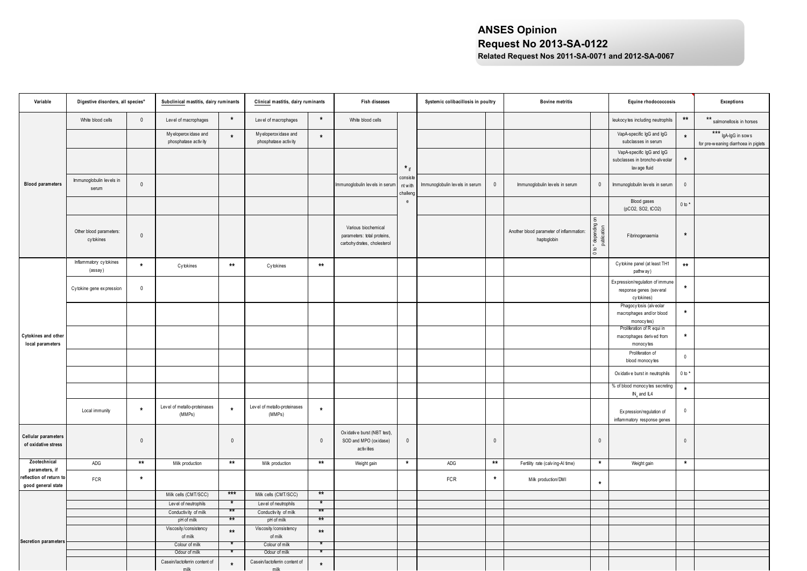| Variable                                     | Digestive disorders, all species°     |              | Subclinical mastitis, dairy ruminants        |              | Clinical mastitis, dairy ruminants            |              | Fish diseases                                                                     |                                 | Systemic colibacillosis in poultry |             | <b>Bovine metritis</b>                                  |                                                                                  | Equine rhodococcosis                                                                             |                         | <b>Exceptions</b>                                           |
|----------------------------------------------|---------------------------------------|--------------|----------------------------------------------|--------------|-----------------------------------------------|--------------|-----------------------------------------------------------------------------------|---------------------------------|------------------------------------|-------------|---------------------------------------------------------|----------------------------------------------------------------------------------|--------------------------------------------------------------------------------------------------|-------------------------|-------------------------------------------------------------|
|                                              | White blood cells                     | $\mathsf{O}$ | Level of macrophages                         | $\star$      | Level of macrophages                          | $\star$      | White blood cells                                                                 |                                 |                                    |             |                                                         |                                                                                  | leukocy tes including neutrophils                                                                | $\star\star$            | ** salmonellosis in horses                                  |
|                                              |                                       |              | My eloperoxidase and<br>phosphatase activity | $\star$      | My eloperox idase and<br>phosphatase activity | $\star$      |                                                                                   |                                 |                                    |             |                                                         |                                                                                  | VapA-specific IgG and IgG<br>subclasses in serum                                                 | $\star$                 | *** IgA-IgG in sows<br>for pre-weaning diarrhoea in piglets |
|                                              |                                       |              |                                              |              |                                               |              |                                                                                   | $*_{if}$                        |                                    |             |                                                         |                                                                                  | VapA-specific IgG and IgG<br>subclasses in broncho-alveolar<br>lav age fluid                     | $\star$                 |                                                             |
| <b>Blood parameters</b>                      | Immunoglobulin levels in<br>serum     | $\mathbf 0$  |                                              |              |                                               |              | mmunoglobulin levels in serum                                                     | consiste<br>nt with<br>challeng | Immunoglobulin levels in serum     | $\mathbb O$ | Immunoglobulin levels in serum                          | $\mathbb O$                                                                      | Immunoglobulin levels in serum                                                                   | $\mathbb O$             |                                                             |
|                                              |                                       |              |                                              |              |                                               |              |                                                                                   | e                               |                                    |             |                                                         |                                                                                  | Blood gases<br>(pCO2, SO2, tCO2)                                                                 | $0 to *$                |                                                             |
|                                              | Other blood parameters:<br>cy tokines | $\mathbb O$  |                                              |              |                                               |              | Various biochemical<br>parameters: total proteins,<br>carbohy drates, cholesterol |                                 |                                    |             | Another blood parameter of inflammation:<br>haptoglobin | $\mathsf{g}% _{T}=\mathsf{g}_{T}$<br>0 to * depending<br>$\frac{5}{10}$<br>publi | Fibrinogenaemia                                                                                  | $\star$                 |                                                             |
|                                              | Inflammatory cytokines<br>(assay)     | $\star$      | Cytokines                                    | $\star\star$ | Cytokines                                     | $\star\star$ |                                                                                   |                                 |                                    |             |                                                         |                                                                                  | Cytokine panel (at least TH1<br>pathw ay)                                                        | $\star\star$            |                                                             |
|                                              | Cytokine gene expression              | $\mathbf 0$  |                                              |              |                                               |              |                                                                                   |                                 |                                    |             |                                                         |                                                                                  | Expression/regulation of immune<br>response genes (several<br>cy tokines)                        |                         |                                                             |
|                                              |                                       |              |                                              |              |                                               |              |                                                                                   |                                 |                                    |             |                                                         |                                                                                  | Phagocy tosis (alveolar<br>macrophages and/or blood<br>monocy tes)<br>Proliferation of R equi in |                         |                                                             |
| Cytokines and other<br>local parameters      |                                       |              |                                              |              |                                               |              |                                                                                   |                                 |                                    |             |                                                         |                                                                                  | macrophages derived from<br>monocy tes<br>Proliferation of                                       | $\star$                 |                                                             |
|                                              |                                       |              |                                              |              |                                               |              |                                                                                   |                                 |                                    |             |                                                         |                                                                                  | blood monocytes                                                                                  | $\mathbb O$<br>$0 to *$ |                                                             |
|                                              |                                       |              |                                              |              |                                               |              |                                                                                   |                                 |                                    |             |                                                         |                                                                                  | Oxidative burst in neutrophils<br>% of blood monocy tes secreting<br>IN <sub>v</sub> and IL4     | $\star$                 |                                                             |
|                                              | Local immunity                        | $\star$      | Level of metallo-proteinases<br>(MMPs)       |              | Level of metallo-proteinases<br>(MMPs)        | $\star$      |                                                                                   |                                 |                                    |             |                                                         |                                                                                  | Expression/regulation of<br>inflammatory response genes                                          | $\mathbb O$             |                                                             |
| Cellular parameters<br>of oxidative stress   |                                       | $\mathbf 0$  |                                              | $\mathbf 0$  |                                               | $\mathbf 0$  | Oxidative burst (NBT test),<br>SOD and MPO (oxidase)<br>activ ities               | $\mathbb O$                     |                                    | $\mathbb O$ |                                                         | $\mathbb O$                                                                      |                                                                                                  | $\mathbb O$             |                                                             |
| Zootechnical<br>parameters, if               | ADG                                   | $***$        | Milk production                              | $**$         | Milk production                               | $\star\star$ | Weight gain                                                                       | $\pmb{\star}$                   | ADG                                | $**$        | Fertility rate (calving-AI time)                        | $\star$                                                                          | Weight gain                                                                                      | $\star$                 |                                                             |
| eflection of return to<br>good general state | FCR                                   | $\star$      |                                              |              |                                               |              |                                                                                   |                                 | FCR                                | $\star$     | Milk production/DMI                                     | $\star$                                                                          |                                                                                                  |                         |                                                             |
|                                              |                                       |              | Milk cells (CMT/SCC)                         | ***          | Milk cells (CMT/SCC)                          | $***$        |                                                                                   |                                 |                                    |             |                                                         |                                                                                  |                                                                                                  |                         |                                                             |
|                                              |                                       |              | Level of neutrophils                         | $\star$      | Level of neutrophils                          | $\ast$       |                                                                                   |                                 |                                    |             |                                                         |                                                                                  |                                                                                                  |                         |                                                             |
|                                              |                                       |              | Conductivity of milk                         | **           | Conductivity of milk                          | $\star\star$ |                                                                                   |                                 |                                    |             |                                                         |                                                                                  |                                                                                                  |                         |                                                             |
|                                              |                                       |              | pH of milk<br>Viscosity/consistency          | $*$          | pH of milk                                    | $*$          |                                                                                   |                                 |                                    |             |                                                         |                                                                                  |                                                                                                  |                         |                                                             |
|                                              |                                       |              | of milk                                      | $**$         | Viscosity/consistency<br>of milk              | $**$         |                                                                                   |                                 |                                    |             |                                                         |                                                                                  |                                                                                                  |                         |                                                             |
| Secretion parameters                         |                                       |              | Colour of milk                               |              | Colour of milk                                |              |                                                                                   |                                 |                                    |             |                                                         |                                                                                  |                                                                                                  |                         |                                                             |
|                                              |                                       |              | Odour of milk                                |              | Odour of milk                                 |              |                                                                                   |                                 |                                    |             |                                                         |                                                                                  |                                                                                                  |                         |                                                             |
|                                              |                                       |              | Casein/lactoferrin content of<br>milk        | $\star$      | Casein/lactoferrin content of<br>milk         | $\star$      |                                                                                   |                                 |                                    |             |                                                         |                                                                                  |                                                                                                  |                         |                                                             |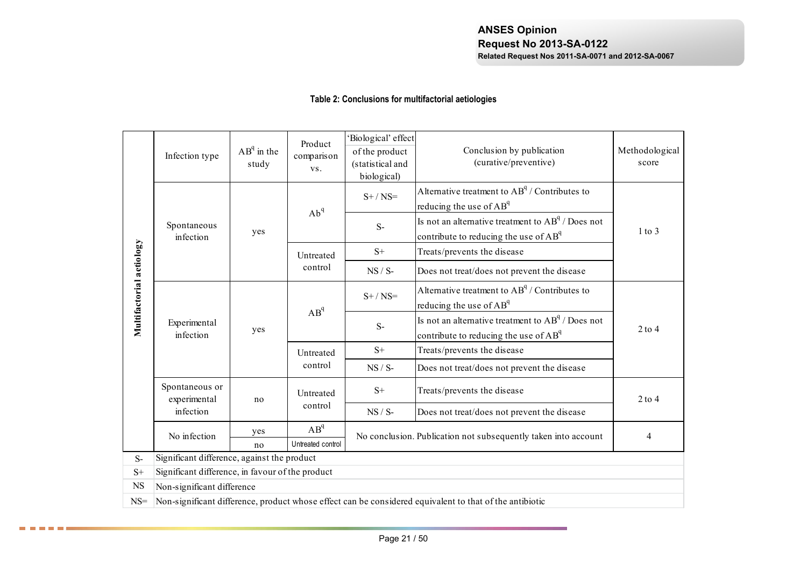## **Table 2: Conclusions for multifactorial aetiologies**

|                          | Infection type                                   | $AB^q$ in the<br>study | Product<br>comparison<br>VS. | 'Biological' effect<br>of the product<br>(statistical and<br>biological) | Conclusion by publication<br>(curative/preventive)                                                                 | Methodological<br>score  |
|--------------------------|--------------------------------------------------|------------------------|------------------------------|--------------------------------------------------------------------------|--------------------------------------------------------------------------------------------------------------------|--------------------------|
|                          |                                                  |                        | Ab <sup>q</sup>              | $S+ / NS=$                                                               | Alternative treatment to AB <sup>q</sup> / Contributes to<br>reducing the use of AB <sup>q</sup>                   |                          |
|                          | Spontaneous<br>infection                         | yes                    |                              | $S-$                                                                     | Is not an alternative treatment to $AB^q /$ Does not<br>contribute to reducing the use of AB <sup>q</sup>          | $1$ to $3$               |
|                          |                                                  |                        | Untreated                    | $S+$                                                                     | Treats/prevents the disease                                                                                        |                          |
|                          |                                                  |                        | control                      | $NS / S$ -                                                               | Does not treat/does not prevent the disease                                                                        |                          |
| Multifactorial actiology |                                                  |                        | $AB^q$                       | $S+ / NS=$                                                               | Alternative treatment to AB <sup>q</sup> / Contributes to<br>reducing the use of AB <sup>q</sup>                   |                          |
|                          | Experimental<br>infection                        | yes                    |                              | $S-$                                                                     | Is not an alternative treatment to AB <sup>q</sup> / Does not<br>contribute to reducing the use of AB <sup>q</sup> | $2$ to $4$               |
|                          |                                                  |                        | Untreated                    | $S+$                                                                     | Treats/prevents the disease                                                                                        |                          |
|                          |                                                  |                        | control                      | $NS / S-$                                                                | Does not treat/does not prevent the disease                                                                        |                          |
|                          | Spontaneous or<br>experimental                   | no                     | Untreated                    | $S+$                                                                     | Treats/prevents the disease                                                                                        | $2$ to $4$               |
|                          | infection                                        |                        | control                      | $NS / S-$                                                                | Does not treat/does not prevent the disease                                                                        |                          |
|                          | No infection                                     | yes                    | $AB^{q}$                     |                                                                          | No conclusion. Publication not subsequently taken into account                                                     | $\overline{\mathcal{A}}$ |
|                          |                                                  | no                     | Untreated control            |                                                                          |                                                                                                                    |                          |
| $S-$                     | Significant difference, against the product      |                        |                              |                                                                          |                                                                                                                    |                          |
| $S+$                     | Significant difference, in favour of the product |                        |                              |                                                                          |                                                                                                                    |                          |
| <b>NS</b>                | Non-significant difference                       |                        |                              |                                                                          |                                                                                                                    |                          |
| $NS=$                    |                                                  |                        |                              |                                                                          | Non-significant difference, product whose effect can be considered equivalent to that of the antibiotic            |                          |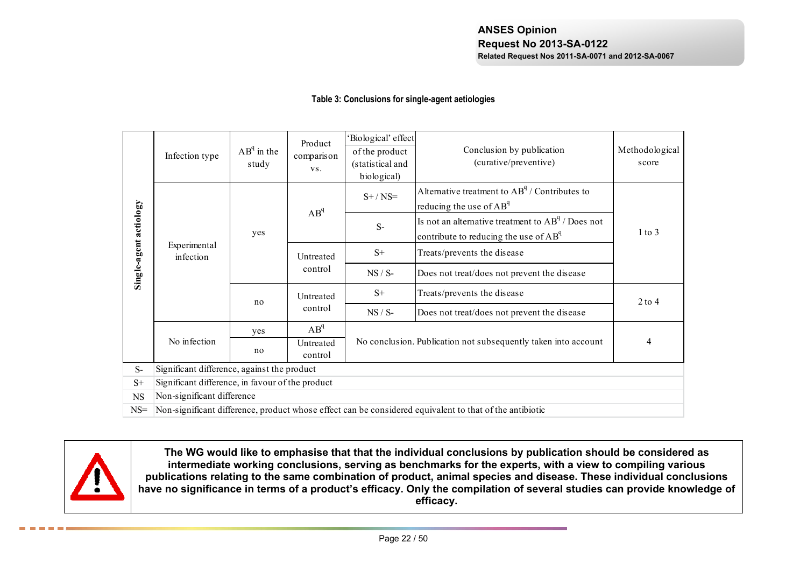### **Table 3: Conclusions for single-agent aetiologies**

|                        | Infection type                                   | $AB^q$ in the<br>study | Product<br>comparison<br>VS. | Biological' effect<br>of the product<br>(statistical and<br>biological) | Conclusion by publication<br>(curative/preventive)                                                      | Methodological<br>score |
|------------------------|--------------------------------------------------|------------------------|------------------------------|-------------------------------------------------------------------------|---------------------------------------------------------------------------------------------------------|-------------------------|
|                        |                                                  |                        | $AB^q$                       | $S+ / NS=$                                                              | Alternative treatment to $AB^q /$ Contributes to<br>reducing the use of $AB^q$                          |                         |
| Single-agent aetiology |                                                  | yes                    |                              | $S-$                                                                    | Is not an alternative treatment to $AB^q /$ Does not<br>contribute to reducing the use of $AB^q$        | $1$ to $3$              |
|                        | Experimental<br>infection                        |                        | Untreated                    | $S+$                                                                    | Treats/prevents the disease                                                                             |                         |
|                        |                                                  |                        | control                      | $NS / S-$                                                               | Does not treat/does not prevent the disease                                                             |                         |
|                        |                                                  | no                     | Untreated                    | $S+$                                                                    | Treats/prevents the disease                                                                             | $2$ to $4$              |
|                        |                                                  |                        | control                      | $NS / S-$                                                               | Does not treat/does not prevent the disease                                                             |                         |
|                        |                                                  | yes                    | $AB^q$                       |                                                                         |                                                                                                         |                         |
|                        | No infection                                     | no                     | Untreated<br>control         |                                                                         | No conclusion. Publication not subsequently taken into account                                          | 4                       |
| $S-$                   | Significant difference, against the product      |                        |                              |                                                                         |                                                                                                         |                         |
| $S+$                   | Significant difference, in favour of the product |                        |                              |                                                                         |                                                                                                         |                         |
| <b>NS</b>              | Non-significant difference                       |                        |                              |                                                                         |                                                                                                         |                         |
| $NS=$                  |                                                  |                        |                              |                                                                         | Non-significant difference, product whose effect can be considered equivalent to that of the antibiotic |                         |



**The WG would like to emphasise that that the individual conclusions by publication should be considered as intermediate working conclusions, serving as benchmarks for the experts, with a view to compiling various publications relating to the same combination of product, animal species and disease. These individual conclusions have no significance in terms of a product's efficacy. Only the compilation of several studies can provide knowledge of efficacy.**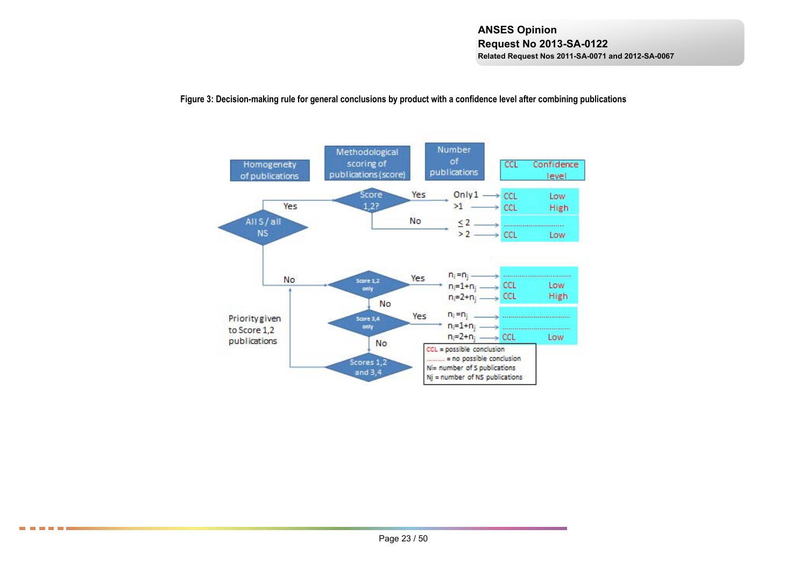### **Figure 3: Decision-making rule for general conclusions by product with a confidence level after combining publications**



8 8 8 8 8 8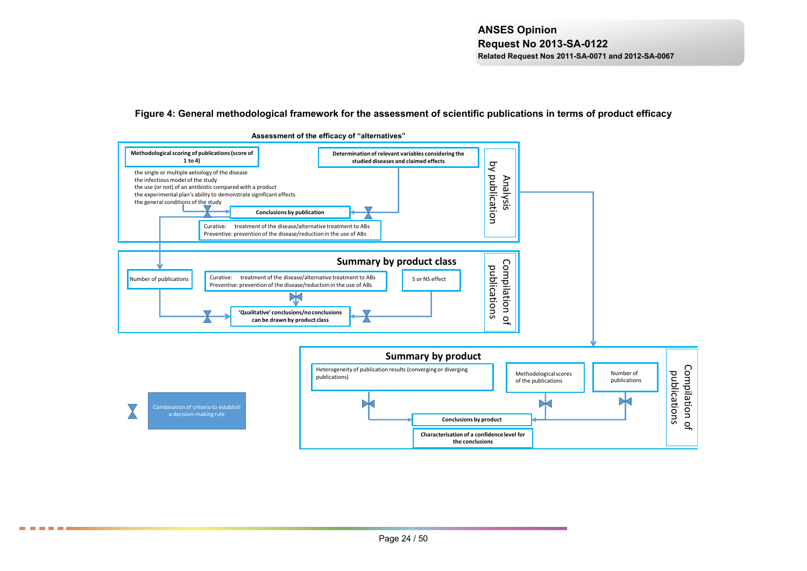#### **Figure 4: General methodological framework for the assessment of scientific publications in terms of product efficacy**



8 8 8 8 8 8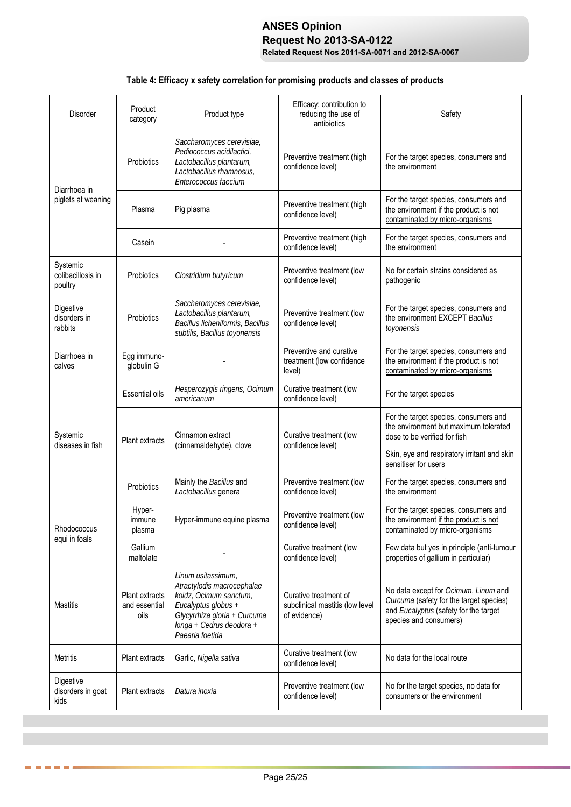# **ANSES Opinion Request No 2013-SA-0122**

**Related Request Nos 2011-SA-0071 and 2012-SA-0067**

# **Table 4: Efficacy x safety correlation for promising products and classes of products**

| <b>Disorder</b>                          | Product<br>category                     | Product type                                                                                                                                                                     | Efficacy: contribution to<br>reducing the use of<br>antibiotics          | Safety                                                                                                                                                        |
|------------------------------------------|-----------------------------------------|----------------------------------------------------------------------------------------------------------------------------------------------------------------------------------|--------------------------------------------------------------------------|---------------------------------------------------------------------------------------------------------------------------------------------------------------|
| Diarrhoea in                             | Probiotics                              | Saccharomyces cerevisiae,<br>Pediococcus acidilactici.<br>Lactobacillus plantarum,<br>Lactobacillus rhamnosus,<br>Enterococcus faecium                                           | Preventive treatment (high<br>confidence level)                          | For the target species, consumers and<br>the environment                                                                                                      |
| piglets at weaning                       | Plasma                                  | Pig plasma                                                                                                                                                                       | Preventive treatment (high<br>confidence level)                          | For the target species, consumers and<br>the environment if the product is not<br>contaminated by micro-organisms                                             |
|                                          | Casein                                  |                                                                                                                                                                                  | Preventive treatment (high<br>confidence level)                          | For the target species, consumers and<br>the environment                                                                                                      |
| Systemic<br>colibacillosis in<br>poultry | Probiotics                              | Clostridium butyricum                                                                                                                                                            | Preventive treatment (low<br>confidence level)                           | No for certain strains considered as<br>pathogenic                                                                                                            |
| Digestive<br>disorders in<br>rabbits     | Probiotics                              | Saccharomyces cerevisiae,<br>Lactobacillus plantarum,<br>Bacillus licheniformis, Bacillus<br>subtilis, Bacillus toyonensis                                                       | Preventive treatment (low<br>confidence level)                           | For the target species, consumers and<br>the environment EXCEPT Bacillus<br>toyonensis                                                                        |
| Diarrhoea in<br>calves                   | Egg immuno-<br>globulin G               |                                                                                                                                                                                  | Preventive and curative<br>treatment (low confidence<br>level)           | For the target species, consumers and<br>the environment if the product is not<br>contaminated by micro-organisms                                             |
|                                          | <b>Essential oils</b>                   | Hesperozygis ringens, Ocimum<br>americanum                                                                                                                                       | Curative treatment (low<br>confidence level)                             | For the target species                                                                                                                                        |
| Systemic<br>diseases in fish             | Plant extracts                          | Cinnamon extract<br>(cinnamaldehyde), clove                                                                                                                                      | Curative treatment (low<br>confidence level)                             | For the target species, consumers and<br>the environment but maximum tolerated<br>dose to be verified for fish<br>Skin, eye and respiratory irritant and skin |
|                                          | Probiotics                              | Mainly the Bacillus and<br>Lactobacillus genera                                                                                                                                  | Preventive treatment (low<br>confidence level)                           | sensitiser for users<br>For the target species, consumers and<br>the environment                                                                              |
| Rhodococcus                              | Hyper-<br>immune<br>plasma              | Hyper-immune equine plasma                                                                                                                                                       | Preventive treatment (low<br>confidence level)                           | For the target species, consumers and<br>the environment if the product is not<br>contaminated by micro-organisms                                             |
| equi in foals                            | Gallium<br>maltolate                    |                                                                                                                                                                                  | Curative treatment (low<br>confidence level)                             | Few data but yes in principle (anti-tumour<br>properties of gallium in particular)                                                                            |
| Mastitis                                 | Plant extracts<br>and essential<br>oils | Linum usitassimum,<br>Atractylodis macrocephalae<br>koidz, Ocimum sanctum,<br>Eucalyptus globus +<br>Glycyrrhiza gloria + Curcuma<br>longa + Cedrus deodora +<br>Paearia foetida | Curative treatment of<br>subclinical mastitis (low level<br>of evidence) | No data except for Ocimum, Linum and<br>Curcuma (safety for the target species)<br>and Eucalyptus (safety for the target<br>species and consumers)            |
| Metritis                                 | Plant extracts                          | Garlic, Nigella sativa                                                                                                                                                           | Curative treatment (low<br>confidence level)                             | No data for the local route                                                                                                                                   |
| Digestive<br>disorders in goat<br>kids   | Plant extracts                          | Datura inoxia                                                                                                                                                                    | Preventive treatment (low<br>confidence level)                           | No for the target species, no data for<br>consumers or the environment                                                                                        |

. . . . . .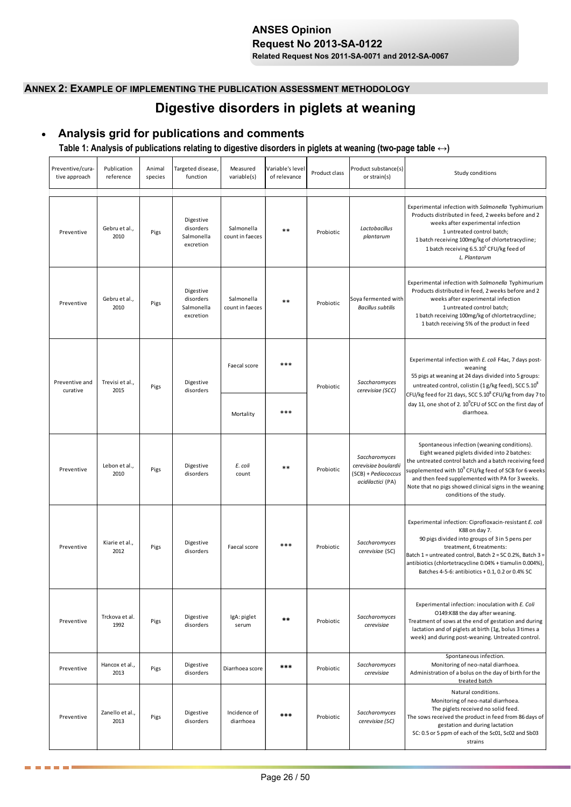# **ANSES Opinion Request No 2013-SA-0122**

**Related Request Nos 2011-SA-0071 and 2012-SA-0067**

## **ANNEX 2: EXAMPLE OF IMPLEMENTING THE PUBLICATION ASSESSMENT METHODOLOGY**

# **Digestive disorders in piglets at weaning**

# **Analysis grid for publications and comments**

## **Table 1: Analysis of publications relating to digestive disorders in piglets at weaning (two-page table ↔)**

| Preventive/cura-<br>tive approach | Publication<br>reference | Animal<br>species | Targeted disease,<br>function                     | Measured<br>variable(s)       | Variable's level<br>of relevance | Product class | Product substance(s)<br>or strain(s)                                              | Study conditions                                                                                                                                                                                                                                                                                                                                          |
|-----------------------------------|--------------------------|-------------------|---------------------------------------------------|-------------------------------|----------------------------------|---------------|-----------------------------------------------------------------------------------|-----------------------------------------------------------------------------------------------------------------------------------------------------------------------------------------------------------------------------------------------------------------------------------------------------------------------------------------------------------|
| Preventive                        | Gebru et al.,<br>2010    | Pigs              | Digestive<br>disorders<br>Salmonella<br>excretion | Salmonella<br>count in faeces | $**$                             | Probiotic     | Lactobacillus<br>plantarum                                                        | Experimental infection with Salmonella Typhimurium<br>Products distributed in feed, 2 weeks before and 2<br>weeks after experimental infection<br>1 untreated control batch;<br>1 batch receiving 100mg/kg of chlortetracycline;<br>1 batch receiving 6.5.10 <sup>5</sup> CFU/kg feed of<br>L. Plantarum                                                  |
| Preventive                        | Gebru et al.,<br>2010    | Pigs              | Digestive<br>disorders<br>Salmonella<br>excretion | Salmonella<br>count in faeces | $***$                            | Probiotic     | Soya fermented with<br><b>Bacillus subtilis</b>                                   | Experimental infection with Salmonella Typhimurium<br>Products distributed in feed, 2 weeks before and 2<br>weeks after experimental infection<br>1 untreated control batch;<br>1 batch receiving 100mg/kg of chlortetracycline;<br>1 batch receiving 5% of the product in feed                                                                           |
| Preventive and<br>curative        | Trevisi et al.,<br>2015  | Pigs              | Digestive<br>disorders                            | Faecal score                  | ***                              | Probiotic     | Saccharomyces<br>cerevisiae (SCC)                                                 | Experimental infection with E. coli F4ac, 7 days post-<br>weaning<br>55 pigs at weaning at 24 days divided into 5 groups:<br>untreated control, colistin (1 g/kg feed), SCC 5.10 <sup>8</sup><br>CFU/kg feed for 21 days, SCC 5.10 <sup>8</sup> CFU/kg from day 7 to                                                                                      |
|                                   |                          |                   |                                                   | Mortality                     | ***                              |               |                                                                                   | day 11, one shot of 2. 10 <sup>9</sup> CFU of SCC on the first day of<br>diarrhoea.                                                                                                                                                                                                                                                                       |
| Preventive                        | Lebon et al.,<br>2010    | Pigs              | Digestive<br>disorders                            | E. coli<br>count              | $**$                             | Probiotic     | Saccharomyces<br>cerevisiae boulardii<br>(SCB) + Pediococcus<br>acidilactici (PA) | Spontaneous infection (weaning conditions).<br>Eight weaned piglets divided into 2 batches:<br>the untreated control batch and a batch receiving feed<br>supplemented with $10^9$ CFU/kg feed of SCB for 6 weeks<br>and then feed supplemented with PA for 3 weeks.<br>Note that no pigs showed clinical signs in the weaning<br>conditions of the study. |
| Preventive                        | Kiarie et al.,<br>2012   | Pigs              | Digestive<br>disorders                            | Faecal score                  | ***                              | Probiotic     | Saccharomyces<br>cerevisiae (SC)                                                  | Experimental infection: Ciprofloxacin-resistant E. coli<br>K88 on day 7.<br>90 pigs divided into groups of 3 in 5 pens per<br>treatment, 6 treatments:<br>Batch 1 = untreated control, Batch 2 = SC 0.2%, Batch 3 =<br>antibiotics (chlortetracycline 0.04% + tiamulin 0.004%),<br>Batches 4-5-6: antibiotics + 0.1, 0.2 or 0.4% SC                       |
| Preventive                        | Trckova et al.<br>1992   | Pigs              | Digestive<br>disorders                            | IgA: piglet<br>serum          | $***$                            | Probiotic     | Saccharomyces<br>cerevisiae                                                       | Experimental infection: inoculation with E. Coli<br>O149:K88 the day after weaning.<br>Treatment of sows at the end of gestation and during<br>lactation and of piglets at birth (1g, bolus 3 times a<br>week) and during post-weaning. Untreated control.                                                                                                |
| Preventive                        | Hancox et al.,<br>2013   | Pigs              | Digestive<br>disorders                            | Diarrhoea score               | ***                              | Probiotic     | Saccharomyces<br>cerevisiae                                                       | Spontaneous infection.<br>Monitoring of neo-natal diarrhoea.<br>Administration of a bolus on the day of birth for the<br>treated batch                                                                                                                                                                                                                    |
| Preventive                        | Zanello et al.,<br>2013  | Pigs              | Digestive<br>disorders                            | Incidence of<br>diarrhoea     | ***                              | Probiotic     | Saccharomyces<br>cerevisiae (SC)                                                  | Natural conditions.<br>Monitoring of neo-natal diarrhoea.<br>The piglets received no solid feed.<br>The sows received the product in feed from 86 days of<br>gestation and during lactation<br>SC: 0.5 or 5 ppm of each of the Sc01, Sc02 and Sb03<br>strains                                                                                             |

**. . . .** .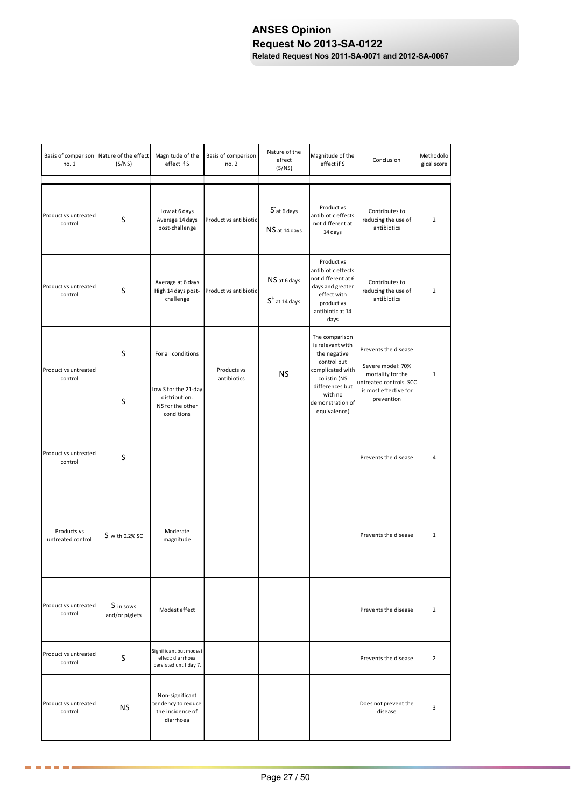| no. 1                            | Basis of comparison Nature of the effect<br>(S/NS) | Magnitude of the<br>effect if S                                        | Basis of comparison<br>no. 2 | Nature of the<br>effect<br>(S/NS) | Magnitude of the<br>effect if S                                                                                                     | Conclusion                                                                                                         | Methodolo<br>gical score |
|----------------------------------|----------------------------------------------------|------------------------------------------------------------------------|------------------------------|-----------------------------------|-------------------------------------------------------------------------------------------------------------------------------------|--------------------------------------------------------------------------------------------------------------------|--------------------------|
| Product vs untreated<br>control  | S                                                  | Low at 6 days<br>Average 14 days<br>post-challenge                     | Product vs antibiotic        | Sat 6 days<br>NS at 14 days       | Product vs<br>antibiotic effects<br>not different at<br>14 days                                                                     | Contributes to<br>reducing the use of<br>antibiotics                                                               | 2                        |
| Product vs untreated<br>control  | S                                                  | Average at 6 days<br>High 14 days post-<br>challenge                   | Product vs antibiotic        | NS at 6 days<br>$S+$ at 14 days   | Product vs<br>antibiotic effects<br>not different at 6<br>days and greater<br>effect with<br>product vs<br>antibiotic at 14<br>days | Contributes to<br>reducing the use of<br>antibiotics                                                               | $\overline{2}$           |
| Product vs untreated<br>control  | S                                                  | For all conditions<br>Low S for the 21-day                             | Products vs<br>antibiotics   | ΝS                                | The comparison<br>is relevant with<br>the negative<br>control but<br>complicated with<br>colistin (NS<br>differences but            | Prevents the disease<br>Severe model: 70%<br>mortality for the<br>untreated controls. SCC<br>is most effective for | $\mathbf{1}$             |
|                                  | S                                                  | distribution.<br>NS for the other<br>conditions                        |                              |                                   | with no<br>demonstration of<br>equivalence)                                                                                         | prevention                                                                                                         |                          |
| Product vs untreated<br>control  | S                                                  |                                                                        |                              |                                   |                                                                                                                                     | Prevents the disease                                                                                               | Δ                        |
| Products vs<br>untreated control | S with 0.2% SC                                     | Moderate<br>magnitude                                                  |                              |                                   |                                                                                                                                     | Prevents the disease                                                                                               | $\mathbf{1}$             |
| Product vs untreated<br>control  | S in sows<br>and/or piglets                        | Modest effect                                                          |                              |                                   |                                                                                                                                     | Prevents the disease                                                                                               | $\overline{2}$           |
| Product vs untreated<br>control  | S                                                  | Significant but modest<br>effect: diarrhoea<br>persisted until day 7.  |                              |                                   |                                                                                                                                     | Prevents the disease                                                                                               | $\overline{2}$           |
| Product vs untreated<br>control  | NS.                                                | Non-significant<br>tendency to reduce<br>the incidence of<br>diarrhoea |                              |                                   |                                                                                                                                     | Does not prevent the<br>disease                                                                                    | 3                        |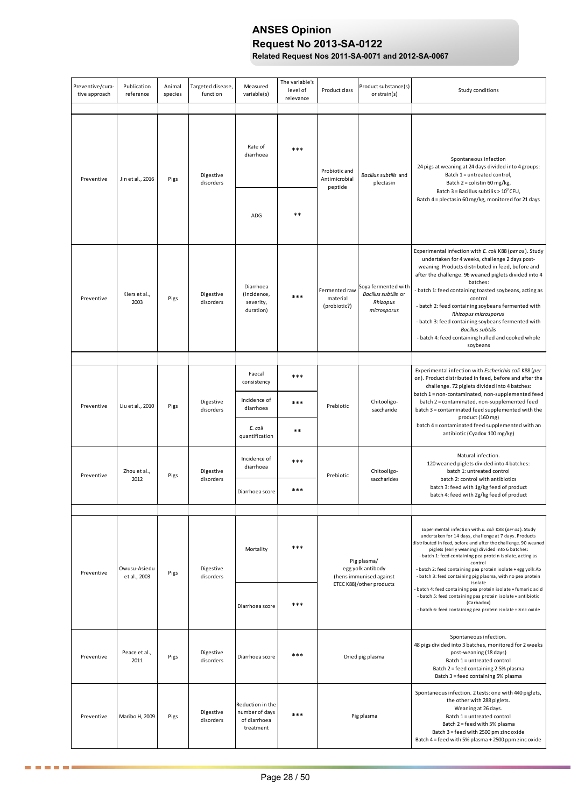# **ANSES Opinion Request No 2013-SA-0122**

**Related Request Nos 2011-SA-0071 and 2012-SA-0067**

| Preventive/cura-<br>tive approach | Publication<br>reference     | Animal<br>species | Targeted disease,<br>function | Measured<br>variable(s)                                         | The variable's<br>level of<br>relevance | Product class                             | Product substance(s)<br>or strain(s)                                   | Study conditions                                                                                                                                                                                                                                                                                                                                                                                                                                                                                                                           |
|-----------------------------------|------------------------------|-------------------|-------------------------------|-----------------------------------------------------------------|-----------------------------------------|-------------------------------------------|------------------------------------------------------------------------|--------------------------------------------------------------------------------------------------------------------------------------------------------------------------------------------------------------------------------------------------------------------------------------------------------------------------------------------------------------------------------------------------------------------------------------------------------------------------------------------------------------------------------------------|
| Preventive                        | Jin et al., 2016             | Pigs              | Digestive<br>disorders        | Rate of<br>diarrhoea                                            | ***                                     | Probiotic and<br>Antimicrobial            | Bacillus subtilis and<br>plectasin                                     | Spontaneous infection<br>24 pigs at weaning at 24 days divided into 4 groups:<br>Batch 1 = untreated control,<br>Batch 2 = colistin 60 mg/kg,                                                                                                                                                                                                                                                                                                                                                                                              |
|                                   |                              |                   |                               | ADG                                                             | $***$                                   | peptide                                   |                                                                        | Batch $3 =$ Bacillus subtilis > $10^{9}$ CFU,<br>Batch 4 = plectasin 60 mg/kg, monitored for 21 days                                                                                                                                                                                                                                                                                                                                                                                                                                       |
| Preventive                        | Kiers et al.,<br>2003        | Pigs              | Digestive<br>disorders        | Diarrhoea<br>(incidence,<br>severity,<br>duration)              | $***$                                   | Fermented raw<br>material<br>(probiotic?) | Soya fermented with<br>Bacillus subtilis or<br>Rhizopus<br>microsporus | Experimental infection with E. coli K88 (per os). Study<br>undertaken for 4 weeks, challenge 2 days post-<br>weaning. Products distributed in feed, before and<br>after the challenge. 96 weaned piglets divided into 4<br>batches:<br>- batch 1: feed containing toasted soybeans, acting as<br>control<br>- batch 2: feed containing soybeans fermented with<br>Rhizopus microsporus<br>- batch 3: feed containing soybeans fermented with<br><b>Bacillus subtilis</b><br>- batch 4: feed containing hulled and cooked whole<br>soybeans |
|                                   |                              |                   |                               |                                                                 |                                         |                                           |                                                                        |                                                                                                                                                                                                                                                                                                                                                                                                                                                                                                                                            |
|                                   |                              |                   | Digestive                     | Faecal<br>consistency<br>Incidence of                           | ***<br>***                              |                                           | Chitooligo-                                                            | Experimental infection with Escherichia coli K88 (per<br>os). Product distributed in feed, before and after the<br>challenge. 72 piglets divided into 4 batches:<br>batch 1 = non-contaminated, non-supplemented feed<br>batch 2 = contaminated, non-supplemented feed                                                                                                                                                                                                                                                                     |
| Preventive                        | Liu et al., 2010             | Pigs              | disorders                     | diarrhoea<br>E. coli<br>quantification                          | $***$                                   | Prebiotic                                 | saccharide                                                             | batch 3 = contaminated feed supplemented with the<br>product (160 mg)<br>batch 4 = contaminated feed supplemented with an<br>antibiotic (Cyadox 100 mg/kg)                                                                                                                                                                                                                                                                                                                                                                                 |
| Preventive                        | Zhou et al.,<br>2012         | Pigs              | Digestive<br>disorders        | Incidence of<br>diarrhoea                                       | $***$                                   | Prebiotic                                 | Chitooligo-<br>saccharides                                             | Natural infection.<br>120 weaned piglets divided into 4 batches:<br>batch 1: untreated control<br>batch 2: control with antibiotics                                                                                                                                                                                                                                                                                                                                                                                                        |
|                                   |                              |                   |                               | Diarrhoea score                                                 | ***                                     |                                           |                                                                        | batch 3: feed with 1g/kg feed of product<br>batch 4: feed with 2g/kg feed of product                                                                                                                                                                                                                                                                                                                                                                                                                                                       |
|                                   |                              |                   |                               |                                                                 |                                         |                                           |                                                                        |                                                                                                                                                                                                                                                                                                                                                                                                                                                                                                                                            |
| Preventive                        | Owusu-Asiedu<br>et al., 2003 | Pigs              | Digestive<br>disorders        | Mortality                                                       | ***                                     |                                           | Pig plasma/<br>egg yolk antibody<br>(hens immunised against            | Experimental infection with E. coli K88 (per os). Study<br>undertaken for 14 days, challenge at 7 days. Products<br>distributed in feed, before and after the challenge. 90 weaned<br>piglets (early weaning) divided into 6 batches:<br>- batch 1: feed containing pea protein isolate, acting as<br>control<br>- batch 2: feed containing pea protein isolate + egg yolk Ab<br>- batch 3: feed containing pig plasma, with no pea protein                                                                                                |
|                                   |                              |                   |                               | Diarrhoea score                                                 | $***$                                   |                                           | ETEC K88)/other products                                               | isolate<br>batch 4: feed containing pea protein isolate + fumaric acid<br>- batch 5: feed containing pea protein isolate + antibiotic<br>(Carbadox)<br>- batch 6: feed containing pea protein isolate + zinc oxide                                                                                                                                                                                                                                                                                                                         |
| Preventive                        | Peace et al.,<br>2011        | Pigs              | Digestive<br>disorders        | Diarrhoea score                                                 | $***$                                   |                                           | Dried pig plasma                                                       | Spontaneous infection.<br>48 pigs divided into 3 batches, monitored for 2 weeks<br>post-weaning (18 days)<br>Batch 1 = untreated control<br>Batch 2 = feed containing 2.5% plasma<br>Batch 3 = feed containing 5% plasma                                                                                                                                                                                                                                                                                                                   |
| Preventive                        | Maribo H, 2009               | Pigs              | Digestive<br>disorders        | Reduction in the<br>number of days<br>of diarrhoea<br>treatment | $***$                                   |                                           | Pig plasma                                                             | Spontaneous infection. 2 tests: one with 440 piglets,<br>the other with 288 piglets.<br>Weaning at 26 days.<br>Batch 1 = untreated control<br>Batch 2 = feed with 5% plasma<br>Batch 3 = feed with 2500 pm zinc oxide<br>Batch 4 = feed with 5% plasma + 2500 ppm zinc oxide                                                                                                                                                                                                                                                               |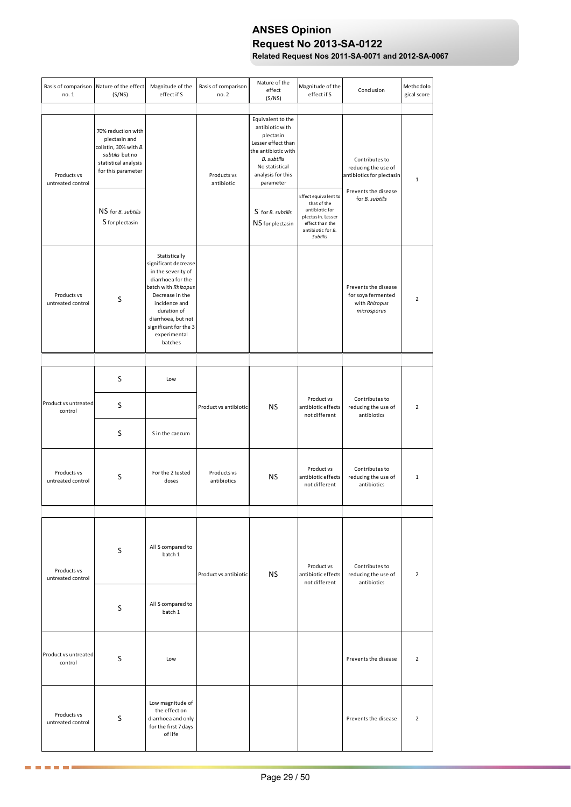# **ANSES Opinion Request No 2013-SA-0122**

**Related Request Nos 2011-SA-0071 and 2012-SA-0067**

| Basis of comparison Nature of the effect<br>no. 1 | (S/NS)                                                                                                                                                                        | Magnitude of the<br>effect if S                                                                                                                                                                                                      | Basis of comparison<br>no. 2 | Nature of the<br>effect<br>(S/NS)                                                                                                                                                                                                      | Magnitude of the<br>effect if S                                                                                                | Conclusion                                                                                                    | Methodolo<br>gical score |
|---------------------------------------------------|-------------------------------------------------------------------------------------------------------------------------------------------------------------------------------|--------------------------------------------------------------------------------------------------------------------------------------------------------------------------------------------------------------------------------------|------------------------------|----------------------------------------------------------------------------------------------------------------------------------------------------------------------------------------------------------------------------------------|--------------------------------------------------------------------------------------------------------------------------------|---------------------------------------------------------------------------------------------------------------|--------------------------|
| Products vs<br>untreated control                  | 70% reduction with<br>plectasin and<br>colistin, 30% with B.<br>subtilis but no<br>statistical analysis<br>for this parameter<br>NS for <i>B.</i> subtilis<br>S for plectasin |                                                                                                                                                                                                                                      | Products vs<br>antibiotic    | Equivalent to the<br>antibiotic with<br>plectasin<br>Lesser effect than<br>the antibiotic with<br><b>B.</b> subtilis<br>No statistical<br>analysis for this<br>parameter<br>S <sup>-</sup> for <i>B</i> . subtilis<br>NS for plectasin | Effect equivalent to<br>that of the<br>antibiotic for<br>plectasin. Lesser<br>effect than the<br>antibiotic for B.<br>Subtilis | Contributes to<br>reducing the use of<br>antibiotics for plectasin<br>Prevents the disease<br>for B. subtilis | $\mathbf{1}$             |
| Products vs<br>untreated control                  | S                                                                                                                                                                             | Statistically<br>significant decrease<br>in the severity of<br>diarrhoea for the<br>batch with Rhizopus<br>Decrease in the<br>incidence and<br>duration of<br>diarrhoea, but not<br>significant for the 3<br>experimental<br>batches |                              |                                                                                                                                                                                                                                        |                                                                                                                                | Prevents the disease<br>for soya fermented<br>with Rhizopus<br>microsporus                                    | $\overline{2}$           |
|                                                   |                                                                                                                                                                               |                                                                                                                                                                                                                                      |                              |                                                                                                                                                                                                                                        |                                                                                                                                |                                                                                                               |                          |
|                                                   | S                                                                                                                                                                             | Low                                                                                                                                                                                                                                  |                              |                                                                                                                                                                                                                                        |                                                                                                                                |                                                                                                               |                          |
| Product vs untreated<br>control                   | S                                                                                                                                                                             |                                                                                                                                                                                                                                      | Product vs antibiotic        | ΝS                                                                                                                                                                                                                                     | Product vs<br>antibiotic effects<br>not different                                                                              | Contributes to<br>reducing the use of<br>antibiotics                                                          | $\overline{2}$           |
|                                                   | S                                                                                                                                                                             | S in the caecum                                                                                                                                                                                                                      |                              |                                                                                                                                                                                                                                        |                                                                                                                                |                                                                                                               |                          |
| Products vs<br>untreated control                  | S                                                                                                                                                                             | For the 2 tested<br>doses                                                                                                                                                                                                            | Products vs<br>antibiotics   | <b>NS</b>                                                                                                                                                                                                                              | Product vs<br>antibiotic effects<br>not different                                                                              | Contributes to<br>reducing the use of<br>antibiotics                                                          | $\mathbf{1}$             |
|                                                   |                                                                                                                                                                               |                                                                                                                                                                                                                                      |                              |                                                                                                                                                                                                                                        |                                                                                                                                |                                                                                                               |                          |
| Products vs<br>untreated control                  | S                                                                                                                                                                             | All S compared to<br>batch 1                                                                                                                                                                                                         | Product vs antibiotic        | <b>NS</b>                                                                                                                                                                                                                              | Product vs<br>antibiotic effects<br>not different                                                                              | Contributes to<br>reducing the use of<br>antibiotics                                                          | $\overline{2}$           |
|                                                   | S                                                                                                                                                                             | All S compared to<br>batch 1                                                                                                                                                                                                         |                              |                                                                                                                                                                                                                                        |                                                                                                                                |                                                                                                               |                          |
| Product vs untreated<br>control                   | S                                                                                                                                                                             | Low                                                                                                                                                                                                                                  |                              |                                                                                                                                                                                                                                        |                                                                                                                                | Prevents the disease                                                                                          | $\overline{2}$           |
| Products vs<br>untreated control                  | S                                                                                                                                                                             | Low magnitude of<br>the effect on<br>diarrhoea and only<br>for the first 7 days<br>of life                                                                                                                                           |                              |                                                                                                                                                                                                                                        |                                                                                                                                | Prevents the disease                                                                                          | $\overline{2}$           |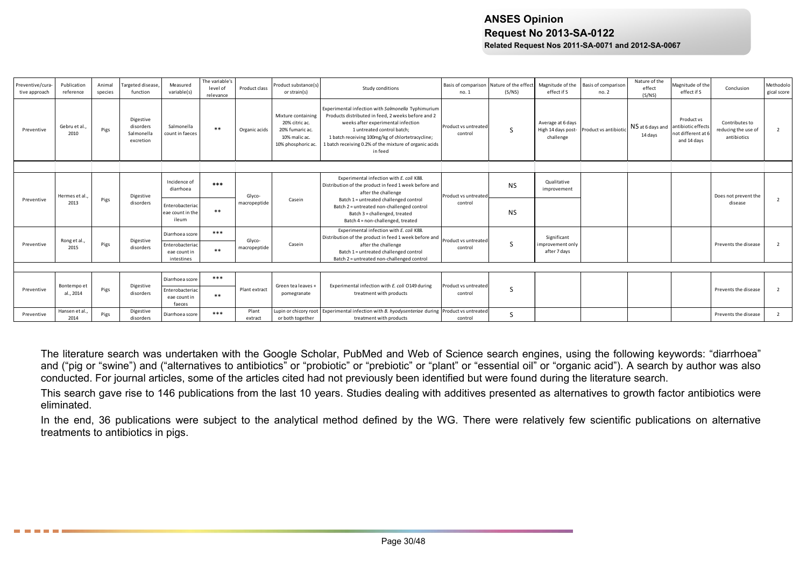| Preventive/cura-<br>tive approach | Publication<br>reference | Animal<br>species | <b>Targeted disease</b><br>function               | Measured<br>variable(s)                       | The variable's<br>level of<br>relevance | Product class          | Product substance(s)<br>or strain(s)                                                           | Study conditions                                                                                                                                                                                                                                                                                      | Basis of comparison Nature of the effect<br>no.1 | (S/NS)    | Magnitude of the<br>effect if S                      | Basis of comparison<br>no.2 | Nature of the<br>effect<br>(S/NS)              | Magnitude of the<br>effect if S               | Conclusion                                           | Methodolo<br>gical score |
|-----------------------------------|--------------------------|-------------------|---------------------------------------------------|-----------------------------------------------|-----------------------------------------|------------------------|------------------------------------------------------------------------------------------------|-------------------------------------------------------------------------------------------------------------------------------------------------------------------------------------------------------------------------------------------------------------------------------------------------------|--------------------------------------------------|-----------|------------------------------------------------------|-----------------------------|------------------------------------------------|-----------------------------------------------|------------------------------------------------------|--------------------------|
| Preventive                        | Gebru et al.<br>2010     | Pigs              | Digestive<br>disorders<br>Salmonella<br>excretion | Salmonella<br>count in faeces                 | $**$                                    | Organic acids          | Mixture containing<br>20% citric ac.<br>20% fumaric ac.<br>10% malic ac.<br>10% phosphoric ac. | Experimental infection with Salmonella Typhimurium<br>Products distributed in feed. 2 weeks before and 2<br>weeks after experimental infection<br>1 untreated control batch:<br>1 batch receiving 100mg/kg of chlortetracycline;<br>1 batch receiving 0.2% of the mixture of organic acids<br>in feed | Product vs untreated<br>control                  | S         | Average at 6 days<br>High 14 days post-<br>challenge | Product vs antibiotio       | NS at 6 days and antibiotic effects<br>14 days | Product vs<br>not different at<br>and 14 days | Contributes to<br>reducing the use of<br>antibiotics | $\overline{2}$           |
|                                   |                          |                   |                                                   |                                               |                                         |                        |                                                                                                |                                                                                                                                                                                                                                                                                                       |                                                  |           |                                                      |                             |                                                |                                               |                                                      |                          |
|                                   | Hermes et al.            |                   | Digestive                                         | Incidence of<br>diarrhoea                     | $***$                                   | Glvco-                 |                                                                                                | Experimental infection with E. coli K88.<br>Distribution of the product in feed 1 week before and<br>after the challenge                                                                                                                                                                              | Product vs untreated                             | <b>NS</b> | Qualitative<br>improvement                           |                             |                                                |                                               | Does not prevent the                                 |                          |
| Preventive                        | 2013                     | Pigs              | disorders                                         | Enterobacteriac<br>eae count in the<br>ileum  | $***$                                   | macropeptide           | Casein                                                                                         | Batch 1 = untreated challenged control<br>Batch 2 = untreated non-challenged control<br>Batch 3 = challenged, treated<br>Batch 4 = non-challenged, treated                                                                                                                                            | control                                          | <b>NS</b> |                                                      |                             |                                                |                                               | disease                                              | $\overline{2}$           |
|                                   |                          |                   |                                                   | Diarrhoea score                               | $***$                                   |                        |                                                                                                | Experimental infection with E. coli K88.<br>Distribution of the product in feed 1 week before and                                                                                                                                                                                                     |                                                  |           | Significant                                          |                             |                                                |                                               |                                                      |                          |
| Preventive                        | Rong et al.<br>2015      | Pigs              | Digestive<br>disorders                            | Enterobacteriac<br>eae count in<br>intestines | $***$                                   | Glvco-<br>macropeptide | Casein                                                                                         | after the challenge<br>Batch 1 = untreated challenged control<br>Batch 2 = untreated non-challenged control                                                                                                                                                                                           | Product vs untreated<br>control                  | S         | improvement only<br>after 7 days                     |                             |                                                |                                               | Prevents the disease                                 | $\overline{\phantom{a}}$ |
|                                   |                          |                   |                                                   |                                               |                                         |                        |                                                                                                |                                                                                                                                                                                                                                                                                                       |                                                  |           |                                                      |                             |                                                |                                               |                                                      |                          |
|                                   |                          |                   |                                                   | Diarrhoea score                               | $***$                                   |                        |                                                                                                |                                                                                                                                                                                                                                                                                                       |                                                  |           |                                                      |                             |                                                |                                               |                                                      |                          |
| Preventive                        | Bontempo et<br>al., 2014 | Pigs              | Digestive<br>disorders                            | Enterobacteriac<br>eae count in<br>faeces     | $***$                                   | Plant extract          | Green tea leaves +<br>pomegranate                                                              | Experimental infection with E. coli O149 during<br>treatment with products                                                                                                                                                                                                                            | Product vs untreated<br>control                  | S         |                                                      |                             |                                                |                                               | Prevents the disease                                 | $\overline{2}$           |
| Preventive                        | Hansen et al.<br>2014    | Pigs              | Digestive<br>disorders                            | Diarrhoea score                               | $***$                                   | Plant<br>extract       | or both together                                                                               | Lupin or chicory root Experimental infection with B. hyodysenteriae during Product vs untreated<br>treatment with products                                                                                                                                                                            | control                                          | S         |                                                      |                             |                                                |                                               | Prevents the disease                                 | 2                        |

The literature search was undertaken with the Google Scholar, PubMed and Web of Science search engines, using the following keywords: "diarrhoea" and ("pig or "swine") and ("alternatives to antibiotics" or "probiotic" or "prebiotic" or "plant" or "essential oil" or "organic acid"). A search by author was also conducted. For journal articles, some of the articles cited had not previously been identified but were found during the literature search.

This search gave rise to 146 publications from the last 10 years. Studies dealing with additives presented as alternatives to growth factor antibiotics were eliminated.

In the end, 36 publications were subject to the analytical method defined by the WG. There were relatively few scientific publications on alternative treatments to antibiotics in pigs.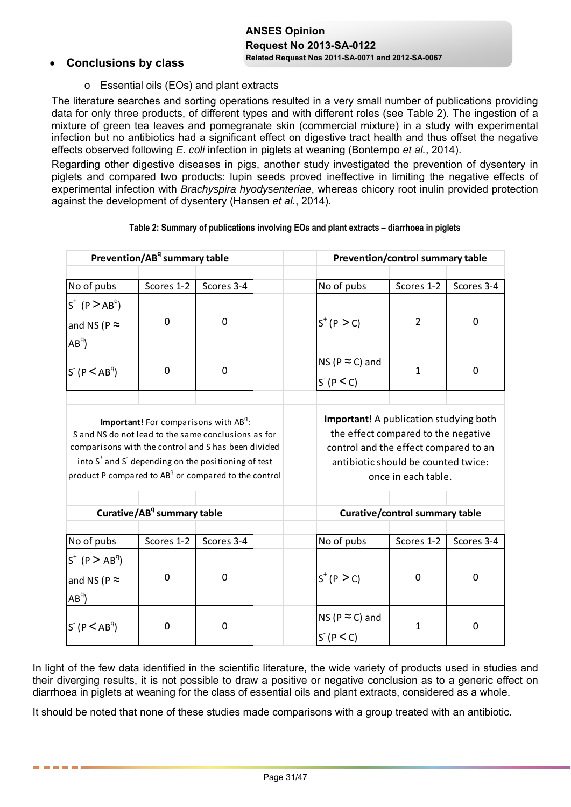# **ANSES Opinion Request No 2013-SA-0122**

# **Related Request Nos 2011-SA-0071 and 2012-SA-0067 Conclusions by class**

. . . . . .

o Essential oils (EOs) and plant extracts

The literature searches and sorting operations resulted in a very small number of publications providing data for only three products, of different types and with different roles (see Table 2). The ingestion of a mixture of green tea leaves and pomegranate skin (commercial mixture) in a study with experimental infection but no antibiotics had a significant effect on digestive tract health and thus offset the negative effects observed following *E. coli* infection in piglets at weaning (Bontempo *et al.*, 2014).

Regarding other digestive diseases in pigs, another study investigated the prevention of dysentery in piglets and compared two products: lupin seeds proved ineffective in limiting the negative effects of experimental infection with *Brachyspira hyodysenteriae*, whereas chicory root inulin provided protection against the development of dysentery (Hansen *et al.*, 2014).

|                                                                                                                                                                                                                                                               | Prevention/AB <sup>q</sup> summary table                 |             |                                                                                                                               | Prevention/control summary table                           |              |
|---------------------------------------------------------------------------------------------------------------------------------------------------------------------------------------------------------------------------------------------------------------|----------------------------------------------------------|-------------|-------------------------------------------------------------------------------------------------------------------------------|------------------------------------------------------------|--------------|
|                                                                                                                                                                                                                                                               |                                                          |             |                                                                                                                               |                                                            |              |
| No of pubs                                                                                                                                                                                                                                                    | Scores 1-2                                               | Scores 3-4  | No of pubs                                                                                                                    | Scores 1-2                                                 | Scores 3-4   |
| $S^+$ (P $>$ AB <sup>q</sup> )<br>and NS (P $\approx$<br>$AB^{q}$                                                                                                                                                                                             | 0                                                        | 0           | $S^{+} (P > C)$                                                                                                               | $\overline{2}$                                             | $\Omega$     |
| $S^{T}$ (P $\leq AB^{q}$ )                                                                                                                                                                                                                                    | $\mathbf 0$                                              | $\mathbf 0$ | NS ( $P \approx C$ ) and<br>S(P < C)                                                                                          | $\mathbf{1}$                                               | $\mathbf 0$  |
| S and NS do not lead to the same conclusions as for<br>comparisons with the control and S has been divided<br>into S <sup>+</sup> and S <sup>-</sup> depending on the positioning of test<br>product P compared to AB <sup>q</sup> or compared to the control | <b>Important!</b> For comparisons with AB <sup>q</sup> : |             | <b>Important!</b> A publication studying both<br>the effect compared to the negative<br>control and the effect compared to an | antibiotic should be counted twice:<br>once in each table. |              |
|                                                                                                                                                                                                                                                               | Curative/AB <sup>q</sup> summary table                   |             |                                                                                                                               | <b>Curative/control summary table</b>                      |              |
| No of pubs                                                                                                                                                                                                                                                    | Scores 1-2                                               | Scores 3-4  | No of pubs                                                                                                                    | Scores 1-2                                                 | Scores 3-4   |
| $S^{+}$ (P $>$ AB <sup>q</sup> )<br>and NS (P $\approx$<br>$AB^{q}$                                                                                                                                                                                           | $\mathbf 0$                                              | 0           | $S^{+} (P > C)$                                                                                                               | $\mathbf{0}$                                               | 0            |
| $S^{T}$ (P $\leq$ AB <sup>q</sup> )                                                                                                                                                                                                                           | 0                                                        | 0           | NS ( $P \approx C$ ) and<br>S(P < C)                                                                                          | $\mathbf{1}$                                               | $\mathbf{0}$ |

### **Table 2: Summary of publications involving EOs and plant extracts – diarrhoea in piglets**

In light of the few data identified in the scientific literature, the wide variety of products used in studies and their diverging results, it is not possible to draw a positive or negative conclusion as to a generic effect on diarrhoea in piglets at weaning for the class of essential oils and plant extracts, considered as a whole.

It should be noted that none of these studies made comparisons with a group treated with an antibiotic.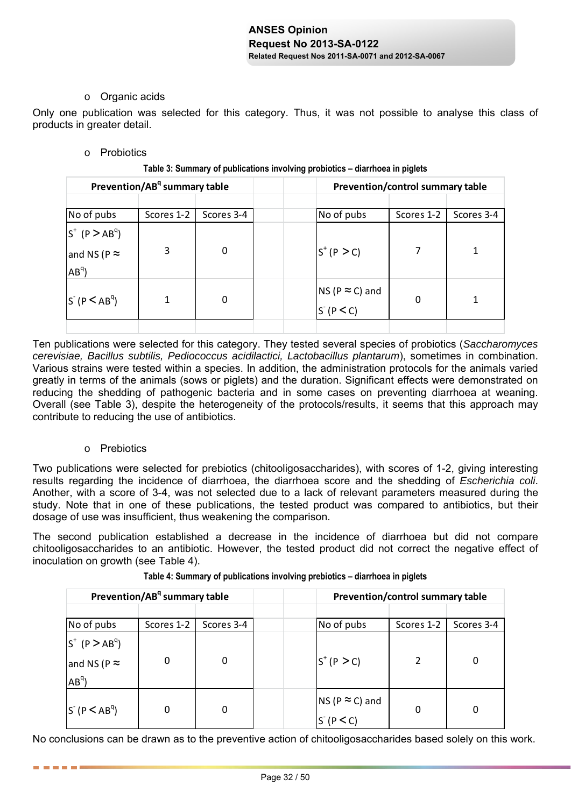### o Organic acids

Only one publication was selected for this category. Thus, it was not possible to analyse this class of products in greater detail.

### o Probiotics

| Table 3: Summary of publications involving probiotics - diarrhoea in piglets |
|------------------------------------------------------------------------------|
|------------------------------------------------------------------------------|

| Prevention/AB <sup>q</sup> summary table |                                          |            |              | Prevention/control summary table |            |
|------------------------------------------|------------------------------------------|------------|--------------|----------------------------------|------------|
|                                          |                                          |            |              |                                  |            |
| No of pubs                               | Scores 1-2                               | Scores 3-4 | No of pubs   | Scores 1-2                       | Scores 3-4 |
| $S^+$ (P $>$ AB <sup>q</sup> )           |                                          |            |              |                                  |            |
| and NS (P $\approx$                      | 3                                        | 0          | $S^+(P > C)$ |                                  |            |
| $AB^{q}$                                 |                                          |            |              |                                  |            |
| 0<br>$S(P < AB^q)$                       |                                          |            |              |                                  |            |
|                                          | NS (P $\approx$ C) and<br>S (P $\leq$ C) | 0          |              |                                  |            |
|                                          |                                          |            |              |                                  |            |

Ten publications were selected for this category. They tested several species of probiotics (*Saccharomyces cerevisiae, Bacillus subtilis, Pediococcus acidilactici, Lactobacillus plantarum*), sometimes in combination. Various strains were tested within a species. In addition, the administration protocols for the animals varied greatly in terms of the animals (sows or piglets) and the duration. Significant effects were demonstrated on reducing the shedding of pathogenic bacteria and in some cases on preventing diarrhoea at weaning. Overall (see Table 3), despite the heterogeneity of the protocols/results, it seems that this approach may contribute to reducing the use of antibiotics.

### o Prebiotics

------

Two publications were selected for prebiotics (chitooligosaccharides), with scores of 1-2, giving interesting results regarding the incidence of diarrhoea, the diarrhoea score and the shedding of *Escherichia coli*. Another, with a score of 3-4, was not selected due to a lack of relevant parameters measured during the study. Note that in one of these publications, the tested product was compared to antibiotics, but their dosage of use was insufficient, thus weakening the comparison.

The second publication established a decrease in the incidence of diarrhoea but did not compare chitooligosaccharides to an antibiotic. However, the tested product did not correct the negative effect of inoculation on growth (see Table 4).

| Prevention/AB <sup>q</sup> summary table                          |            |            |                                                      | Prevention/control summary table |            |  |  |
|-------------------------------------------------------------------|------------|------------|------------------------------------------------------|----------------------------------|------------|--|--|
| No of pubs                                                        | Scores 1-2 | Scores 3-4 | No of pubs                                           | Scores 1-2                       | Scores 3-4 |  |  |
| $S^+$ (P $>$ AB <sup>q</sup> )<br>and NS (P $\approx$<br>$AB^{q}$ |            | $\Omega$   | $S^+(P > C)$                                         |                                  |            |  |  |
| $S^{T}$ (P $\leq$ AB <sup>q</sup> )                               |            | 0          | NS (P $\approx$ C) and<br>S <sup>-</sup> (P $\lt$ C) | 0                                |            |  |  |

**Table 4: Summary of publications involving prebiotics – diarrhoea in piglets**

No conclusions can be drawn as to the preventive action of chitooligosaccharides based solely on this work.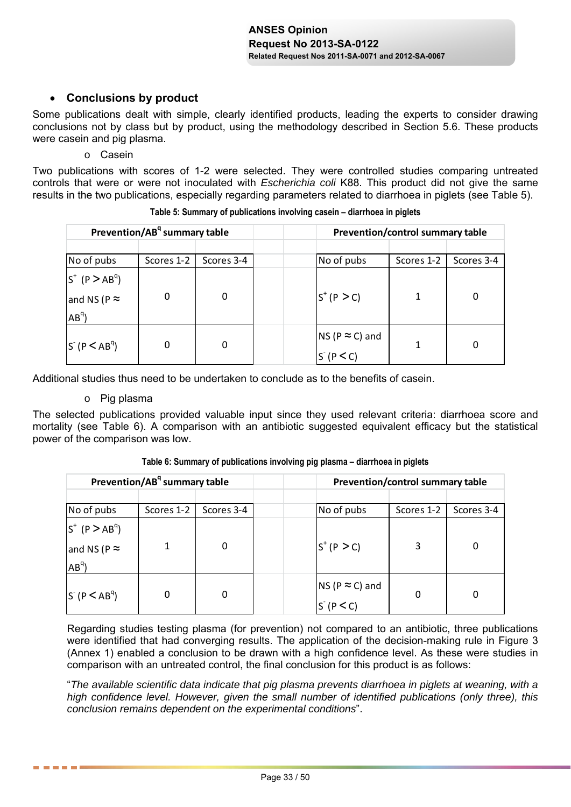# **Conclusions by product**

Some publications dealt with simple, clearly identified products, leading the experts to consider drawing conclusions not by class but by product, using the methodology described in Section 5.6. These products were casein and pig plasma.

o Casein

Two publications with scores of 1-2 were selected. They were controlled studies comparing untreated controls that were or were not inoculated with *Escherichia coli* K88. This product did not give the same results in the two publications, especially regarding parameters related to diarrhoea in piglets (see Table 5).

| Prevention/AB <sup>q</sup> summary table |            |             |                                                      | Prevention/control summary table |            |  |  |
|------------------------------------------|------------|-------------|------------------------------------------------------|----------------------------------|------------|--|--|
|                                          |            |             |                                                      |                                  |            |  |  |
| No of pubs                               | Scores 1-2 | Scores 3-4  | No of pubs                                           | Scores 1-2                       | Scores 3-4 |  |  |
| $S^+$ (P $>$ AB <sup>q</sup> )           |            |             |                                                      |                                  |            |  |  |
| and NS (P $\approx$                      | $\Omega$   | 0           | $S^{+} (P > C)$                                      |                                  |            |  |  |
| $AB^{q}$                                 |            |             |                                                      |                                  |            |  |  |
| $S(P < AB^q)$                            |            |             |                                                      |                                  |            |  |  |
|                                          |            | $\mathbf 0$ | NS (P $\approx$ C) and<br>S <sup>-</sup> (P $\lt$ C) |                                  |            |  |  |

**Table 5: Summary of publications involving casein – diarrhoea in piglets** 

Additional studies thus need to be undertaken to conclude as to the benefits of casein.

### o Pig plasma

The selected publications provided valuable input since they used relevant criteria: diarrhoea score and mortality (see Table 6). A comparison with an antibiotic suggested equivalent efficacy but the statistical power of the comparison was low.

| Prevention/AB <sup>q</sup> summary table |            |            |                                          | Prevention/control summary table |            |  |
|------------------------------------------|------------|------------|------------------------------------------|----------------------------------|------------|--|
|                                          |            |            |                                          |                                  |            |  |
| No of pubs                               | Scores 1-2 | Scores 3-4 | No of pubs                               | Scores 1-2                       | Scores 3-4 |  |
| $S^+$ (P $>$ AB <sup>q</sup> )           |            |            |                                          |                                  |            |  |
| and NS (P $\approx$<br>$AB^{q}$          |            | 0          | $S^+(P > C)$                             |                                  |            |  |
| $S(p < AB^q)$                            |            | 0          | NS (P $\approx$ C) and<br>S (P $\leq$ C) | 0                                |            |  |

**Table 6: Summary of publications involving pig plasma – diarrhoea in piglets** 

Regarding studies testing plasma (for prevention) not compared to an antibiotic, three publications were identified that had converging results. The application of the decision-making rule in Figure 3 (Annex 1) enabled a conclusion to be drawn with a high confidence level. As these were studies in comparison with an untreated control, the final conclusion for this product is as follows:

"*The available scientific data indicate that pig plasma prevents diarrhoea in piglets at weaning, with a high confidence level. However, given the small number of identified publications (only three), this conclusion remains dependent on the experimental conditions*".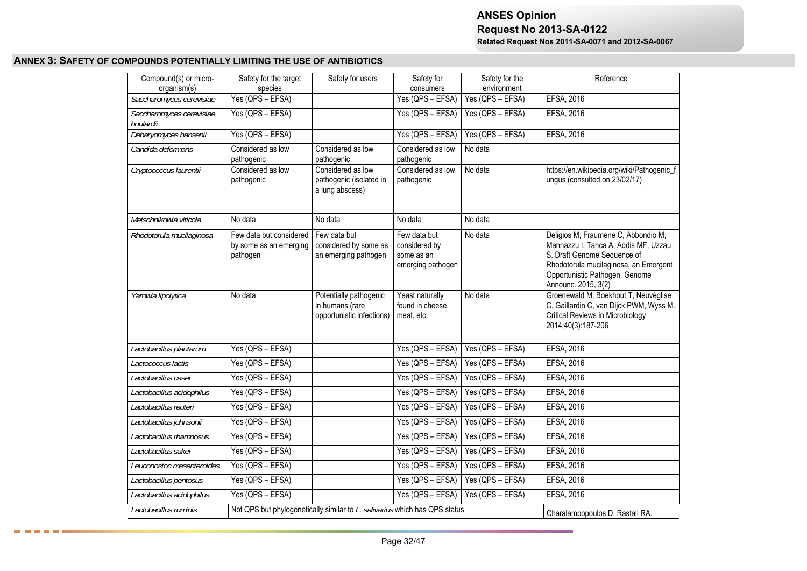#### **ANNEX 3: SAFETY OF COMPOUNDS POTENTIALLY LIMITING THE USE OF ANTIBIOTICS**

□ □ □ □ □ ■ **○** 

| Compound(s) or micro-<br>organism(s)  | Safety for the target<br>species                                           | Safety for users                                                       | Safety for<br>consumers                                          | Safety for the<br>environment | Reference                                                                                                                                                                                                    |
|---------------------------------------|----------------------------------------------------------------------------|------------------------------------------------------------------------|------------------------------------------------------------------|-------------------------------|--------------------------------------------------------------------------------------------------------------------------------------------------------------------------------------------------------------|
| Saccharomyces cerevisiae              | Yes (QPS - EFSA)                                                           |                                                                        | $Yes (QPS - EFSA)$                                               | $Yes (QPS - EFSA)$            | EFSA, 2016                                                                                                                                                                                                   |
| Saccharomyces cerevisiae<br>boulardii | Yes (QPS - EFSA)                                                           |                                                                        | Yes (QPS - EFSA)                                                 | Yes (QPS - EFSA)              | EFSA, 2016                                                                                                                                                                                                   |
| Debaryomyces hansenii                 | Yes (QPS - EFSA)                                                           |                                                                        | $Yes (QPS - EFSA)$                                               | Yes (QPS - EFSA)              | EFSA, 2016                                                                                                                                                                                                   |
| Candida deformans                     | Considered as low<br>pathogenic                                            | Considered as low<br>pathogenic                                        | Considered as low<br>pathogenic                                  | No data                       |                                                                                                                                                                                                              |
| Cryptococcus laurentii                | Considered as low<br>pathogenic                                            | Considered as low<br>pathogenic (isolated in<br>a lung abscess)        | Considered as low<br>pathogenic                                  | No data                       | https://en.wikipedia.org/wiki/Pathogenic_f<br>ungus (consulted on 23/02/17)                                                                                                                                  |
| Metschnikowia viticola                | No data                                                                    | No data                                                                | No data                                                          | No data                       |                                                                                                                                                                                                              |
| Rhodotorula mucilaginosa              | Few data but considered<br>by some as an emerging<br>pathogen              | Few data but<br>considered by some as<br>an emerging pathogen          | Few data but<br>considered by<br>some as an<br>emerging pathogen | No data                       | Deligios M, Fraumene C, Abbondio M,<br>Mannazzu I, Tanca A, Addis MF, Uzzau<br>S. Draft Genome Sequence of<br>Rhodotorula mucilaginosa, an Emergent<br>Opportunistic Pathogen. Genome<br>Announc. 2015, 3(2) |
| Yarowia lipolytica                    | No data                                                                    | Potentially pathogenic<br>in humans (rare<br>opportunistic infections) | Yeast naturally<br>found in cheese,<br>meat, etc.                | No data                       | Groenewald M, Boekhout T, Neuvéglise<br>C, Gaillardin C, van Dijck PWM, Wyss M.<br><b>Critical Reviews in Microbiology</b><br>2014;40(3):187-206                                                             |
| Lactobacillus plantarum               | Yes (QPS - EFSA)                                                           |                                                                        | Yes (QPS - EFSA)                                                 | Yes (QPS - EFSA)              | EFSA, 2016                                                                                                                                                                                                   |
| Lactococcus lactis                    | Yes (QPS - EFSA)                                                           |                                                                        | Yes (QPS - EFSA)                                                 | Yes (QPS - EFSA)              | EFSA, 2016                                                                                                                                                                                                   |
| Lactobacillus casei                   | Yes (QPS - EFSA)                                                           |                                                                        | $Yes (QPS - EFSA)$                                               | Yes (QPS - EFSA)              | EFSA, 2016                                                                                                                                                                                                   |
| Lactobacillus acidophilus             | Yes (QPS - EFSA)                                                           |                                                                        | Yes (QPS - EFSA)                                                 | Yes (QPS - EFSA)              | EFSA, 2016                                                                                                                                                                                                   |
| Lactobacillus reuteri                 | Yes (QPS - EFSA)                                                           |                                                                        | Yes (QPS - EFSA)                                                 | Yes (QPS - EFSA)              | EFSA, 2016                                                                                                                                                                                                   |
| Lactobacillus johnsonii               | Yes (QPS - EFSA)                                                           |                                                                        | Yes (QPS - EFSA)                                                 | Yes (QPS - EFSA)              | EFSA, 2016                                                                                                                                                                                                   |
| Lactobacillus rhamnosus               | Yes (QPS - EFSA)                                                           |                                                                        | Yes (QPS - EFSA)                                                 | Yes (QPS - EFSA)              | EFSA, 2016                                                                                                                                                                                                   |
| Lactobacillus sakei                   | Yes (QPS - EFSA)                                                           |                                                                        | Yes (QPS - EFSA)                                                 | $Yes (QPS - EFSA)$            | EFSA, 2016                                                                                                                                                                                                   |
| Leuconostoc mesenteroides             | Yes (QPS - EFSA)                                                           |                                                                        | Yes (QPS – EFSA)                                                 | Yes (QPS - EFSA)              | EFSA, 2016                                                                                                                                                                                                   |
| Lactobacillus pentosus                | Yes (QPS - EFSA)                                                           |                                                                        | Yes (QPS - EFSA)                                                 | Yes (QPS - EFSA)              | EFSA, 2016                                                                                                                                                                                                   |
| Lactobacillus acidophilus             | Yes (QPS - EFSA)                                                           |                                                                        | Yes (QPS - EFSA)                                                 | Yes (QPS - EFSA)              | EFSA, 2016                                                                                                                                                                                                   |
| Lactobacillus ruminis                 | Not QPS but phylogenetically similar to L. salivarius which has QPS status |                                                                        | Charalampopoulos D, Rastall RA.                                  |                               |                                                                                                                                                                                                              |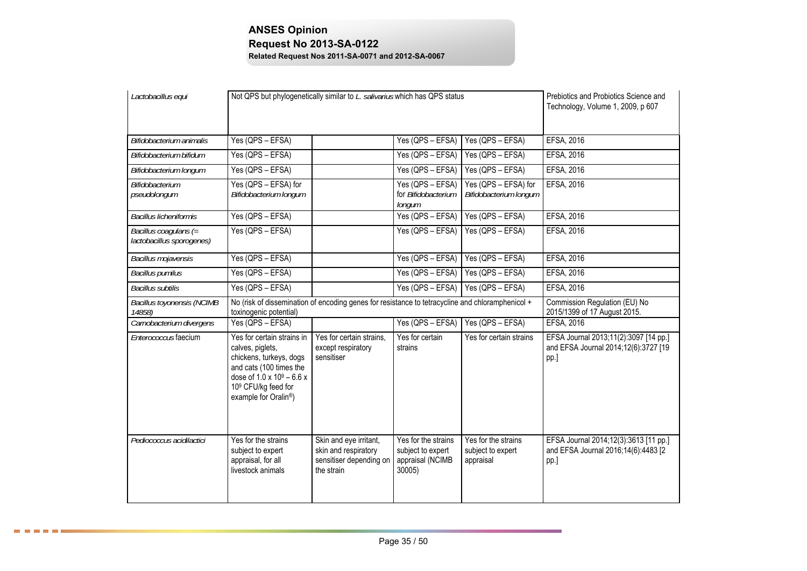| Lactobacillus equi                                 | Not QPS but phylogenetically similar to L. salivarius which has QPS status                                                                                                                                 | Prebiotics and Probiotics Science and<br>Technology, Volume 1, 2009, p 607              |                                                                        |                                                       |                                                                                       |
|----------------------------------------------------|------------------------------------------------------------------------------------------------------------------------------------------------------------------------------------------------------------|-----------------------------------------------------------------------------------------|------------------------------------------------------------------------|-------------------------------------------------------|---------------------------------------------------------------------------------------|
| Bifidobacterium animalis                           | Yes (QPS - EFSA)                                                                                                                                                                                           |                                                                                         | Yes (QPS - EFSA)                                                       | Yes (QPS - EFSA)                                      | EFSA, 2016                                                                            |
| Bifidobacterium bifidum                            | Yes (QPS - EFSA)                                                                                                                                                                                           |                                                                                         | Yes (QPS - EFSA)                                                       | Yes (QPS - EFSA)                                      | <b>EFSA, 2016</b>                                                                     |
| Bifidobacterium longum                             | Yes (QPS - EFSA)                                                                                                                                                                                           |                                                                                         | Yes (QPS - EFSA)                                                       | Yes (QPS - EFSA)                                      | EFSA, 2016                                                                            |
| Bifidobacterium<br>pseudolongum                    | Yes (QPS - EFSA) for<br>Bifidobacterium longum                                                                                                                                                             |                                                                                         | Yes (QPS - EFSA)<br>for Bifidobacterium<br>longum                      | Yes (QPS - EFSA) for<br>Bifidobacterium longum        | EFSA, 2016                                                                            |
| <b>Bacillus licheniformis</b>                      | Yes (QPS - EFSA)                                                                                                                                                                                           |                                                                                         | Yes (QPS - EFSA)                                                       | Yes (QPS - EFSA)                                      | EFSA, 2016                                                                            |
| Bacillus coagulans (=<br>lactobacillus sporogenes) | Yes (QPS - EFSA)                                                                                                                                                                                           |                                                                                         | Yes (QPS - EFSA)                                                       | Yes (QPS - EFSA)                                      | EFSA, 2016                                                                            |
| Bacillus mojavensis                                | Yes (QPS - EFSA)                                                                                                                                                                                           |                                                                                         | Yes (QPS - EFSA)                                                       | Yes (QPS - EFSA)                                      | <b>EFSA, 2016</b>                                                                     |
| <b>Bacillus pumilus</b>                            | Yes (QPS - EFSA)                                                                                                                                                                                           |                                                                                         | $Yes (QPS - EFSA)$                                                     | Yes (QPS - EFSA)                                      | EFSA, 2016                                                                            |
| <b>Bacillus subtilis</b>                           | Yes (QPS - EFSA)                                                                                                                                                                                           |                                                                                         | Yes (QPS - EFSA)                                                       | Yes (QPS - EFSA)                                      | EFSA, 2016                                                                            |
| <b>Bacillus toyonensis (NCIMB</b><br>14858)        | No (risk of dissemination of encoding genes for resistance to tetracycline and chloramphenicol +<br>toxinogenic potential)                                                                                 |                                                                                         |                                                                        |                                                       | Commission Regulation (EU) No<br>2015/1399 of 17 August 2015.                         |
| Carnobacterium divergens                           | Yes (QPS - EFSA)                                                                                                                                                                                           |                                                                                         | Yes (QPS - EFSA)                                                       | Yes (QPS - EFSA)                                      | EFSA, 2016                                                                            |
| Enterococcus faecium                               | Yes for certain strains in<br>calves, piglets,<br>chickens, turkeys, dogs<br>and cats (100 times the<br>dose of $1.0 \times 10^9 - 6.6 \times$<br>109 CFU/kg feed for<br>example for Oralin <sup>®</sup> ) | Yes for certain strains,<br>except respiratory<br>sensitiser                            | Yes for certain<br>strains                                             | Yes for certain strains                               | EFSA Journal 2013;11(2):3097 [14 pp.]<br>and EFSA Journal 2014;12(6):3727 [19<br>pp.] |
| Pediococcus acidilactici                           | Yes for the strains<br>subject to expert<br>appraisal, for all<br>livestock animals                                                                                                                        | Skin and eye irritant,<br>skin and respiratory<br>sensitiser depending on<br>the strain | Yes for the strains<br>subject to expert<br>appraisal (NCIMB<br>30005) | Yes for the strains<br>subject to expert<br>appraisal | EFSA Journal 2014;12(3):3613 [11 pp.]<br>and EFSA Journal 2016;14(6):4483 [2<br>pp.]  |

8 8 8 8 8 8 3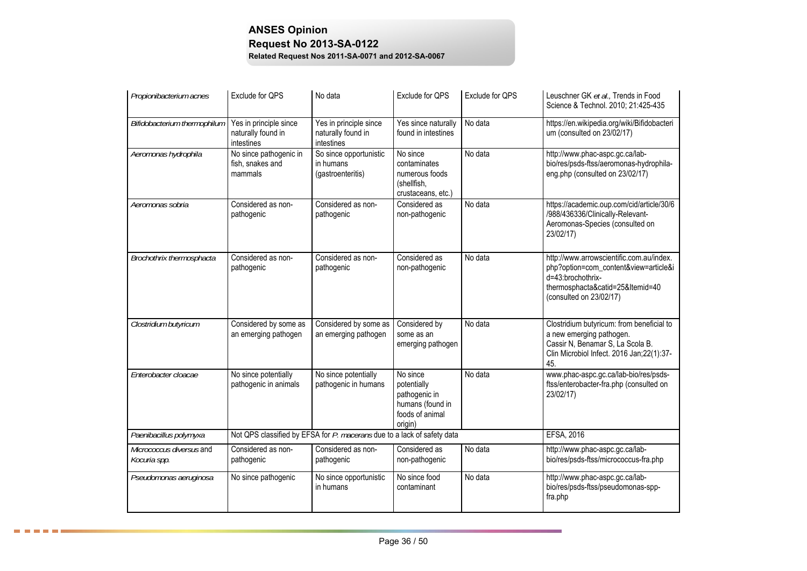| Propionibacterium acnes                  | Exclude for QPS                                            | No data                                                                 | Exclude for QPS                                                                            | Exclude for QPS | Leuschner GK et al., Trends in Food<br>Science & Technol. 2010; 21:425-435                                                                                            |
|------------------------------------------|------------------------------------------------------------|-------------------------------------------------------------------------|--------------------------------------------------------------------------------------------|-----------------|-----------------------------------------------------------------------------------------------------------------------------------------------------------------------|
| Bifidobacterium thermophilum             | Yes in principle since<br>naturally found in<br>intestines | Yes in principle since<br>naturally found in<br>intestines              | Yes since naturally<br>found in intestines                                                 | No data         | https://en.wikipedia.org/wiki/Bifidobacteri<br>um (consulted on 23/02/17)                                                                                             |
| Aeromonas hydrophila                     | No since pathogenic in<br>fish, snakes and<br>mammals      | So since opportunistic<br>in humans<br>(gastroenteritis)                | No since<br>contaminates<br>numerous foods<br>(shellfish,<br>crustaceans, etc.)            | No data         | http://www.phac-aspc.gc.ca/lab-<br>bio/res/psds-ftss/aeromonas-hydrophila-<br>eng.php (consulted on 23/02/17)                                                         |
| Aeromonas sobria                         | Considered as non-<br>pathogenic                           | Considered as non-<br>pathogenic                                        | Considered as<br>non-pathogenic                                                            | No data         | https://academic.oup.com/cid/article/30/6<br>/988/436336/Clinically-Relevant-<br>Aeromonas-Species (consulted on<br>23/02/17)                                         |
| Brochothrix thermosphacta                | Considered as non-<br>pathogenic                           | Considered as non-<br>pathogenic                                        | Considered as<br>non-pathogenic                                                            | No data         | http://www.arrowscientific.com.au/index.<br>php?option=com_content&view=article&i<br>d=43:brochothrix-<br>thermosphacta&catid=25&Itemid=40<br>(consulted on 23/02/17) |
| Clostridium butyricum                    | Considered by some as<br>an emerging pathogen              | Considered by some as<br>an emerging pathogen                           | Considered by<br>some as an<br>emerging pathogen                                           | No data         | Clostridium butyricum: from beneficial to<br>a new emerging pathogen.<br>Cassir N, Benamar S, La Scola B.<br>Clin Microbiol Infect. 2016 Jan;22(1):37-<br>45.         |
| Enterobacter cloacae                     | No since potentially<br>pathogenic in animals              | No since potentially<br>pathogenic in humans                            | No since<br>potentially<br>pathogenic in<br>humans (found in<br>foods of animal<br>origin) | No data         | www.phac-aspc.gc.ca/lab-bio/res/psds-<br>ftss/enterobacter-fra.php (consulted on<br>23/02/17)                                                                         |
| Paenibacillus polymyxa                   |                                                            | Not QPS classified by EFSA for P. macerans due to a lack of safety data |                                                                                            |                 | <b>EFSA, 2016</b>                                                                                                                                                     |
| Micrococcus diversus and<br>Kocuria spp. | Considered as non-<br>pathogenic                           | Considered as non-<br>pathogenic                                        | Considered as<br>non-pathogenic                                                            | No data         | http://www.phac-aspc.gc.ca/lab-<br>bio/res/psds-ftss/micrococcus-fra.php                                                                                              |
| Pseudomonas aeruginosa                   | No since pathogenic                                        | No since opportunistic<br>in humans                                     | No since food<br>contaminant                                                               | No data         | http://www.phac-aspc.gc.ca/lab-<br>bio/res/psds-ftss/pseudomonas-spp-<br>fra.php                                                                                      |

8 8 8 8 8 8 3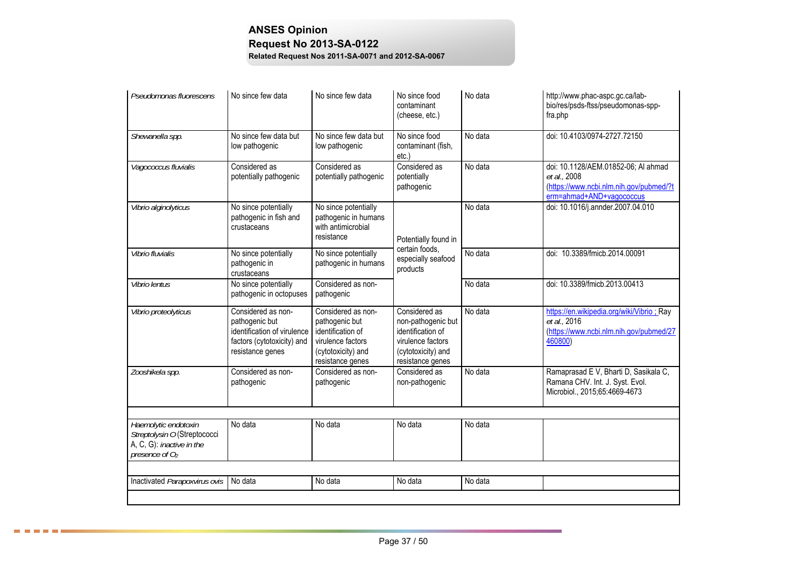| Pseudomonas fluorescens                                                                               | No since few data                                                                                                     | No since few data                                                                                                        | No since food<br>contaminant<br>(cheese, etc.)                                                                          | No data | http://www.phac-aspc.gc.ca/lab-<br>bio/res/psds-ftss/pseudomonas-spp-<br>fra.php                                           |
|-------------------------------------------------------------------------------------------------------|-----------------------------------------------------------------------------------------------------------------------|--------------------------------------------------------------------------------------------------------------------------|-------------------------------------------------------------------------------------------------------------------------|---------|----------------------------------------------------------------------------------------------------------------------------|
| Shewanella spp.                                                                                       | No since few data but<br>low pathogenic                                                                               | No since few data but<br>low pathogenic                                                                                  | No since food<br>contaminant (fish,<br>etc.                                                                             | No data | doi: 10.4103/0974-2727.72150                                                                                               |
| Vagococcus fluvialis                                                                                  | Considered as<br>potentially pathogenic                                                                               | Considered as<br>potentially pathogenic                                                                                  | Considered as<br>potentially<br>pathogenic                                                                              | No data | doi: 10.1128/AEM.01852-06; Al ahmad<br>et al., 2008<br>(https://www.ncbi.nlm.nih.gov/pubmed/?t<br>erm=ahmad+AND+vagococcus |
| Vibrio alginolyticus                                                                                  | No since potentially<br>pathogenic in fish and<br>crustaceans                                                         | No since potentially<br>pathogenic in humans<br>with antimicrobial<br>resistance                                         | Potentially found in<br>certain foods,<br>especially seafood<br>products                                                | No data | doi: 10.1016/j.annder.2007.04.010                                                                                          |
| Vibrio fluvialis                                                                                      | No since potentially<br>pathogenic in<br>crustaceans                                                                  | No since potentially<br>pathogenic in humans                                                                             |                                                                                                                         | No data | doi: 10.3389/fmicb.2014.00091                                                                                              |
| Vibrio lentus                                                                                         | No since potentially<br>pathogenic in octopuses                                                                       | Considered as non-<br>pathogenic                                                                                         |                                                                                                                         | No data | doi: 10.3389/fmicb.2013.00413                                                                                              |
| Vibrio proteolyticus                                                                                  | Considered as non-<br>pathogenic but<br>identification of virulence<br>factors (cytotoxicity) and<br>resistance genes | Considered as non-<br>pathogenic but<br>identification of<br>virulence factors<br>(cytotoxicity) and<br>resistance genes | Considered as<br>non-pathogenic but<br>identification of<br>virulence factors<br>(cytotoxicity) and<br>resistance genes | No data | https://en.wikipedia.org/wiki/Vibrio ; Ray<br>et al., 2016<br>(https://www.ncbi.nlm.nih.gov/pubmed/27<br>460800)           |
| Zooshikela spp.                                                                                       | Considered as non-<br>pathogenic                                                                                      | Considered as non-<br>pathogenic                                                                                         | Considered as<br>non-pathogenic                                                                                         | No data | Ramaprasad E V, Bharti D, Sasikala C,<br>Ramana CHV. Int. J. Syst. Evol.<br>Microbiol., 2015;65:4669-4673                  |
|                                                                                                       |                                                                                                                       |                                                                                                                          |                                                                                                                         |         |                                                                                                                            |
| Haemolytic endotoxin<br>Streptolysin O (Streptococci<br>A, C, G): inactive in the<br>presence of $O2$ | No data                                                                                                               | No data                                                                                                                  | No data                                                                                                                 | No data |                                                                                                                            |
|                                                                                                       |                                                                                                                       |                                                                                                                          |                                                                                                                         |         |                                                                                                                            |
| Inactivated Parapoxvirus ovis                                                                         | No data                                                                                                               | No data                                                                                                                  | No data                                                                                                                 | No data |                                                                                                                            |
|                                                                                                       |                                                                                                                       |                                                                                                                          |                                                                                                                         |         |                                                                                                                            |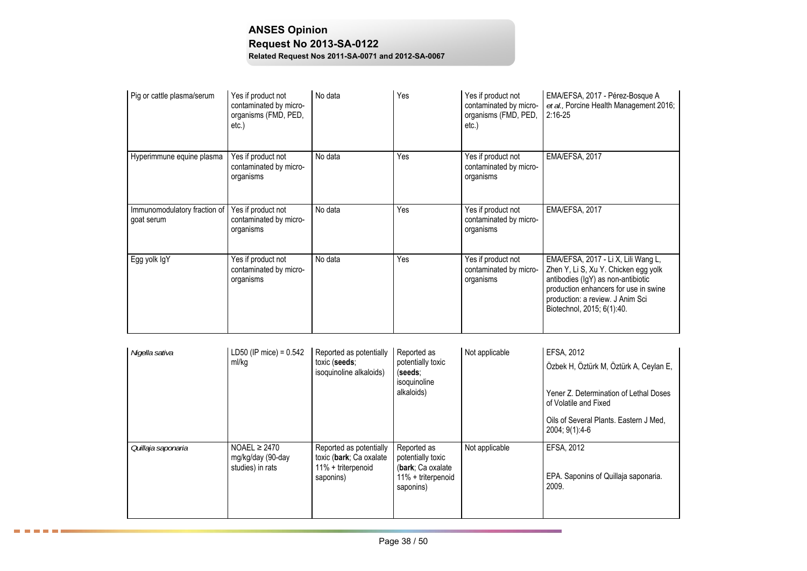| Pig or cattle plasma/serum                 | Yes if product not<br>contaminated by micro-<br>organisms (FMD, PED,<br>etc. | No data | Yes | Yes if product not<br>contaminated by micro-<br>organisms (FMD, PED,<br>$etc.$ ) | EMA/EFSA, 2017 - Pérez-Bosque A<br>et al., Porcine Health Management 2016;<br>$2:16-25$                                                                                                                                      |
|--------------------------------------------|------------------------------------------------------------------------------|---------|-----|----------------------------------------------------------------------------------|------------------------------------------------------------------------------------------------------------------------------------------------------------------------------------------------------------------------------|
| Hyperimmune equine plasma                  | Yes if product not<br>contaminated by micro-<br>organisms                    | No data | Yes | Yes if product not<br>contaminated by micro-<br>organisms                        | EMA/EFSA, 2017                                                                                                                                                                                                               |
| Immunomodulatory fraction of<br>goat serum | Yes if product not<br>contaminated by micro-<br>organisms                    | No data | Yes | Yes if product not<br>contaminated by micro-<br>organisms                        | EMA/EFSA, 2017                                                                                                                                                                                                               |
| Egg yolk IgY                               | Yes if product not<br>contaminated by micro-<br>organisms                    | No data | Yes | Yes if product not<br>contaminated by micro-<br>organisms                        | EMA/EFSA, 2017 - Li X, Lili Wang L,<br>Zhen Y, Li S, Xu Y. Chicken egg yolk<br>antibodies (IgY) as non-antibiotic<br>production enhancers for use in swine<br>production: a review. J Anim Sci<br>Biotechnol, 2015; 6(1):40. |

| Nigella sativa     | LD50 (IP mice) = $0.542$<br>ml/kg                          | Reported as potentially<br>toxic (seeds:<br>isoquinoline alkaloids)                   | Reported as<br>potentially toxic<br>(seeds:<br>isoquinoline<br>alkaloids)                | Not applicable | EFSA, 2012<br>Özbek H, Öztürk M, Öztürk A, Ceylan E,<br>Yener Z. Determination of Lethal Doses<br>of Volatile and Fixed<br>Oils of Several Plants. Eastern J Med.<br>2004; 9(1):4-6 |
|--------------------|------------------------------------------------------------|---------------------------------------------------------------------------------------|------------------------------------------------------------------------------------------|----------------|-------------------------------------------------------------------------------------------------------------------------------------------------------------------------------------|
| Quillaja saponaria | NOAEL $\geq$ 2470<br>mg/kg/day (90-day<br>studies) in rats | Reported as potentially<br>toxic (bark; Ca oxalate<br>11% + triterpenoid<br>saponins) | Reported as<br>potentially toxic<br>(bark; Ca oxalate<br>11% + triterpenoid<br>saponins) | Not applicable | EFSA, 2012<br>EPA. Saponins of Quillaja saponaria.<br>2009.                                                                                                                         |

□ □ □ □ □ □ &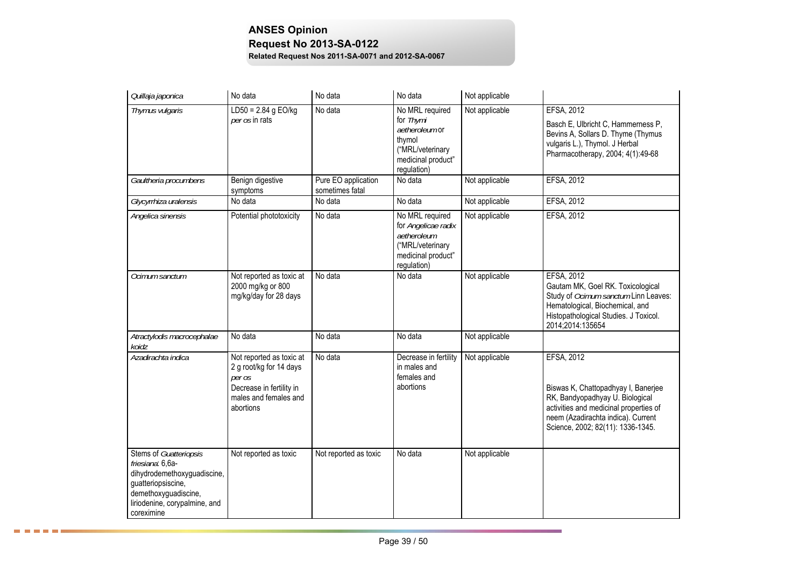| Quillaja japonica                                                                                                                                                      | No data                                                                                                                         | No data                                | No data                                                                                                           | Not applicable |                                                                                                                                                                                                                  |
|------------------------------------------------------------------------------------------------------------------------------------------------------------------------|---------------------------------------------------------------------------------------------------------------------------------|----------------------------------------|-------------------------------------------------------------------------------------------------------------------|----------------|------------------------------------------------------------------------------------------------------------------------------------------------------------------------------------------------------------------|
| Thymus vulgaris                                                                                                                                                        | $LD50 = 2.84$ g EO/kg<br>per os in rats                                                                                         | No data                                | No MRL required<br>for Thymi<br>aetheroleum or<br>thymol<br>("MRL/veterinary<br>medicinal product"<br>regulation) | Not applicable | EFSA, 2012<br>Basch E, Ulbricht C, Hammerness P,<br>Bevins A, Sollars D. Thyme (Thymus<br>vulgaris L.), Thymol. J Herbal<br>Pharmacotherapy, 2004; 4(1):49-68                                                    |
| Gaultheria procumbens                                                                                                                                                  | Benign digestive<br>symptoms                                                                                                    | Pure EO application<br>sometimes fatal | No data                                                                                                           | Not applicable | EFSA, 2012                                                                                                                                                                                                       |
| Glycyrrhiza uralensis                                                                                                                                                  | No data                                                                                                                         | No data                                | No data                                                                                                           | Not applicable | <b>EFSA, 2012</b>                                                                                                                                                                                                |
| Angelica sinensis                                                                                                                                                      | Potential phototoxicity                                                                                                         | No data                                | No MRL required<br>for Angelicae radix<br>aetheroleum<br>("MRL/veterinary<br>medicinal product"<br>regulation)    | Not applicable | EFSA, 2012                                                                                                                                                                                                       |
| Ocimum sanctum                                                                                                                                                         | Not reported as toxic at<br>2000 mg/kg or 800<br>mg/kg/day for 28 days                                                          | No data                                | No data                                                                                                           | Not applicable | <b>EFSA, 2012</b><br>Gautam MK, Goel RK. Toxicological<br>Study of Ocimum sanctum Linn Leaves:<br>Hematological, Biochemical, and<br>Histopathological Studies. J Toxicol.<br>2014;2014:135654                   |
| Atractylodis macrocephalae<br>koidz                                                                                                                                    | No data                                                                                                                         | No data                                | No data                                                                                                           | Not applicable |                                                                                                                                                                                                                  |
| Azadirachta indica                                                                                                                                                     | Not reported as toxic at<br>2 g root/kg for 14 days<br>per os<br>Decrease in fertility in<br>males and females and<br>abortions | No data                                | Decrease in fertility<br>in males and<br>females and<br>abortions                                                 | Not applicable | <b>EFSA, 2012</b><br>Biswas K, Chattopadhyay I, Banerjee<br>RK, Bandyopadhyay U. Biological<br>activities and medicinal properties of<br>neem (Azadirachta indica). Current<br>Science, 2002; 82(11): 1336-1345. |
| Stems of Guatteriopsis<br>friesiana: 6,6a-<br>dihydrodemethoxyguadiscine,<br>guatteriopsiscine,<br>demethoxyguadiscine,<br>liriodenine, corypalmine, and<br>coreximine | Not reported as toxic                                                                                                           | Not reported as toxic                  | No data                                                                                                           | Not applicable |                                                                                                                                                                                                                  |

۰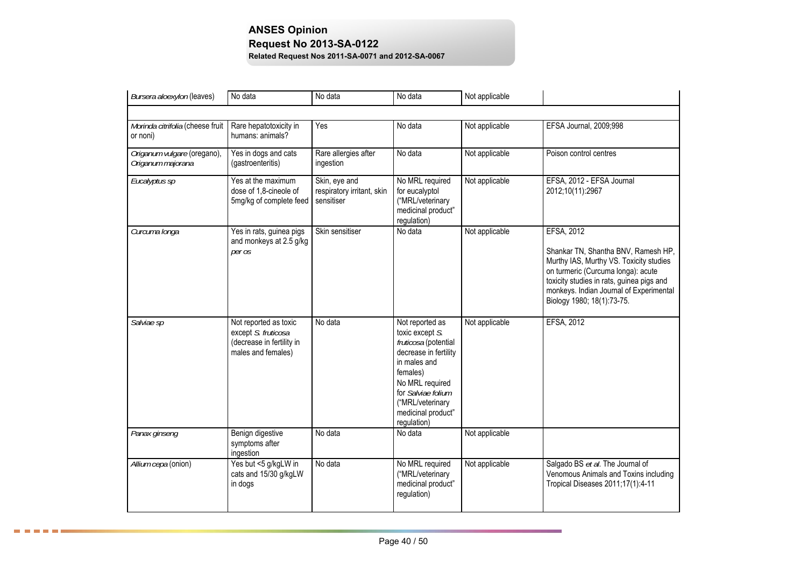| Bursera aloexylon (leaves)                       | No data                                                                                         | No data                                                   | No data                                                                                                                                                                                                           | Not applicable |                                                                                                                                                                                                                                                          |  |  |  |  |
|--------------------------------------------------|-------------------------------------------------------------------------------------------------|-----------------------------------------------------------|-------------------------------------------------------------------------------------------------------------------------------------------------------------------------------------------------------------------|----------------|----------------------------------------------------------------------------------------------------------------------------------------------------------------------------------------------------------------------------------------------------------|--|--|--|--|
|                                                  |                                                                                                 |                                                           |                                                                                                                                                                                                                   |                |                                                                                                                                                                                                                                                          |  |  |  |  |
| Morinda citrifolia (cheese fruit<br>or noni)     | Rare hepatotoxicity in<br>humans: animals?                                                      | Yes                                                       | No data                                                                                                                                                                                                           | Not applicable | EFSA Journal, 2009;998                                                                                                                                                                                                                                   |  |  |  |  |
| Origanum vulgare (oregano),<br>Origanum majorana | Yes in dogs and cats<br>(gastroenteritis)                                                       | Rare allergies after<br>ingestion                         | No data                                                                                                                                                                                                           | Not applicable | Poison control centres                                                                                                                                                                                                                                   |  |  |  |  |
| Eucalyptus sp                                    | Yes at the maximum<br>dose of 1,8-cineole of<br>5mg/kg of complete feed                         | Skin, eye and<br>respiratory irritant, skin<br>sensitiser | No MRL required<br>for eucalyptol<br>("MRL/veterinary<br>medicinal product"<br>regulation)                                                                                                                        | Not applicable | EFSA, 2012 - EFSA Journal<br>2012;10(11):2967                                                                                                                                                                                                            |  |  |  |  |
| Curcuma longa                                    | Yes in rats, guinea pigs<br>and monkeys at 2.5 g/kg<br>per os                                   | Skin sensitiser                                           | No data                                                                                                                                                                                                           | Not applicable | EFSA, 2012<br>Shankar TN, Shantha BNV, Ramesh HP,<br>Murthy IAS, Murthy VS. Toxicity studies<br>on turmeric (Curcuma longa): acute<br>toxicity studies in rats, guinea pigs and<br>monkeys. Indian Journal of Experimental<br>Biology 1980; 18(1):73-75. |  |  |  |  |
| Salviae sp                                       | Not reported as toxic<br>except S. fruticosa<br>(decrease in fertility in<br>males and females) | No data                                                   | Not reported as<br>toxic except S.<br>fruticosa (potential<br>decrease in fertility<br>in males and<br>females)<br>No MRL required<br>for Salviae folium<br>("MRL/veterinary<br>medicinal product"<br>regulation) | Not applicable | EFSA, 2012                                                                                                                                                                                                                                               |  |  |  |  |
| Panax ginseng                                    | Benign digestive<br>symptoms after<br>ingestion                                                 | No data                                                   | No data                                                                                                                                                                                                           | Not applicable |                                                                                                                                                                                                                                                          |  |  |  |  |
| Allium cepa (onion)                              | Yes but <5 g/kgLW in<br>cats and 15/30 g/kgLW<br>in dogs                                        | No data                                                   | No MRL required<br>("MRL/veterinary<br>medicinal product"<br>regulation)                                                                                                                                          | Not applicable | Salgado BS et al. The Journal of<br>Venomous Animals and Toxins including<br>Tropical Diseases 2011;17(1):4-11                                                                                                                                           |  |  |  |  |

8 8 8 8 8 8 3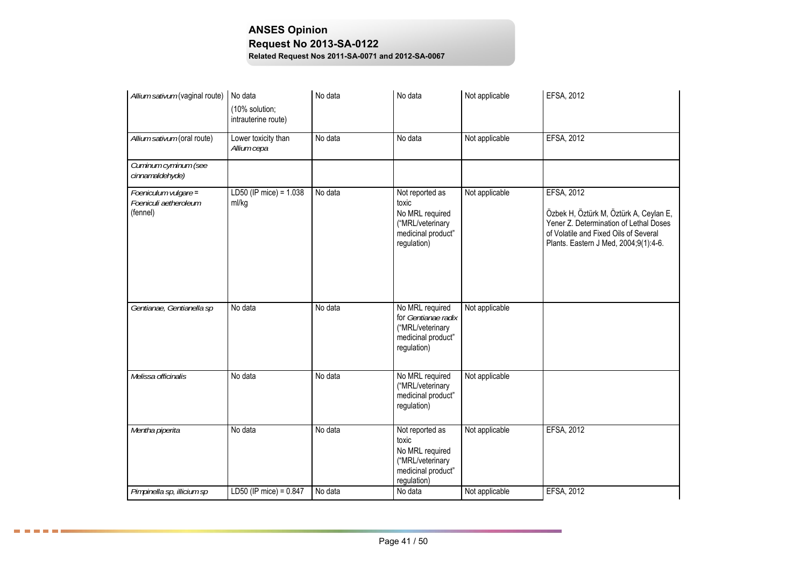| Allium sativum (vaginal route)                            | No data                               | No data | No data                                                                                              | Not applicable | EFSA, 2012                                                                                                                                                                       |
|-----------------------------------------------------------|---------------------------------------|---------|------------------------------------------------------------------------------------------------------|----------------|----------------------------------------------------------------------------------------------------------------------------------------------------------------------------------|
|                                                           | (10% solution;<br>intrauterine route) |         |                                                                                                      |                |                                                                                                                                                                                  |
| Allium sativum (oral route)                               | Lower toxicity than<br>Allium cepa    | No data | No data                                                                                              | Not applicable | EFSA, 2012                                                                                                                                                                       |
| Cuminum cyminum (see<br>cinnamaldehyde)                   |                                       |         |                                                                                                      |                |                                                                                                                                                                                  |
| Foeniculum vulgare =<br>Foeniculi aetheroleum<br>(fennel) | LD50 (IP mice) = 1.038<br>ml/kg       | No data | Not reported as<br>toxic<br>No MRL required<br>("MRL/veterinary<br>medicinal product"<br>regulation) | Not applicable | EFSA, 2012<br>Özbek H, Öztürk M, Öztürk A, Ceylan E,<br>Yener Z. Determination of Lethal Doses<br>of Volatile and Fixed Oils of Several<br>Plants. Eastern J Med, 2004;9(1):4-6. |
| Gentianae, Gentianella sp                                 | No data                               | No data | No MRL required<br>for Gentianae radix<br>("MRL/veterinary<br>medicinal product"<br>regulation)      | Not applicable |                                                                                                                                                                                  |
| Melissa officinalis                                       | No data                               | No data | No MRL required<br>("MRL/veterinary<br>medicinal product"<br>regulation)                             | Not applicable |                                                                                                                                                                                  |
| Mentha piperita                                           | No data                               | No data | Not reported as<br>toxic<br>No MRL required<br>("MRL/veterinary<br>medicinal product"<br>regulation) | Not applicable | <b>EFSA, 2012</b>                                                                                                                                                                |
| Pimpinella sp, illicium sp                                | $LD50$ (IP mice) = 0.847              | No data | No data                                                                                              | Not applicable | EFSA, 2012                                                                                                                                                                       |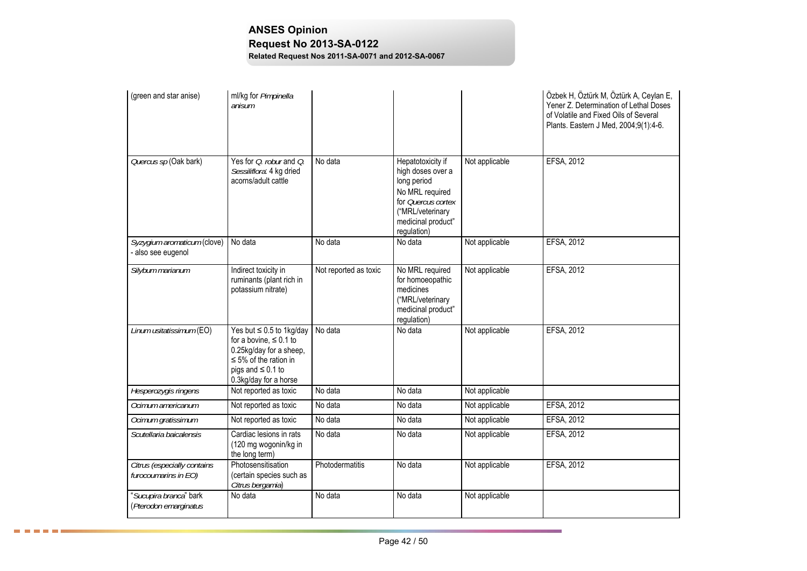| (green and star anise)                              | ml/kg for Pimpinella<br>anisum                                                                                                                                           |                       |                                                                                                                                                         |                | Özbek H, Öztürk M, Öztürk A, Ceylan E,<br>Yener Z. Determination of Lethal Doses<br>of Volatile and Fixed Oils of Several<br>Plants. Eastern J Med, 2004;9(1):4-6. |
|-----------------------------------------------------|--------------------------------------------------------------------------------------------------------------------------------------------------------------------------|-----------------------|---------------------------------------------------------------------------------------------------------------------------------------------------------|----------------|--------------------------------------------------------------------------------------------------------------------------------------------------------------------|
| Quercus sp (Oak bark)                               | Yes for <i>O. robur</i> and <i>O.</i><br>Sessiliflora: 4 kg dried<br>acorns/adult cattle                                                                                 | No data               | Hepatotoxicity if<br>high doses over a<br>long period<br>No MRL required<br>for Quercus cortex<br>("MRL/veterinary<br>medicinal product"<br>regulation) | Not applicable | EFSA, 2012                                                                                                                                                         |
| Syzygium aromaticum (clove)<br>- also see eugenol   | No data                                                                                                                                                                  | No data               | No data                                                                                                                                                 | Not applicable | EFSA, 2012                                                                                                                                                         |
| Silybum marianum                                    | Indirect toxicity in<br>ruminants (plant rich in<br>potassium nitrate)                                                                                                   | Not reported as toxic | No MRL required<br>for homoeopathic<br>medicines<br>("MRL/veterinary<br>medicinal product"<br>regulation)                                               | Not applicable | EFSA, 2012                                                                                                                                                         |
| Linum usitatissimum (EO)                            | Yes but $\leq 0.5$ to 1kg/day<br>for a bovine, $\leq 0.1$ to<br>0.25kg/day for a sheep,<br>$\leq$ 5% of the ration in<br>pigs and $\leq 0.1$ to<br>0.3kg/day for a horse | No data               | No data                                                                                                                                                 | Not applicable | EFSA, 2012                                                                                                                                                         |
| Hesperozygis ringens                                | Not reported as toxic                                                                                                                                                    | No data               | No data                                                                                                                                                 | Not applicable |                                                                                                                                                                    |
| Ocimum americanum                                   | Not reported as toxic                                                                                                                                                    | No data               | No data                                                                                                                                                 | Not applicable | EFSA, 2012                                                                                                                                                         |
| Ocimum gratissimum                                  | Not reported as toxic                                                                                                                                                    | No data               | No data                                                                                                                                                 | Not applicable | EFSA, 2012                                                                                                                                                         |
| Scutellaria baicalensis                             | Cardiac lesions in rats<br>(120 mg wogonin/kg in<br>the long term)                                                                                                       | No data               | No data                                                                                                                                                 | Not applicable | <b>EFSA, 2012</b>                                                                                                                                                  |
| Citrus (especially contains<br>furocoumarins in EO) | Photosensitisation<br>(certain species such as<br>Citrus bergamia)                                                                                                       | Photodermatitis       | No data                                                                                                                                                 | Not applicable | EFSA, 2012                                                                                                                                                         |
| "Sucupira branca" bark<br>(Pterodon emarginatus     | No data                                                                                                                                                                  | No data               | No data                                                                                                                                                 | Not applicable |                                                                                                                                                                    |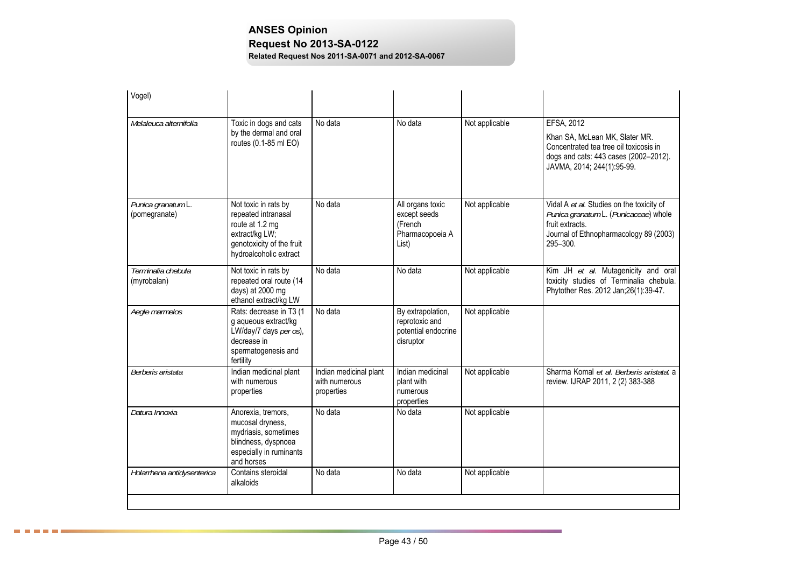| Vogel)                              |                                                                                                                                         |                                                       |                                                                         |                |                                                                                                                                                               |
|-------------------------------------|-----------------------------------------------------------------------------------------------------------------------------------------|-------------------------------------------------------|-------------------------------------------------------------------------|----------------|---------------------------------------------------------------------------------------------------------------------------------------------------------------|
| Melaleuca alternifolia              | Toxic in dogs and cats<br>by the dermal and oral<br>routes (0.1-85 ml EO)                                                               | No data                                               | No data                                                                 | Not applicable | EFSA, 2012<br>Khan SA, McLean MK, Slater MR.<br>Concentrated tea tree oil toxicosis in<br>dogs and cats: 443 cases (2002-2012).<br>JAVMA, 2014; 244(1):95-99. |
| Punica granatum L.<br>(pomegranate) | Not toxic in rats by<br>repeated intranasal<br>route at 1.2 mg<br>extract/kg LW;<br>genotoxicity of the fruit<br>hydroalcoholic extract | No data                                               | All organs toxic<br>except seeds<br>(French<br>Pharmacopoeia A<br>List) | Not applicable | Vidal A et al. Studies on the toxicity of<br>Punica granatum L. (Punicaceae) whole<br>fruit extracts.<br>Journal of Ethnopharmacology 89 (2003)<br>295-300.   |
| Terminalia chebula<br>(myrobalan)   | Not toxic in rats by<br>repeated oral route (14<br>days) at 2000 mg<br>ethanol extract/kg LW                                            | No data                                               | No data                                                                 | Not applicable | Kim JH et al. Mutagenicity and oral<br>toxicity studies of Terminalia chebula.<br>Phytother Res. 2012 Jan;26(1):39-47.                                        |
| Aegle marmelos                      | Rats: decrease in T3 (1<br>g aqueous extract/kg<br>LW/day/7 days per os),<br>decrease in<br>spermatogenesis and<br>fertility            | No data                                               | By extrapolation,<br>reprotoxic and<br>potential endocrine<br>disruptor | Not applicable |                                                                                                                                                               |
| Berberis aristata                   | Indian medicinal plant<br>with numerous<br>properties                                                                                   | Indian medicinal plant<br>with numerous<br>properties | Indian medicinal<br>plant with<br>numerous<br>properties                | Not applicable | Sharma Komal et al. Berberis aristata: a<br>review. IJRAP 2011, 2 (2) 383-388                                                                                 |
| Datura Innoxia                      | Anorexia, tremors,<br>mucosal dryness,<br>mydriasis, sometimes<br>blindness, dyspnoea<br>especially in ruminants<br>and horses          | No data                                               | No data                                                                 | Not applicable |                                                                                                                                                               |
| Holarrhena antidysenterica          | Contains steroidal<br>alkaloids                                                                                                         | No data                                               | No data                                                                 | Not applicable |                                                                                                                                                               |
|                                     |                                                                                                                                         |                                                       |                                                                         |                |                                                                                                                                                               |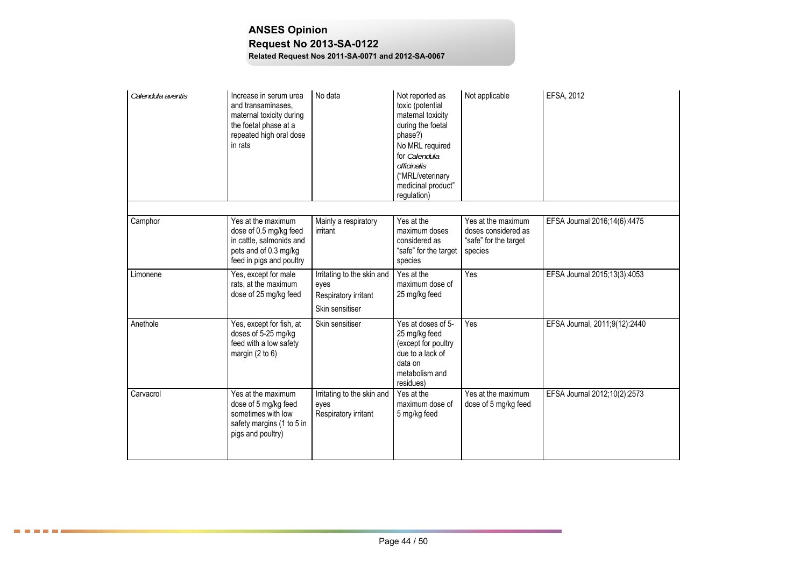# **ANSES Opinion Request No 2013-SA-0122**

**Related Request Nos 2011-SA-0071 and 2012-SA-0067**

| Calendula aventis | Increase in serum urea<br>and transaminases,<br>maternal toxicity during<br>the foetal phase at a<br>repeated high oral dose<br>in rats | No data                                                                       | Not reported as<br>toxic (potential<br>maternal toxicity<br>during the foetal<br>phase?)<br>No MRL required<br>for Calendula<br>officinalis<br>("MRL/veterinary<br>medicinal product"<br>regulation) | Not applicable                                                                | EFSA, 2012                    |
|-------------------|-----------------------------------------------------------------------------------------------------------------------------------------|-------------------------------------------------------------------------------|------------------------------------------------------------------------------------------------------------------------------------------------------------------------------------------------------|-------------------------------------------------------------------------------|-------------------------------|
|                   |                                                                                                                                         |                                                                               |                                                                                                                                                                                                      |                                                                               |                               |
| Camphor           | Yes at the maximum<br>dose of 0.5 mg/kg feed<br>in cattle, salmonids and<br>pets and of 0.3 mg/kg<br>feed in pigs and poultry           | Mainly a respiratory<br>irritant                                              | Yes at the<br>maximum doses<br>considered as<br>"safe" for the target<br>species                                                                                                                     | Yes at the maximum<br>doses considered as<br>"safe" for the target<br>species | EFSA Journal 2016;14(6):4475  |
| Limonene          | Yes, except for male<br>rats, at the maximum<br>dose of 25 mg/kg feed                                                                   | Irritating to the skin and<br>eyes<br>Respiratory irritant<br>Skin sensitiser | Yes at the<br>maximum dose of<br>25 mg/kg feed                                                                                                                                                       | Yes                                                                           | EFSA Journal 2015;13(3):4053  |
| Anethole          | Yes, except for fish, at<br>doses of 5-25 mg/kg<br>feed with a low safety<br>margin $(2 to 6)$                                          | Skin sensitiser                                                               | Yes at doses of 5-<br>25 mg/kg feed<br>(except for poultry<br>due to a lack of<br>data on<br>metabolism and<br>residues)                                                                             | Yes                                                                           | EFSA Journal, 2011;9(12):2440 |
| Carvacrol         | Yes at the maximum<br>dose of 5 mg/kg feed<br>sometimes with low<br>safety margins (1 to 5 in<br>pigs and poultry)                      | Irritating to the skin and<br>eyes<br>Respiratory irritant                    | Yes at the<br>maximum dose of<br>5 mg/kg feed                                                                                                                                                        | Yes at the maximum<br>dose of 5 mg/kg feed                                    | EFSA Journal 2012;10(2):2573  |

**BEERE**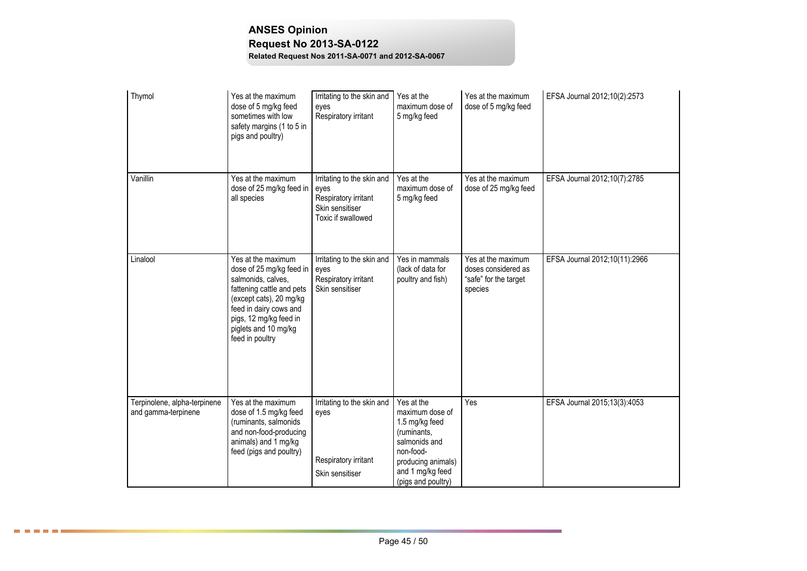| Thymol                                              | Yes at the maximum<br>dose of 5 mg/kg feed<br>sometimes with low<br>safety margins (1 to 5 in<br>pigs and poultry)                                                                                                          | Irritating to the skin and<br>eyes<br>Respiratory irritant                                          | Yes at the<br>maximum dose of<br>5 mg/kg feed                                                                                                                | Yes at the maximum<br>dose of 5 mg/kg feed                                    | EFSA Journal 2012;10(2):2573  |
|-----------------------------------------------------|-----------------------------------------------------------------------------------------------------------------------------------------------------------------------------------------------------------------------------|-----------------------------------------------------------------------------------------------------|--------------------------------------------------------------------------------------------------------------------------------------------------------------|-------------------------------------------------------------------------------|-------------------------------|
| Vanillin                                            | Yes at the maximum<br>dose of 25 mg/kg feed in<br>all species                                                                                                                                                               | Irritating to the skin and<br>eyes<br>Respiratory irritant<br>Skin sensitiser<br>Toxic if swallowed | Yes at the<br>maximum dose of<br>5 mg/kg feed                                                                                                                | Yes at the maximum<br>dose of 25 mg/kg feed                                   | EFSA Journal 2012;10(7):2785  |
| Linalool                                            | Yes at the maximum<br>dose of 25 mg/kg feed in<br>salmonids, calves,<br>fattening cattle and pets<br>(except cats), 20 mg/kg<br>feed in dairy cows and<br>pigs, 12 mg/kg feed in<br>piglets and 10 mg/kg<br>feed in poultry | Irritating to the skin and<br>eyes<br>Respiratory irritant<br>Skin sensitiser                       | Yes in mammals<br>(lack of data for<br>poultry and fish)                                                                                                     | Yes at the maximum<br>doses considered as<br>"safe" for the target<br>species | EFSA Journal 2012;10(11):2966 |
| Terpinolene, alpha-terpinene<br>and gamma-terpinene | Yes at the maximum<br>dose of 1.5 mg/kg feed<br>(ruminants, salmonids<br>and non-food-producing<br>animals) and 1 mg/kg<br>feed (pigs and poultry)                                                                          | Irritating to the skin and<br>eyes<br>Respiratory irritant<br>Skin sensitiser                       | Yes at the<br>maximum dose of<br>1.5 mg/kg feed<br>(ruminants,<br>salmonids and<br>non-food-<br>producing animals)<br>and 1 mg/kg feed<br>(pigs and poultry) | Yes                                                                           | EFSA Journal 2015;13(3):4053  |

8 8 8 8 8 8 3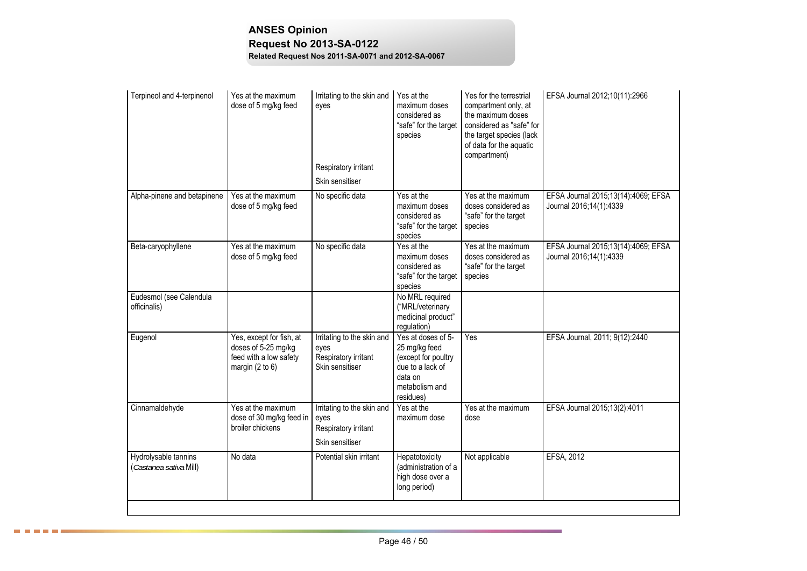| Terpineol and 4-terpinenol                     | Yes at the maximum<br>dose of 5 mg/kg feed                                                     | Irritating to the skin and<br>eyes                                            | Yes at the<br>maximum doses<br>considered as<br>"safe" for the target<br>species                                         | Yes for the terrestrial<br>compartment only, at<br>the maximum doses<br>considered as "safe" for<br>the target species (lack<br>of data for the aquatic<br>compartment) | EFSA Journal 2012;10(11):2966                                  |
|------------------------------------------------|------------------------------------------------------------------------------------------------|-------------------------------------------------------------------------------|--------------------------------------------------------------------------------------------------------------------------|-------------------------------------------------------------------------------------------------------------------------------------------------------------------------|----------------------------------------------------------------|
|                                                |                                                                                                | Respiratory irritant<br>Skin sensitiser                                       |                                                                                                                          |                                                                                                                                                                         |                                                                |
| Alpha-pinene and betapinene                    | Yes at the maximum<br>dose of 5 mg/kg feed                                                     | No specific data                                                              | Yes at the<br>maximum doses<br>considered as<br>"safe" for the target<br>species                                         | Yes at the maximum<br>doses considered as<br>"safe" for the target<br>species                                                                                           | EFSA Journal 2015;13(14):4069; EFSA<br>Journal 2016;14(1):4339 |
| Beta-caryophyllene                             | Yes at the maximum<br>dose of 5 mg/kg feed                                                     | No specific data                                                              | Yes at the<br>maximum doses<br>considered as<br>"safe" for the target<br>species                                         | Yes at the maximum<br>doses considered as<br>"safe" for the target<br>species                                                                                           | EFSA Journal 2015;13(14):4069; EFSA<br>Journal 2016;14(1):4339 |
| Eudesmol (see Calendula<br>officinalis)        |                                                                                                |                                                                               | No MRL required<br>("MRL/veterinary<br>medicinal product"<br>regulation)                                                 |                                                                                                                                                                         |                                                                |
| Eugenol                                        | Yes, except for fish, at<br>doses of 5-25 mg/kg<br>feed with a low safety<br>margin $(2 to 6)$ | Irritating to the skin and<br>eyes<br>Respiratory irritant<br>Skin sensitiser | Yes at doses of 5-<br>25 mg/kg feed<br>(except for poultry<br>due to a lack of<br>data on<br>metabolism and<br>residues) | Yes                                                                                                                                                                     | EFSA Journal, 2011; 9(12):2440                                 |
| Cinnamaldehyde                                 | Yes at the maximum<br>dose of 30 mg/kg feed in<br>broiler chickens                             | Irritating to the skin and<br>eyes<br>Respiratory irritant<br>Skin sensitiser | Yes at the<br>maximum dose                                                                                               | Yes at the maximum<br>dose                                                                                                                                              | EFSA Journal 2015;13(2):4011                                   |
| Hydrolysable tannins<br>(Castanea sativa Mill) | No data                                                                                        | Potential skin irritant                                                       | Hepatotoxicity<br>(administration of a<br>high dose over a<br>long period)                                               | Not applicable                                                                                                                                                          | EFSA, 2012                                                     |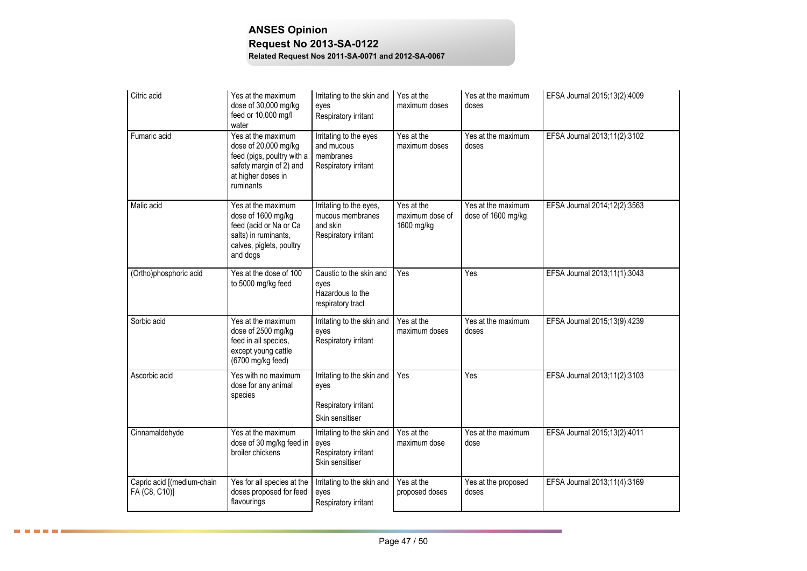| Citric acid                                 | Yes at the maximum<br>dose of 30,000 mg/kg<br>feed or 10,000 mg/l<br>water                                                             | Irritating to the skin and<br>eyes<br>Respiratory irritant                      | Yes at the<br>maximum doses                 | Yes at the maximum<br>doses              | EFSA Journal 2015;13(2):4009 |
|---------------------------------------------|----------------------------------------------------------------------------------------------------------------------------------------|---------------------------------------------------------------------------------|---------------------------------------------|------------------------------------------|------------------------------|
| Fumaric acid                                | Yes at the maximum<br>dose of 20,000 mg/kg<br>feed (pigs, poultry with a<br>safety margin of 2) and<br>at higher doses in<br>ruminants | Irritating to the eyes<br>and mucous<br>membranes<br>Respiratory irritant       | Yes at the<br>maximum doses                 | Yes at the maximum<br>doses              | EFSA Journal 2013;11(2):3102 |
| Malic acid                                  | Yes at the maximum<br>dose of 1600 mg/kg<br>feed (acid or Na or Ca<br>salts) in ruminants,<br>calves, piglets, poultry<br>and dogs     | Irritating to the eyes,<br>mucous membranes<br>and skin<br>Respiratory irritant | Yes at the<br>maximum dose of<br>1600 mg/kg | Yes at the maximum<br>dose of 1600 mg/kg | EFSA Journal 2014;12(2):3563 |
| (Ortho)phosphoric acid                      | Yes at the dose of 100<br>to 5000 mg/kg feed                                                                                           | Caustic to the skin and<br>eyes<br>Hazardous to the<br>respiratory tract        | Yes                                         | Yes                                      | EFSA Journal 2013;11(1):3043 |
| Sorbic acid                                 | Yes at the maximum<br>dose of 2500 mg/kg<br>feed in all species,<br>except young cattle<br>(6700 mg/kg feed)                           | Irritating to the skin and<br>eyes<br>Respiratory irritant                      | Yes at the<br>maximum doses                 | Yes at the maximum<br>doses              | EFSA Journal 2015;13(9):4239 |
| Ascorbic acid                               | Yes with no maximum<br>dose for any animal<br>species                                                                                  | Irritating to the skin and<br>eyes<br>Respiratory irritant<br>Skin sensitiser   | Yes                                         | Yes                                      | EFSA Journal 2013;11(2):3103 |
| Cinnamaldehyde                              | Yes at the maximum<br>dose of 30 mg/kg feed in<br>broiler chickens                                                                     | Irritating to the skin and<br>eyes<br>Respiratory irritant<br>Skin sensitiser   | Yes at the<br>maximum dose                  | Yes at the maximum<br>dose               | EFSA Journal 2015;13(2):4011 |
| Capric acid [(medium-chain<br>FA (C8, C10)] | Yes for all species at the<br>doses proposed for feed<br>flavourings                                                                   | Irritating to the skin and<br>eyes<br>Respiratory irritant                      | Yes at the<br>proposed doses                | Yes at the proposed<br>doses             | EFSA Journal 2013;11(4):3169 |

**BEERES**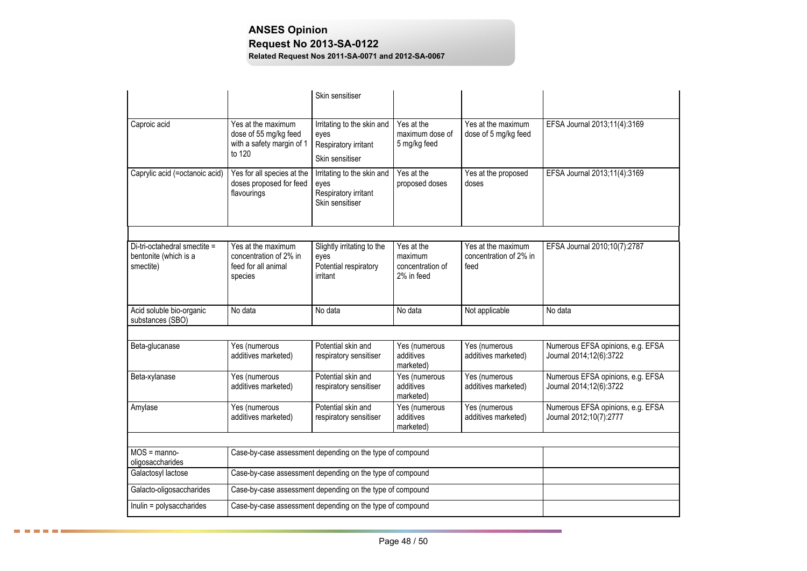|                                                                    |                                                                                    | Skin sensitiser                                                               |                                                         |                                                      |                                                              |
|--------------------------------------------------------------------|------------------------------------------------------------------------------------|-------------------------------------------------------------------------------|---------------------------------------------------------|------------------------------------------------------|--------------------------------------------------------------|
| Caproic acid                                                       | Yes at the maximum<br>dose of 55 mg/kg feed<br>with a safety margin of 1<br>to 120 | Irritating to the skin and<br>eyes<br>Respiratory irritant<br>Skin sensitiser | Yes at the<br>maximum dose of<br>5 mg/kg feed           | Yes at the maximum<br>dose of 5 mg/kg feed           | EFSA Journal 2013;11(4):3169                                 |
| Caprylic acid (=octanoic acid)                                     | Yes for all species at the<br>doses proposed for feed<br>flavourings               | Irritating to the skin and<br>eyes<br>Respiratory irritant<br>Skin sensitiser | Yes at the<br>proposed doses                            | Yes at the proposed<br>doses                         | EFSA Journal 2013;11(4):3169                                 |
|                                                                    |                                                                                    |                                                                               |                                                         |                                                      |                                                              |
| Di-tri-octahedral smectite =<br>bentonite (which is a<br>smectite) | Yes at the maximum<br>concentration of 2% in<br>feed for all animal<br>species     | Slightly irritating to the<br>eyes<br>Potential respiratory<br>irritant       | Yes at the<br>maximum<br>concentration of<br>2% in feed | Yes at the maximum<br>concentration of 2% in<br>feed | EFSA Journal 2010;10(7):2787                                 |
| Acid soluble bio-organic<br>substances (SBO)                       | No data                                                                            | No data                                                                       | No data                                                 | Not applicable                                       | No data                                                      |
|                                                                    |                                                                                    |                                                                               |                                                         |                                                      |                                                              |
| Beta-glucanase                                                     | Yes (numerous<br>additives marketed)                                               | Potential skin and<br>respiratory sensitiser                                  | Yes (numerous<br>additives<br>marketed)                 | Yes (numerous<br>additives marketed)                 | Numerous EFSA opinions, e.g. EFSA<br>Journal 2014;12(6):3722 |
| Beta-xylanase                                                      | Yes (numerous<br>additives marketed)                                               | Potential skin and<br>respiratory sensitiser                                  | Yes (numerous<br>additives<br>marketed)                 | Yes (numerous<br>additives marketed)                 | Numerous EFSA opinions, e.g. EFSA<br>Journal 2014;12(6):3722 |
| Amylase                                                            | Yes (numerous<br>additives marketed)                                               | Potential skin and<br>respiratory sensitiser                                  | Yes (numerous<br>additives<br>marketed)                 | Yes (numerous<br>additives marketed)                 | Numerous EFSA opinions, e.g. EFSA<br>Journal 2012;10(7):2777 |
|                                                                    |                                                                                    |                                                                               |                                                         |                                                      |                                                              |
| $MOS = manno-$<br>oligosaccharides                                 | Case-by-case assessment depending on the type of compound                          |                                                                               |                                                         |                                                      |                                                              |
| Galactosyl lactose                                                 |                                                                                    | Case-by-case assessment depending on the type of compound                     |                                                         |                                                      |                                                              |
| Galacto-oligosaccharides                                           | Case-by-case assessment depending on the type of compound                          |                                                                               |                                                         |                                                      |                                                              |
| Inulin = polysaccharides                                           | Case-by-case assessment depending on the type of compound                          |                                                                               |                                                         |                                                      |                                                              |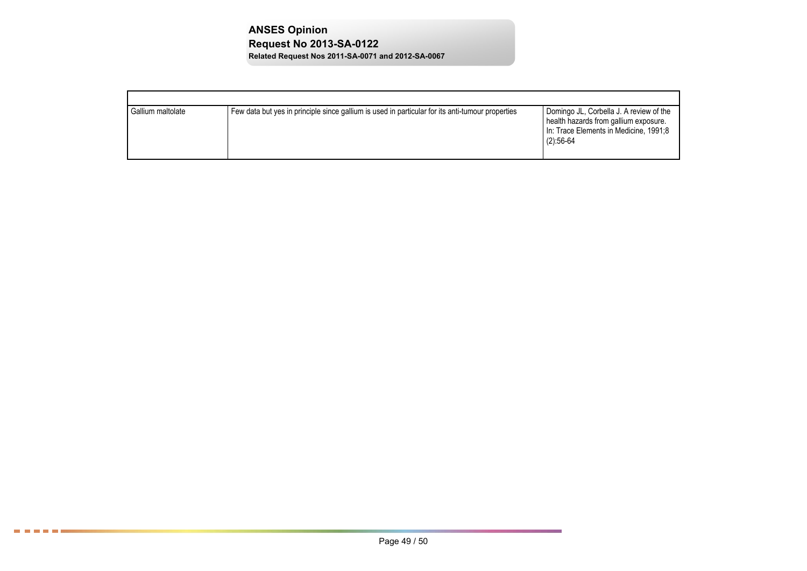| Gallium maltolate | Few data but yes in principle since gallium is used in particular for its anti-tumour properties | Domingo JL, Corbella J. A review of the<br>health hazards from gallium exposure.<br>In: Trace Elements in Medicine, 1991;8<br>$(2):56-64$ |
|-------------------|--------------------------------------------------------------------------------------------------|-------------------------------------------------------------------------------------------------------------------------------------------|